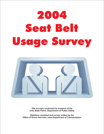# 2004 Seat Belt Usage Survey Usage Survey Survey Survey Survey Survey Survey Survey Survey Survey Survey Survey Survey Survey Survey Survey<br>The Survey Survey Survey Survey Survey Survey Survey Survey Survey Survey Survey Survey Survey Survey Survey S



**Site surveys conducted by troopers of the Iowa State Patrol, Department of Public Safety**

**Statistics compiled and survey written by the Office of Driver Services, Iowa Department of Transportation**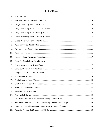# **List of Charts**

| 1.  |  |
|-----|--|
| 2.  |  |
| 3.  |  |
| 4.  |  |
| 5.  |  |
| 6.  |  |
| 7.  |  |
| 8.  |  |
| 9.  |  |
| 10. |  |
| 11. |  |
| 12. |  |
| 13. |  |
| 14. |  |
| 15. |  |
| 16. |  |
| 17. |  |
| 18. |  |
| 19. |  |
| 20. |  |
| 21. |  |
| 22. |  |
| 23. |  |
| 24. |  |
| 25. |  |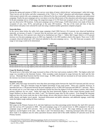## **2004 SAFETY BELT USAGE SURVEY**

#### **Introduction**

During the spring and summer of 2004, two surveys were taken of motor vehicle drivers' and passengers' safety belt usage. These surveys are the before and after components of the "Click it or Ticket" education and enforcement campaign. The whole project started with a pre-campaign survey followed by the four-week public information, education and enforcement campaign. Finally the post-campaign survey was taken to test the effectiveness of the education and enforcement campaign. In the pre-campaign survey of belt usage, the usage/non-usage of 13,745 front-seat occupants of cars, vans, SUVs and pickups was observed at 100 locations. In the post-campaign survey of belt usage, 14,444 observations were made of front-seat occupants of cars, vans, SUVs, and pick-ups at the same 100 locations. The day of the week and time of day the observations took place were selected for each site using a random number generation computer program.

#### **Statewide Data**

In the survey taken before the safety belt usage campaign (April 2004 Survey), 83.6 percent were observed buckled-up statewide, an increase of nearly 1.5 percent from the previous year's pre-campaign survey. In the post-campaign survey (July 2004 Survey), 86.4 percent were observed as buckled-up (see Chart 1—Safety Belt Usage) which is a 0.4 percent increase over the post-campaign survey in 2003 (see Appendix A for 2003 numbers cited in this report). There were 12,402 occupants observed belted and 1,653 observed unbelted in the post-campaign survey. For 382 front-seat occupants, belt usage or non-usage could not be determined.

| Seat Belt Usage  |                 |                  |                           |                 |             |                           |          |  |  |  |  |
|------------------|-----------------|------------------|---------------------------|-----------------|-------------|---------------------------|----------|--|--|--|--|
|                  |                 | April 2004 Usage |                           | July 2004 Usage |             |                           |          |  |  |  |  |
| <b>Road Type</b> | <b>Observed</b> | <b>Used</b>      | Percentage<br><b>Used</b> | <b>Observed</b> | <b>Used</b> | Percentage<br><b>Used</b> | Change   |  |  |  |  |
| Statewide Total* | 13.745          | 11,335           | 83.59%                    | 14.444          | 12,402      | 86.41%                    | 2.82%    |  |  |  |  |
| <b>Municipal</b> | 5.180           | 4.088            | 78.92%                    | 5.567           | 4,658       | 83.67%                    | 4.75%    |  |  |  |  |
| Primary          | 5.451           | 4,587            | 84.15%                    | 5.929           | 5.174       | 87.27%                    | 3.12%    |  |  |  |  |
| Secondary        | 1,181           | 1,039            | 87.98%                    | 1.060           | 915         | 86.32%                    | $-1.66%$ |  |  |  |  |
| Interstate       | 1,933           | 1,621            | 83.86%                    | 888,            | 1,655       | 87.66%                    | 3.80%    |  |  |  |  |

**Chart 1 Seat Belt Usage**

**Estimated statewide total April survey usage weighted by vehicles miles traveled and 95% confidence intervals for the estimated variance are +/- 0.21% Estimated statewide total July survey usage weighted by vehicles miles traveled and 95% confidence intervals for the estimated variance are +/- 0.19%**

### **Usage By Roadway System**

The good news is that safety belt usage increased on three of the four road systems studied in 2004. The highest safety belt usage was recorded on the Interstate System. Only secondary roads decreased in usage between the April and the July surveys. Municipal Road Systems had the lowest usage. In 2004, safety belt use increased on all road systems; however, the increase was lowest on secondary roads.

#### **Interstate System**

In 2004, safety belt usage increased by more than three percentage points between the April (83.9 percent) and July surveys (87.7 percent). This gave interstate usage the highest percentage of any road system. There was a decline, however, in interstate belt use (-1.98 percent) between the post-campaign survey of 2003 (89.6 percent) and 2004 (87.7 percent). This is the second year in a row that usage on the Interstate System has been the highest of all the roadway systems, after trailing primary highways for two years. Safety belt usage has been historically highest on these routes because people travel longer distances on these roads (see charts 2 and 7 for historical usage rates for this system.) Even though the interstate highways have the lowest crash rate due to their design, drivers often perceive them to be more dangerous because of high traffic density and higher travel speeds. Increased enforcement and public education, and additional signage, could help retain the highest usage ranking for these roadways.

#### **Primary System**

Belt usage on the Primary System (U.S. and state highways) rose three percentage points between the April (84.2 percent) and July surveys (87.3 percent) in 2004. The post-campaign usage is 0.3 percent lower in 2004 compared to the postcampaign usage in 2003 (87.6 percent). That is very near the margin of error. The usage ranking on state and U.S. highways second highest in the state. (See charts 2 and 5 for historical data.) Achieving increased safety belt usage on these roads is an emphasis area for safety specialists because almost half of the traffic fatalities (47 percent) occur on the Primary System.

\_\_\_\_\_\_\_\_\_\_\_\_\_\_\_\_\_\_\_\_\_\_\_\_\_\_\_\_\_\_\_ 1 Iowa Department of Transportation, 1995 Iowa Crash Facts, Roadway & Environment Conditions, p. 71.

<sup>2 &</sup>quot;Guidelines for State Observational Surveys of Safety Belt & Motorcycles Helmet Use, Federal Register," Vol 57 No. 125,

June 29, 1992, p. 28903.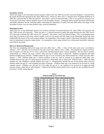#### **Secondary System**

Safety belt usage on the Secondary System (county roads) in the July 2004 survey (86.3 percent) dropped 1.7 percent from the nearly 88 percent registered in the April 2004 survey. However, there were 3.3 percent more occupants buckled up in 2004 (86.3 percent) than in 2003 (83 percent). (See charts 2 and 6 for historical data.) This is very good news because over 30 percent of all motor vehicle fatalities occur on the Secondary System. Continued efforts toward increased enforcement and public education for the motoring public concerning the importance of safety belt and child safety seat usage on the Secondary System, even for short distance trips, must be maintained.

#### **Municipal System**

Safety belt use on the Municipal System (city streets) increased 4.8 percent between the April 2004 (78.9 percent) and July 2004 surveys (83.8 percent). There was also a 1.5 percent increase in safety belt usage between the July 2003 survey (82.2 percent) in and the July 2003 survey (83.7 percent). (See charts 2 and 4 for historical data.) This is encouraging since more than 45 percent of all motor vehicle crashes occur on city streets and belt usage on the Municipal System has been traditionally the lowest of the road systems studied. In communities where usage is good, enforcement and public education must be maintained to improve usage further. In communities where usage remains low, enforcement and public education must both be increased.

#### **Belt Law Historical Background**

The Iowa law mandating safety belt usage went into effect July 1, 1986. A fine of \$10, plus court costs, was effective January 1, 1987. The fine was increased to \$25, plus court costs, effective July 1, 2001. The original law requires all frontseat occupants over the age of 6 to wear a safety belt, meeting federal motor vehicle standards. The law allows primary enforcement (i.e. officers can stop a vehicle when non-use of safety belts is observed). Medical exemptions and other limited exemptions are allowed. Children under the age of 6 are covered by the child restraint law, which went into effect January 1, 1985. Children under age 3, seated anywhere in the car, must be secured in an approved child safety seat. Children between the ages of 3 and 6 must be secured in a child safety seat or safety belt. Effective July 1, 2004, the child restraint law was changed to include children up to age 11. Requirements include the use of rear-facing safety seats for children under the age of 1 and weighing less than 20 pounds. Children under age 6 are required to be secured in a child restraint system. Children over the age of 6, but under the age of 11, are required to be secured in an approved child restraint system, safety belt or safety harness. Copies of the annual child restraint survey results are also available from the Governor's Traffic Safety Bureau.

| Survey        | <b>Statewide</b> | Municipal | Primary | Secondary | Interstate |
|---------------|------------------|-----------|---------|-----------|------------|
| <b>Jun 86</b> | 27%              | 20%       | 27%     | 24%       | 43%        |
| Sep 86        | 46%              | 34%       | 48%     | 42%       | 62%        |
| Apr 87        | 63%              | 54%       | 65%     | 64%       | 69%        |
| Sep 87        | 56%              | 48%       | 56%     | 55%       | 67%        |
| Sep 88        | 55%              | 46%       | 55%     | 52%       | 69%        |
| Sep 89        | 59%              | 49%       | 56%     | 61%       | 72%        |
| Sep 90        | 61%              | 49%       | 60%     | 61%       | 76%        |
| Sep 91        | 68%              | 64%       | 64%     | 64%       | 79%        |
| Sep 92        | 71%              | 62%       | 69%     | 71%       | 83%        |
| Sep 93        | 73%              | 59%       | 73%     | 71%       | 80%        |
| Sep 94        | 73%              | 63%       | 72%     | 72%       | 82%        |
| Sep 95        | 75%              | 65%       | 75%     | 76%       | 85%        |
| Sep 96        | 75%              | 69%       | 74%     | 71%       | 85%        |
| <b>Nov 97</b> | 75%              | 69%       | 74%     | 71%       | 85%        |
| <b>Oct 98</b> | 77%              | 70%       | 76%     | 79%       | 84%        |
| Oct 99        | 78%              | 72%       | 78%     | 80%       | 84%        |
| <b>Oct 00</b> | 78%              | 73%       | 79%     | 77%       | 82%        |
| <b>Oct 01</b> | 81%              | 76%       | 83%     | 83%       | 81%        |
| Sep 02        | 82%              | 79%       | 83%     | 87%       | 81%        |
| Apr 03        | 82%              | 78%       | 86%     | 81%       | 82%        |
| <b>Jul 03</b> | 86%              | 82%       | 88%     | 83%       | 90%        |
| Apr 04        | 84%              | 79%       | 84%     | 88%       | 84%        |
| <b>Jul 04</b> | 86%              | 84%       | 87%     | 86%       | 88%        |

**Chart 2 Restraint Usage by Year & Road Type**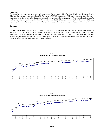#### **Enforcement**

The safety-belt law continues to be enforced in the state. There were 56,127 safety-belt violation convictions and 2,586 child-restraint violation convictions in 2003, for a total of 58,713 convictions. This was a decrease from the 63,311 convictions in 2002. Iowa's safety-belt usage rates followed trends similar to other states. There was a large increase after the fines were first imposed, increasing from 27 percent in June 1986 to 63 percent in April 1987. In September 1987 usage dropped to 56 percent, but enforcement and public education has steadily increased usage to the current 86.4 percent.

## **Summary**

The 86.4 percent safety-belt usage rate in 2004 (an increase of 13 percent since 1994) reflects active enforcement and education efforts that have occurred in Iowa over the course of the last decade. Through continuing education of the public with programs in the school and communities, the "Click it or Ticket" campaign, an active "Life Toll" campaign, year-long safety belt enforcement, and other cooperative efforts between state and local law enforcement, Iowa will strive to increase the use of safety belts and save more lives on Iowa roadways.



**Chart 3 Usage Percent by Year—All Road Types** 

**Chart 4 Usage Percent by Year—Municipal Roads** 

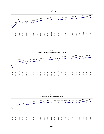**Chart 5 Usage Percent by Year—Primary Roads** 



**Chart 6 Usage Percent by Year—Secondary Roads** 



**Chart 7 Usage Percent by Year—Interstates** 

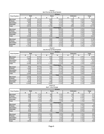| <b>Chart 8</b>                     |  |  |  |  |  |  |  |  |
|------------------------------------|--|--|--|--|--|--|--|--|
| <b>April Survey by Road System</b> |  |  |  |  |  |  |  |  |

|                    |        |             |       | <b>Drivers</b>    |         |         |        |
|--------------------|--------|-------------|-------|-------------------|---------|---------|--------|
| <b>Road System</b> |        | <b>Belt</b> |       | None              | Unknown | Total   |        |
|                    | #      | %           | #     | %                 | #       | %       | #      |
| Municipal          | 3,208  | 79.7%       | 640   | 15.9%             | 175     | 4.3%    | 4,023  |
| Primary            | 3,590  | 85.4%       | 464   | 11.0%             | 148     | 3.5%    | 4,202  |
| Secondary          | 850    | 89.0%       | 88    | 9.2%              | 17      | $1.8\%$ | 955    |
| Interstate         | .303   | 84.7%       | 187   | 12.2%             | 48      | 3.1%    | 1,538  |
| Total              | 8,951  | 83.5%       | 1,379 | 12.9%             | 388     | 3.6%    | 10,718 |
|                    |        |             |       | <b>Passengers</b> |         |         |        |
| Municipal          | 880    | 76.1%       | 242   | 20.9%             | 35      | 3.0%    | 1,157  |
| Primary            | 997    | 79.8%       | 178   | 14.3%             | 74      | 5.9%    | 1,249  |
| Secondary          | 189    | 83.6%       | 24    | 10.6%             | 13      | 5.8%    | 226    |
| Interstate         | 318    | 80.5%       | 65    | 16.5%             | 12      | 3.0%    | 395    |
| Total              | 2,384  | 78.8%       | 509   | 16.8%             | 134     | 4.4%    | 3,027  |
|                    |        |             |       | <b>Total</b>      |         |         |        |
| Municipal          | 4,088  | 78.9%       | 882   | 17.0%             | 210     | 4.1%    | 5,180  |
| Primary            | 4,587  | 84.1%       | 642   | 11.8%             | 222     | 4.1%    | 5,451  |
| Secondary          | 1,039  | 88.0%       | 112   | 9.5%              | 30      | 2.5%    | 1,181  |
| Interstate         | 1,621  | 83.9%       | 252   | 13.0%             | 60      | 3.1%    | 1,933  |
| Total              | 11,335 | 82.5%       | 1,888 | 13.7%             | 522     | 3.8%    | 13,745 |

#### **Chart 9**

**July Survey by Road System**

|                    | <b>Drivers</b> |       |       |                   |                 |       |        |  |  |  |  |
|--------------------|----------------|-------|-------|-------------------|-----------------|-------|--------|--|--|--|--|
| <b>Road System</b> | <b>Belt</b>    |       | None  |                   | Unknown         | Total |        |  |  |  |  |
|                    | #              | %     | #     | %                 | #               | %     | #      |  |  |  |  |
| Municipal          | 3,716          | 84.5% | 554   | 12.6%             | 130             | 3.0%  | 4,400  |  |  |  |  |
| Primary            | 3,889          | 88.1% | 435   | 9.9%              | 91              | 2.1%  | 4,415  |  |  |  |  |
| Secondary          | 705            | 87.8% | 85    | 10.6%             | 13              | 1.6%  | 803    |  |  |  |  |
| Interstate         | 1,146          | 89.3% | 120   | 9.3%              | 18 <sub>1</sub> | 1.4%  | 1,284  |  |  |  |  |
| Total              | 9,456          | 86.7% | 1,194 | 11.0%             | 252             | 2.3%  | 10,902 |  |  |  |  |
|                    |                |       |       | <b>Passengers</b> |                 |       |        |  |  |  |  |
| <b>Municipal</b>   | 942            | 80.7% | 183   | 15.7%             | 42              | 3.6%  | 1,167  |  |  |  |  |
| Primary            | .285           | 84.9% | 165   | 10.9%             | 64              | 4.2%  | 1,514  |  |  |  |  |
| Secondary          | 210            | 81.7% | 31    | 12.1%             | 16              | 6.2%  | 257    |  |  |  |  |
| Interstate         | 509            | 84.3% | 80    | 13.2%             | 15              | 2.5%  | 604    |  |  |  |  |
| Total              | 2,946          | 83.2% | 459   | 13.0%             | 137             | 3.9%  | 3,542  |  |  |  |  |
|                    |                |       |       | Total             |                 |       |        |  |  |  |  |
| Municipal          | 4,658          | 83.7% | 737   | 13.2%             | 172             | 3.1%  | 5,567  |  |  |  |  |
| Primary            | 5,174          | 87.3% | 600   | 10.1%             | 155             | 2.6%  | 5,929  |  |  |  |  |
| Secondary          | 915            | 86.3% | 116   | 10.9%             | 29              | 2.7%  | 1,060  |  |  |  |  |
| Interstate         | 1,655          | 87.7% | 200   | 10.6%             | 33              | 1.7%  | 1,888  |  |  |  |  |
| Total              | 12,402         | 85.9% | 1,653 | 11.4%             | 389             | 2.7%  | 14,444 |  |  |  |  |

#### **Chart 10 April / July Change**

|                    | <b>Drivers</b> |         |        |                   |         |         |        |  |  |  |
|--------------------|----------------|---------|--------|-------------------|---------|---------|--------|--|--|--|
| <b>Road System</b> | <b>Belt</b>    |         | None   |                   | Unknown |         | Total  |  |  |  |
|                    | #              | %       | #      | %                 | #       | %       | #      |  |  |  |
| <b>Municipal</b>   | 508            | 4.7%    | $-86$  | $-3.3%$           | -45     | $-1.4%$ | 377    |  |  |  |
| Primary            | 299            | 2.7%    | $-29$  | $-1.2%$           | $-57$   | $-1.5%$ | 213    |  |  |  |
| Secondary          | $-145$         | $-1.2%$ | $-3$   | 1.4%              | $-4$    | $-0.2%$ | $-152$ |  |  |  |
| Interstate         | $-157$         | 4.5%    | $-67$  | $-2.8%$           | $-30$   | $-1.7%$ | $-254$ |  |  |  |
| Total              | 505            | 3.2%    | $-185$ | $-1.9%$           | $-136$  | $-1.3%$ | 184    |  |  |  |
|                    |                |         |        | <b>Passengers</b> |         |         |        |  |  |  |
| Municipal          | 62             | 4.7%    | $-59$  | $-5.2%$           |         | 0.6%    | 10     |  |  |  |
| Primary            | 288            | 5.1%    | $-13$  | $-3.4%$           | $-10$   | $-1.7%$ | 265    |  |  |  |
| Secondary          | 21             | $-1.9%$ | 7      | 1.4%              | 3       | 0.5%    | 31     |  |  |  |
| Interstate         | 191            | 3.8%    | 15     | $-3.2%$           | 3       | $-0.6%$ | 209    |  |  |  |
| Total              | 562            | 4.4%    | $-50$  | $-3.9%$           | 3       | $-0.6%$ | 515    |  |  |  |
|                    |                |         |        | Total             |         |         |        |  |  |  |
| <b>Municipal</b>   | 570            | 4.8%    | $-145$ | $-3.8%$           | $-38$   | $-1.0%$ | 387    |  |  |  |
| Primary            | 587            | 3.1%    | $-42$  | $-1.7%$           | $-67$   | $-1.5%$ | 478    |  |  |  |
| Secondary          | $-124$         | $-1.7%$ | 4      | 1.5%              | -1      | 0.2%    | $-121$ |  |  |  |
| Interstate         | 34             | 3.8%    | $-52$  | $-2.4%$           | $-27$   | $-1.4%$ | $-45$  |  |  |  |
| Total              | 1,067          | 3.4%    | $-235$ | $-2.3%$           | $-133$  | $-1.1%$ | 699    |  |  |  |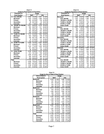**Chart 11 Usage by Road System & Population**

|              | Population &        | <b>Usage</b> |        |                      |        |  |  |
|--------------|---------------------|--------------|--------|----------------------|--------|--|--|
|              | <b>Road System</b>  | <b>April</b> |        |                      | July   |  |  |
| A            | Over 200,000        | 2,300        | 76.39% | 2.857                | 81.00% |  |  |
|              | <b>Municipal</b>    | 1.203        | 73.26% | 1.480                | 78.22% |  |  |
|              | Primary             | 365          | 82.39% | 739                  | 84.36% |  |  |
|              | Secondary           | 88           | 90.72% | 30                   | 90.91% |  |  |
|              | Interstate          | 644          | 77.68% | 608                  | 83.75% |  |  |
| в            | 150,000 TO 199,999  | 2,521        | 89.65% | 2,376                | 90.00% |  |  |
|              | <b>Municipal</b>    | 955          | 88.67% | 911                  | 88.96% |  |  |
|              | Primary             | 796          | 90.87% | 738                  | 92.25% |  |  |
|              | Secondary           | 262          | 88.22% | 474                  | 88.93% |  |  |
|              | Interstate          | 508          | 90.39% | 253                  | 89.40% |  |  |
| C            | 75,000 TO 149,999   | 1,310        | 83.49% | 1,482                | 88.00% |  |  |
|              | <b>Municipal</b>    | 644          | 79.90% | 739                  | 87.15% |  |  |
|              | Primary             | 426          | 85.71% | 486                  | 89.17% |  |  |
|              | Secondary           | 78           | 97.50% | 112                  | 83.58% |  |  |
|              | Interstate          | 162          | 87.10% | 145                  | 92.36% |  |  |
| D            | 25,000 TO 74,999    | 2.266        | 79.76% | 2,587                | 86.06% |  |  |
|              | <b>Municipal</b>    | 473          | 80.58% | 981                  | 88.62% |  |  |
|              | Primary             | 1.344        | 77.42% | 1,200                | 89.55% |  |  |
|              | <b>Secondary</b>    | 351          | 88.41% | 310                  | 71.43% |  |  |
|              | Interstate          | 98           | 80.99% | 96                   | 76.80% |  |  |
| Е            | <b>Under 25,000</b> | 2,938        | 83.66% | $\overline{3}$ , 100 | 86.42% |  |  |
|              | <b>Municipal</b>    | 813          | 76.12% | 758                  | 82.84% |  |  |
|              | Primary             | 1,656        | 87.20% | 1,832                | 87.82% |  |  |
|              | Secondary           | 260          | 83.87% | 366                  | 85.51% |  |  |
|              | Interstate          | 209          | 88.94% | 144                  | 91.14% |  |  |
| <b>Total</b> |                     | 11,335       | 82.47% | 12,402               | 85.86% |  |  |
|              | <b>Municipal</b>    | 4.088        | 78.92% | 4,869                | 84.15% |  |  |
|              | Primary             | 4.587        | 84.15% | 4,995                | 88.45% |  |  |
|              | Secondary           | 1,039        | 87.98% | 1,292                | 82.71% |  |  |
|              | Interstate          | 1,621        | 83.86% | 1,246                | 85.99% |  |  |

| Chart 12                                     |                    |              |       |        |  |  |  |  |  |
|----------------------------------------------|--------------------|--------------|-------|--------|--|--|--|--|--|
| <b>Usage by Population &amp; Road System</b> |                    |              |       |        |  |  |  |  |  |
| <b>Population &amp;</b>                      |                    |              | Usage |        |  |  |  |  |  |
| <b>Road System</b>                           |                    | <b>April</b> | July  |        |  |  |  |  |  |
| <b>Municipal</b>                             | 4,088              | 78.92%       | 4,869 | 51.47% |  |  |  |  |  |
| Over 200,000                                 | 1.203              | 73.26%       | 1.480 | 78.22% |  |  |  |  |  |
| 150,000 to 199,999                           | 955                | 88.67%       | 911   | 48.15% |  |  |  |  |  |
| 75,000 to 149,999                            | 644                | 79.90%       | 739   | 39.06% |  |  |  |  |  |
| 25,000 to 74,999                             | 473                | 80.58%       | 981   | 51.85% |  |  |  |  |  |
| <b>Under 25,000</b>                          | 813                | 76.12%       | 758   | 40.06% |  |  |  |  |  |
| Primary                                      | 4,587              | 21.85%       | 4,995 | 88.45% |  |  |  |  |  |
| Over 200,000                                 | 365                | 2.56%        | 739   | 84.36% |  |  |  |  |  |
| 150,000 to 199,999                           | 796                | 54.90%       | 738   | 92.25% |  |  |  |  |  |
| 75,000 to 149,999                            | 426                | 54.41%       | 486   | 89.17% |  |  |  |  |  |
| 25,000 to 74,999                             | 1,344              | 77.42%       | 1,200 | 89.55% |  |  |  |  |  |
| <b>Under 25,000</b>                          | 1,656              | 60.31%       | 1,832 | 87.82% |  |  |  |  |  |
| <b>Secondary</b>                             | 440                | 90.72%       | 150   | 90.91% |  |  |  |  |  |
| Over 200,000                                 | 88                 | 90.72%       | 30    | 90.91% |  |  |  |  |  |
| 150,000 to 199.999                           | 88                 | 90.72%       | 30    | 90.91% |  |  |  |  |  |
| 75,000 to 149,999                            | 88                 | 90.72%       | 30    | 90.91% |  |  |  |  |  |
| 25,000 to 74,999                             | 88                 | 90.72%       | 30    | 90.91% |  |  |  |  |  |
| <b>Under 25,000</b>                          | 88                 | 90.72%       | 30    | 90.91% |  |  |  |  |  |
| Interstate                                   | 1,621              | 83.86%       | 1.246 | 85.99% |  |  |  |  |  |
| Over 200,000                                 | 644                | 77.68%       | 608   | 83.75% |  |  |  |  |  |
| 150,000 to 199,999                           | 508                | 90.39%       | 253   | 89.40% |  |  |  |  |  |
| 75,000 to 149,999                            | 162                | 87.10%       | 145   | 92.36% |  |  |  |  |  |
| 25,000 to 74,999                             | 98                 | 80.99%       | 96    | 76.80% |  |  |  |  |  |
| <b>Under 25,000</b>                          | 209                | 88.94%       | 144   | 91.14% |  |  |  |  |  |
| Total                                        | $\overline{1,621}$ | 83.86%       | 1,246 | 85.99% |  |  |  |  |  |
| Over 200,000                                 | 644                | 77.68%       | 608   | 83.75% |  |  |  |  |  |
| 150,000 to 199.999                           | 508                | 90.39%       | 253   | 89.40% |  |  |  |  |  |
| 75,000 to 149,999                            | 162                | 87.10%       | 145   | 92.36% |  |  |  |  |  |
| 25,000 to 74,999                             | 98                 | 80.99%       | 96    | 76.80% |  |  |  |  |  |
| <b>Under 25,000</b>                          | 209                | 88.94%       | 144   | 91.14% |  |  |  |  |  |

2,034 87.48% 1,989 87.89% **Municipal** 547 86.41% 419 83.97%<br>**Primary** 641 90.92% 731 92.07% **Primary** 641 90.92% **Secondary** 442 82.31% 361 91.62% **Interstate** 404 89.78% 478 82.99% 2,913 82.90% 3,613 86.62% **Municipal** 923 80.54% 1,309 88.63% **Primary** 1,562 85.87% 1,883 85.79%<br> **Secondary** 292 75.65% 268 80.72% **Secondary** 292 75.65% 268 80.72%<br> **Interstate** 136 83.44% 153 91.62% **Interstate** 136 83.44% 2,291 84.04% 2,631 83.79% **Municipal** 416 87.39% 494 79.94% **Primary** 1,006 83.49% 774 84.41% **Secondary** 423 78.19% 1,003 82.89% **Interstate** 1 446 88.49% 360 91.14% 4,097 79.09% 4,169 85.61% **Municipal** 771 83.35% 1,272 90.34% **Primary** 1,467 83.83% 1,638 87.55% **Secondary** 752 81.03% 324 85.94% **Interstate** 1,107 70.20% 935 77.02% 11,335 82.47% 12,402 85.86% **Municipal** 2,657 83.55% 3,494 87.31% **Primary** 4,676 85.34% 5,026 87.00%<br> **Secondary** 1,909 79.81% 1,956 84.57% 1,909 79.81% **Interstate** 2,093 77.69% 1,926 81.89% **Southwest Total Area of State & Road system Usage Northeast Northwest Southeast April July**

**Chart 13 Usage by Area of State & Road System**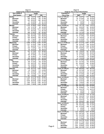**Chart 14 Usage by Day of Week & Road System**

| Day of Week &      | <b>Usage</b> |        |        |        |  |  |
|--------------------|--------------|--------|--------|--------|--|--|
| <b>Road System</b> |              | April  | July   |        |  |  |
| Sunday             | 1,892        | 78.47% | 2,098  | 89.39% |  |  |
| <b>Municipal</b>   | 496          | 83.93% | 795    | 91.48% |  |  |
| Primary            | 823          | 86.54% | 895    | 88.44% |  |  |
| Secondary          | 81           | 84.38% | 92     | 82.14% |  |  |
| Interstate         | 492          | 63.65% | 316    | 89.27% |  |  |
| <b>Monday</b>      | 2,140        | 87.56% | 1,839  | 84.90% |  |  |
| <b>Municipal</b>   | 192          | 91.87% | 66     | 94.29% |  |  |
| Primary            | 1.049        | 84.39% | 1,273  | 83.92% |  |  |
| Secondary          | 411          | 89.15% | 113    | 80.14% |  |  |
| Interstate         | 488          | 91.90% | 387    | 88.36% |  |  |
| Tuesday            | 1,324        | 80.15% | 1,546  | 86.90% |  |  |
| <b>Municipal</b>   | 295          | 86.76% | 243    | 88.04% |  |  |
| Primary            | 629          | 80.64% | 652    | 85.79% |  |  |
| Secondary          | 163          | 77.62% | 154    | 87.50% |  |  |
| Interstate         | 237          | 73.60% | 497    | 87.65% |  |  |
| Wednesday          | 2,598        | 81.83% | 3,345  | 87.04% |  |  |
| <b>Municipal</b>   | 1,337        | 81.52% | 1,908  | 87.36% |  |  |
| Primary            | 751          | 86.22% | 1,111  | 87.55% |  |  |
| Secondary          | 430          | 74.39% | 228    | 81.14% |  |  |
| Interstate         | 80           | 93.02% | 98     | 89.91% |  |  |
| Thursday           | 503          | 87.18% | 670    | 86.56% |  |  |
| <b>Municipal</b>   | 56           | 84.85% | 161    | 94.15% |  |  |
| Primary            | 180          | 87.38% | 114    | 91.94% |  |  |
| Secondary          | 58           | 82.86% | 74     | 76.29% |  |  |
| Interstate         | 209          | 88.94% | 321    | 84.03% |  |  |
| Friday             | 1.079        | 86.81% | 911    | 88.62% |  |  |
| <b>Municipal</b>   | 198          | 91.24% | 148    | 92.50% |  |  |
| Primary            | 703          | 85.01% | 517    | 86.60% |  |  |
| Secondary          | 152          | 88.89% | 178    | 93.68% |  |  |
| Interstate         | 26           | 92.86% | 68     | 83.95% |  |  |
| Saturday           | 1,799        | 80.21% | 1,993  | 79.50% |  |  |
| <b>Municipal</b>   | 83           | 70.94% | 173    | 63.60% |  |  |
| Primary            | 541          | 90.02% | 464    | 93.17% |  |  |
| Secondary          | 614          | 76.18% | 1,117  | 84.88% |  |  |
| Interstate         | 561          | 78.03% | 239    | 56.77% |  |  |
| <b>Total</b>       | 11,335       | 82.47% | 12,402 | 85.86% |  |  |
| <b>Municipal</b>   | 2,657        | 83.55% | 3,494  | 87.31% |  |  |
| Primary            | 4,676        | 85.34% | 5,026  | 87.00% |  |  |
| Secondary          | 1,909        | 79.81% | 1,956  | 84.57% |  |  |
| Interstate         | 2,093        | 77.69% | 1,926  | 81.89% |  |  |

| <b>Chart 15</b>                               |                                             |                    |            |                  |  |  |  |
|-----------------------------------------------|---------------------------------------------|--------------------|------------|------------------|--|--|--|
|                                               | Usage by Time of Day & Road System<br>Usage |                    |            |                  |  |  |  |
| <b>Population &amp;</b><br><b>Time of Day</b> |                                             | April              |            | July             |  |  |  |
| 7 a.m. to 7:59 a.m.                           | 474                                         | 82.87%             | 614        | 84.92%           |  |  |  |
| <b>Municipal</b>                              | 63                                          | 91.30%             | 82         | 94.25%           |  |  |  |
| Primary                                       | 411                                         | 81.71%             | 532        | 83.65%           |  |  |  |
| Secondary                                     | 0                                           | $0.00\%$           | 0          | 0.00%            |  |  |  |
| Interstate                                    | 0                                           | $0.00\%$           | 0          | $0.00\%$         |  |  |  |
| 8 a.m. to 8:59 a.m.                           | 1.452                                       | 78.11%             | 1,304      | 79.51%           |  |  |  |
| <b>Municipal</b>                              | 317                                         | 90.83%             | 467        | 88.28%           |  |  |  |
| Primary                                       | 384                                         | 77.89%             | 393        | 84.52%           |  |  |  |
| Secondary                                     | 476                                         | 73.68%             | 304        | 61.91%           |  |  |  |
| Interstate                                    | 275                                         | 74.12%             | 140        | 90.32%           |  |  |  |
| 9 a.m. to 9:59 a.m.                           | 777                                         | 86.62%             | 609        | 84.23%           |  |  |  |
| <b>Municipal</b>                              | 153                                         | 81.38%             | 130        | 86.09%           |  |  |  |
| Primary                                       | 10                                          | 76.92%             | 35         | 92.11%           |  |  |  |
| Secondary                                     | 314                                         | 91.55%             | 271        | 92.18%           |  |  |  |
| Interstate                                    | 300                                         | 84.99%             | 173        | 72.08%           |  |  |  |
| 10 a.m. to 10:59 a.m.                         | 1,361                                       | 81.21%             | 2,057      | 87.87%           |  |  |  |
| <b>Municipal</b>                              | 156                                         | 82.54%             | 246        | 92.83%           |  |  |  |
| Primary                                       | 846                                         | 79.21%             | 1,199      | 87.65%           |  |  |  |
| Secondary                                     | 359                                         | 85.68%<br>$0.00\%$ | 612        | 86.44%           |  |  |  |
| Interstate                                    | 0                                           | 76.84%             | 0          | 0.00%            |  |  |  |
| 11 a.m. to 11:59 a.m.                         | 355<br>130                                  | 89.66%             | 807<br>453 | 82.18%<br>86.45% |  |  |  |
| <b>Municipal</b>                              | 97                                          | 61.78%             | 120        | 82.19%           |  |  |  |
| Primary<br>Secondary                          | 76                                          | 86.36%             | 76         | 92.68%           |  |  |  |
| Interstate                                    | 52                                          | 72.22%             | 158        | 68.70%           |  |  |  |
| 12 p.m. to 12:59 p.m.                         | 1,351                                       | 81.00%             | 1,483      | 84.69%           |  |  |  |
| <b>Municipal</b>                              | 671                                         | 83.15%             | 740        | 86.55%           |  |  |  |
| Primary                                       | 557                                         | 80.26%             | 661        | 83.46%           |  |  |  |
| Secondary                                     | 123                                         | 73.65%             | 82         | 78.85%           |  |  |  |
| Interstate                                    | 0                                           | $0.00\%$           | 0          | 0.00%            |  |  |  |
| 1 p.m. to 1:59 p.m                            | 795                                         | 88.24%             | 627        | 86.72%           |  |  |  |
| <b>Municipal</b>                              | 60                                          | 82.19%             | 46         | 82.14%           |  |  |  |
| Primary                                       | 368                                         | 90.42%             | 143        | 87.73%           |  |  |  |
| Secondary                                     | 128                                         | 91.43%             | 158        | 91.86%           |  |  |  |
| Interstate                                    | 239                                         | 85.05%             | 280        | 84.34%           |  |  |  |
| 2 p.m. to 2:59 p.m                            | 1,471                                       | 85.37%             | 1,609      | 87.73%           |  |  |  |
| <b>Municipal</b>                              | 148                                         | 93.08%             | 162        | 93.10%           |  |  |  |
| Primary                                       | 502                                         | 91.61%             | 408        | 87.37%           |  |  |  |
| Secondary                                     | 221                                         | 75.95%             | 482        | 93.77%           |  |  |  |
| Interstate                                    | 600                                         | 82.76%             | 557        | 82.03%           |  |  |  |
| 3 p.m. to 3:59 p.m                            | 368                                         | 84.21%             | 247        | 84.30%           |  |  |  |
| <b>Municipal</b>                              | 58                                          | 82.86%             | 74         | 76.29%           |  |  |  |
| Primary                                       | 310                                         | 84.47%             | 173        | 88.27%           |  |  |  |
| Secondary                                     | 0                                           | 0.00%              | 0          | 0.00%            |  |  |  |
| Interstate<br>4 p.m. to 4:59 p.m              | 0<br>1,116                                  | 0.00%<br>75.87%    | 0<br>776   | 0.00%<br>87.19%  |  |  |  |
| <b>Municipal</b>                              | 351                                         | 56.43%             | 214        | 89.92%           |  |  |  |
| Primary                                       | 165                                         | 89.19%             | 221        | 89.84%           |  |  |  |
| Secondary                                     | 262                                         | 92.91%             | 61         | 82.43%           |  |  |  |
| Interstate                                    | 338                                         | 88.48%             | 280        | 84.34%           |  |  |  |
| 5 p.m. to 5:59 p.m                            | 592                                         | 88.10%             | 594        | 85.96%           |  |  |  |
| <b>Municipal</b>                              | 168                                         | 90.32%             | 158        | 81.44%           |  |  |  |
| Primary                                       | 424                                         | 87.24%             | 436        | 87.73%           |  |  |  |
| Secondary                                     | 0                                           | 0.00%              | 0          | 0.00%            |  |  |  |
| Interstate                                    | 0                                           | 0.00%              | 0          | 0.00%            |  |  |  |
| 6 p.m. to 6:59 p.m.                           | 1,223                                       | 86.92%             | 1,675      | 90.39%           |  |  |  |
| <b>Municipal</b>                              | 673                                         | 89.73%             | 761        | 92.02%           |  |  |  |
| Primary                                       | 253                                         | 84.33%             | 322        | 86.56%           |  |  |  |
| Secondary                                     | 132                                         | 91.67%             | 433        | 90.40%           |  |  |  |
| Interstate                                    | 165                                         | 77.46%             | 159        | 90.86%           |  |  |  |
| Total                                         | 11,335                                      | 82.47%             | 12,402     | 85.86%           |  |  |  |
| <b>Municipal</b>                              | 2,948                                       | 81.73%             | 3,533      | 88.39%           |  |  |  |
| Primary                                       | 4,327                                       | 82.88%             | 4,643      | 86.20%           |  |  |  |
| Secondary                                     | 2,091                                       | 82.98%             | 2,479      | 84.96%           |  |  |  |
| Interstate                                    | 1,969                                       | 82.14%             | 1,747      | 81.52%           |  |  |  |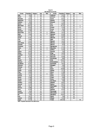| County            | Population | Category | Area      | <b>Sites</b>   | County            | Population | Category | Area      | <b>Sites</b>   |
|-------------------|------------|----------|-----------|----------------|-------------------|------------|----------|-----------|----------------|
| Adair             | 8,243      | Ε        | SW        |                | Jefferson         | 16,181     | Ε        | <b>SE</b> |                |
| Adams             | 4.482      | E        | SW        |                | Johnson           | 111,006    | C        | <b>SE</b> |                |
| Allamakee         | 14,675     | E        | <b>NE</b> |                | Jones             | 20,221     | Ε        | <b>SE</b> |                |
| Appanoose         | 13,721     | E        | <b>SE</b> |                | Keokuk            | 11,400     | E        | <b>SE</b> | 1              |
| Audubon           | 6,830      | E        | SW        |                | Kossuth           | 17,163     | E        | <b>NW</b> |                |
| Benton            | 25,308     | E        | <b>NE</b> |                | Lee               | 38,052     | D        | <b>SE</b> |                |
| <b>Black Hawk</b> | 128,012    | B        | <b>NE</b> |                | Linn              | 191,701    | B        | <b>NE</b> | 9              |
| Boone             | 26,224     | D        | <b>NW</b> |                | Louisa            | 12,183     | Ε        | <b>SE</b> | 3              |
| Bremer            | 23,325     | B        | <b>NE</b> |                | Lucas             | 9,422      | E        | <b>SE</b> |                |
| Buchanan          | 21,093     | E        | <b>NE</b> |                | Lyon              | 11,763     | E        | <b>NW</b> |                |
| Buena Vista       | 20,411     | E        | <b>NW</b> | 5              | <b>Madison</b>    | 14,019     | E        | SW        |                |
| <b>Butler</b>     | 15,305     | E        | <b>NE</b> | 5              | Mahaska           | 22,335     | E        | <b>SE</b> |                |
| Calhoun           | 11,115     | E        | NW        |                | <b>Marion</b>     | 32,052     | D        | <b>SE</b> |                |
| Carroll           | 21,421     | E        | <b>NE</b> |                | <b>Marshall</b>   | 39,311     | D        | <b>NE</b> |                |
| Cass              | 14,684     | E        | SW        |                | Mills             | 14,547     | E        | SW        |                |
| Cedar             | 18,187     | E        | <b>SE</b> |                | <b>Mitchell</b>   | 10,874     | Ε        | <b>NE</b> |                |
| Cerro Gordo       | 46,447     | D        | <b>NE</b> |                | Monona            | 10,020     | E        | <b>NW</b> |                |
| Cherokee          | 13,035     | E        | NW        |                | Monroe            | 8,016      | E        | <b>SE</b> |                |
| Chickasaw         | 13,095     | E        | <b>NE</b> |                | Montgomery        | 11,771     | E        | SW        |                |
| Clarke            | 9,133      | E        | SW        | $\overline{2}$ | Muscatine         | 41,722     | E        | <b>SE</b> |                |
| Clay              | 17,372     | E        | <b>NW</b> | $\overline{7}$ | O'Brien           | 15,102     | E        | <b>NW</b> |                |
| Clayton           | 18,678     | E        | <b>NE</b> |                | Osceola           | 7,003      | E        | <b>NW</b> |                |
| Clinton           | 50,149     | D        | <b>SE</b> |                | Page              | 16,976     | Ε        | SW        |                |
| Crawford          | 16,942     | E        | NW        |                | Palo Alto         | 10,147     | E        | <b>NW</b> |                |
| Dallas            | 40,750     | A        | SW        | $\overline{2}$ | Plymouth          | 24,849     | E        | <b>NW</b> |                |
| Davis             | 8,541      | E        | <b>SE</b> |                | Pocahontas        | 8,662      | E        | <b>NW</b> |                |
| Decatur           | 8,689      | E        | SW        | 6              | Polk              | 374,601    | A        | SW        | 9              |
| Delaware          | 18,404     | E        | <b>NE</b> |                | Pottawattamie     | 87,704     | C        | SW        | 12             |
| Des Moines        | 42,351     | D        | <b>SE</b> |                | Poweshiek         | 18,815     | E        | <b>SE</b> |                |
| <b>Dickinson</b>  | 16,424     | E        | NW        |                | Ringgold          | 5,469      | E        | SW        |                |
| Dubuque           | 89,143     | C        | <b>NE</b> |                | Sac               | 11,529     | E        | <b>NW</b> |                |
| Emmet             | 11,027     | E        | <b>NW</b> |                | <b>Scott</b>      | 158,668    | B        | <b>SE</b> | 8              |
| Fayette           | 22,008     | D        | <b>NE</b> |                | Shelby            | 13,173     | E        | SW        |                |
| Floyd             | 16,900     | E        | <b>NE</b> |                | Sioux             | 31,589     | D        | <b>NW</b> |                |
| Franklin          | 10,704     | E        | <b>NE</b> | 6              | Story             | 79,981     | D        | <b>NW</b> | 12             |
| Fremont           | 8,010      | E        | SW        |                | <b>Tama</b>       | 18,103     | E        | <b>NE</b> |                |
| Greene            | 10,366     | E        | NW        |                | Taylor            | 6,958      | E        | SW        |                |
| Grundy            | 12,369     | E        | <b>NE</b> |                | Union             | 12,309     | E        | <b>SW</b> |                |
| Guthrie           | 11,353     | E        | <b>NW</b> |                | Van Buren         | 7,809      | E        | <b>SE</b> |                |
| Hamilton          | 16,438     | E        | ΜW        |                | Wapello           | 36,051     | D        | <b>SE</b> | 7              |
| <b>Hancock</b>    | 12,100     | E        | <b>NW</b> |                | Warren            | 40,671     | A        | SW        | $\overline{2}$ |
| Hardin            | 18,812     | E        | <b>NE</b> |                | Washington        | 20,670     | E        | <b>SE</b> | 4              |
| Harrison          | 15,666     | E        | SW        |                | Wayne             | 6,730      | E        | <b>SE</b> |                |
| Henry             | 20,336     | E        | SE        |                | Webster           | 40,235     | D        | NW        |                |
| Howard            | 9,932      | E        | <b>NE</b> |                | Winnebago         | 11,723     | E        | <b>NW</b> |                |
| <b>Humboldt</b>   | 10,381     | Ε        | <b>NW</b> |                | <b>Winneshiek</b> | 21,310     | E        | <b>NE</b> |                |
| Ida               | 7,837      | E        | NW        |                | Woodbury          | 103,877    | С        | NW        |                |
| lowa              | 15,671     | Ε        | <b>SE</b> |                | Worth             | 7,909      | E        | <b>NE</b> |                |
| Jackson           | 20,296     | E        | NE        |                | Wright            | 14,334     | E        | <b>NW</b> |                |
| Jasper            | 37,213     | D        | SE        |                | Totals            | 2,926,324  |          |           | 100            |

**Chart 16 Site Selection by County**

**NOTE: Population data based on the 2000 Census**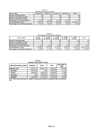**Chart 17 Site Selection by Area of State**

| <b>Area of State</b>                   | <b>Northeast</b> | Southeast       | <b>Northwest</b> | Southwest       | Totals           |
|----------------------------------------|------------------|-----------------|------------------|-----------------|------------------|
| Number of Selected Sites               | 20 <sub>1</sub>  | 23              | 24               | 33              | 100 <sub>l</sub> |
| Number of Possible Counties            | 25 <sub>1</sub>  | 25 <sub>l</sub> | 29I              | 20 <sup>1</sup> | 99 <sub>1</sub>  |
| Number of Selected Counties            |                  | 5               |                  |                 | 17 <sup>1</sup>  |
| <b>Percentage of Counties Selected</b> | 12.00%           | 16.00%          | 10.34%           | 30.00%          | 17.17%           |
| Total Population in Area               | 835.135          | 777.502         | 599.002          | 714.685         | 2.926.324.00     |
| Percentage of Total State Population   | 28.54%           | 26.57%          | 20.47%           | 24.42%          | 100.00%          |

**Chart 18**

| <b>Site Selection by Population Category</b> |                     |                           |                            |                           |                     |              |  |  |  |  |  |  |
|----------------------------------------------|---------------------|---------------------------|----------------------------|---------------------------|---------------------|--------------|--|--|--|--|--|--|
| Area of State                                | A - Over<br>200.000 | B - 150.000<br>to 200,000 | $C - 75.000$<br>to 150,000 | $D - 25.000$<br>to 75,000 | E - Under<br>25,000 | Total        |  |  |  |  |  |  |
| Number of Selected Sites                     | 13                  |                           |                            |                           | 39 <sub>1</sub>     | 61           |  |  |  |  |  |  |
| Number of Possible Counties                  |                     |                           |                            |                           | 75 <sub>1</sub>     | 24           |  |  |  |  |  |  |
| Number of Selected Counties                  |                     |                           |                            |                           |                     |              |  |  |  |  |  |  |
| <b>Percentage of Counties Selected</b>       | $3.00\%$            | $2.00\%$                  | $1.00\%$                   | $2.00\%$                  | $9.00\%$            | 17.00%       |  |  |  |  |  |  |
| <b>Total Population in Area</b>              | 456.022             | 501.706                   | 391.730                    | 521.663                   | 1,055,203           | 2.926.324.00 |  |  |  |  |  |  |
| Percentage of Total State Population         | 15.58%              | 17.14%                    | 13.39%                     | 17.83%                    | 36.06%              | 100.00%      |  |  |  |  |  |  |

**Chart 19 Statewide Vehicle Miles Traveled**

| 2003 Vehicle Miles Traveled | <b>Municipal</b> | <b>Rural</b> | <b>Total</b> | Percentage of<br><b>Total</b> |  |  |
|-----------------------------|------------------|--------------|--------------|-------------------------------|--|--|
| <b>Statewide Total</b>      | 12,691,578       | 18,905,115   | 31,596,693   | 100.00%                       |  |  |
| <b>Municipal</b>            | 6.925.405        | N/A          | 6.925.405    | 21.92%                        |  |  |
| Primary                     | 3.484.874        | 8,362,023    | 11,846,897   | 37.49%                        |  |  |
| Secondary                   | N/A              | 5,427,372    | 5,427,372    | 17.18%                        |  |  |
| Interstate                  | 2,281,299        | 5,115,720    | 7,397,019    | 23.41%                        |  |  |

**NOTE: Vehicle miles traveled reported in 1,000,000 and provided by the Iowa Dept. of Transportations Office of Transportation Data**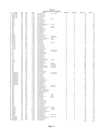| County<br>Day<br>Time<br>Location<br>City<br>Population<br>Road Type<br>Observed<br>No<br>Area<br>Lake @ Third<br>Buena Vista<br>9 AM<br>Storm Lake<br>66<br>NW<br>-1<br>Mon<br>Е<br>м<br>P<br>12 PM<br>Ε<br>88<br>2<br>Buena Vista<br><b>NW</b><br>Tue<br>Hwy 7 @ Hwy 71<br>P<br>Ε<br>3<br>Buena Vista<br><b>NW</b><br>Mon<br>7 AM<br>Hwy 110 @ Hwy 7<br>78<br><b>NW</b><br>Е<br>P<br>120<br>4<br>Buena Vista<br>Mon<br>11 AM<br>Hwy 7 @ Hwy 71<br><b>NW</b><br>8 AM<br>Е<br>S<br>93<br>5<br>Buena Vista<br>Tue<br>C 49 @ Hwy 71<br>12 PM<br>E<br>6<br>Butler<br>NE<br>Wed<br>Allison<br>М<br>151<br>Main @ Third<br>P<br>$\overline{7}$<br><b>Butler</b><br>NE<br>Sun<br>10 AM<br>Hwy 14 @ Hwy 20<br>Е<br>129<br>8<br>Butler<br>12 PM<br>Hwy 188 @ Hwy 3<br>E<br>P<br>56<br><b>NE</b><br>Sun<br>P<br>9<br>Butler<br>NE<br>Mon<br>2 PM<br>Hwy 14 @ Hwy 3<br>Е<br>31<br>NE<br>Wed<br>10 AM<br>Ε<br>S<br>10<br>Butler<br>C 55 @ Hwy 14<br>9<br>4 PM<br>Ε<br>Clarke<br>sw<br>Osceola<br>М<br>89<br>11<br>Sun<br>E Washington @ Main St<br>6 PM<br>12<br>Clarke<br>SW<br>Sun<br>Hwy 34 @ Hwy 69<br>Е<br>Ρ<br>257<br>5 PM<br>E<br>13<br>Clay<br><b>NW</b><br>Thu<br>4th @ Grand<br>Spencer<br>М<br>49<br><b>NW</b><br>Fri<br>7 AM<br>E<br>M<br>371<br>14<br>Clay<br>Grand @ 18th<br>Spencer<br>P<br><b>NW</b><br>1 PM<br>E<br>96<br>Clay<br>Hwy 18 @ Hwy 71<br>15<br>Mon<br>P<br>E<br>Clay<br><b>NW</b><br>Thu<br>3 PM<br>Hwy 240 @ Hwy 71<br>28<br>16<br>Ε<br>P<br>25<br>17<br>Clay<br><b>NW</b><br>Fri<br>1 AM<br>Hwy 10 @ Hwy 71<br><b>NW</b><br>Fri<br>9 AM<br>Ε<br>S<br>16<br>Clay<br>N 14 @ Hwy 18<br>18<br>1 PM<br>Ε<br>24<br>NW<br>Thu<br>S<br>19<br>Clay<br>B 53 @ Hwy 71<br>20<br>Dallas<br>SW<br>Sun<br>1 PM<br>I-80 Exit #110<br>Α<br>188<br>-1<br><b>SW</b><br>5 PM<br>P<br>21<br>Dallas<br>Sun<br>Hwy 141 @ Hwy 210<br>Α<br>81<br><b>SW</b><br>6 PM<br>Davis City<br>Ε<br>S<br>31<br>22<br>Decatur<br>Mon<br>J 66 @ Hwy 69<br>4 PM<br>E<br>S<br>73<br>SW<br>Garden Grove<br>23<br>Decatur<br>Mon<br>J 20 @ Hwy 204<br>P<br>E<br>Decatur<br>SW<br>W ed<br>2 PM<br>West Jct. Hwy 69 @ Hwy 2<br>130<br>24<br>Leon<br>6 PM<br>E<br>P<br>25<br>Decatur<br>SW<br>W ed<br>Hwy 266 @ Hwy 69<br>Weldon<br>65<br><b>SW</b><br>Fri<br>6 PM<br>Ε<br>112<br>Decatur<br>I-35 Exit #12<br>26<br>л<br>2 PM<br>Ε<br>Decatur<br>SW<br>Sun<br>I-35 Exit #22<br>26<br>27<br>-1<br>NE<br>Wed<br>8 AM<br>1st @ 1st Ave<br>Hampton<br>Ε<br>М<br>120<br>28<br>Franklin<br>29<br>Franklin<br>NE<br>Mon<br>4 PM<br>I-35 Exit #165<br>Е<br>84<br>6 PM<br>E<br>30<br>Franklin<br>NE<br>Mon<br>I-35 Exit #170<br>13<br><b>NE</b><br>Wed<br>11 AM<br>F<br>P<br>31<br>Franklin<br>Hwy 107 @ Hwy 3<br>$\overline{7}$<br>P<br>Wed<br>E<br>NE<br>7 AM<br>231<br>32<br>Franklin<br>Hwy 65 @ Hwy 3<br>S<br>E<br>33<br>Franklin<br>NE<br>Sun<br>8 AM<br>C 25 @ Hwy 65<br>20<br>SE<br>D<br>P<br>34<br>Keokuk<br>W ed<br>8 AM<br>Hwy 149 @ Hwy 23<br>134<br>NE<br>Fri<br>12 PM<br>В<br>М<br>316<br>First Ave @ 29th<br>Cedar Rapids<br>35<br>Linn<br>2 PM<br>NE<br>Tue<br>Cedar Rapids<br>в<br>М<br>140<br>36<br>Linn<br>8th Ave @ 2nd<br>37<br>NE<br>Thu<br>2 PM<br>I-380 Mile Marker 25<br>в<br>69<br>Linn<br>1<br>NE<br>4 PM<br>B<br>209<br>38<br>Linn<br>Thu<br>I-380 Mile Marker 13<br>NE<br>Fri<br>10 AM<br>B<br>P<br>85<br>39<br>Hwy 1 @ Hwy 30<br>Linn<br>B<br>S<br>NE<br>Fri<br>8 AM<br>112<br>40<br>Linn<br>E 34 @ Hwy 13<br>4 PM<br>P<br>NE<br>Tue<br>Hwy 30 @ Hwy 1<br>B<br>251<br>41<br>Linn<br>6 PM<br>B<br>S<br>42<br>Linn<br>NE<br>Tue<br>E 70 @ Hwy 151<br>109<br>6 PM<br>B<br>P<br>313<br>NE<br>Thu<br>Hwy 13 @ Hwy 151<br>43<br>Linn<br>3 PM<br>SE<br>Ε<br>М<br>23<br>44<br>Louisa<br>Sun<br>South 4th @ Washington<br>W apello<br>2 PM<br>45<br>Louisa<br>SE<br>W ed<br>X 43 @ Hwy 92<br>Ε<br>s<br>17<br>SE<br>5 PM<br>Hwy 92 @ Hwy 61<br>E<br>Ρ<br>237<br>46<br>Louisa<br>Sun<br>P<br>47<br>Polk<br>SW<br>W ed<br>6 PM<br>Hwy 160 @ Hwy 69<br>Ankeny<br>Α<br>188<br><b>SW</b><br>Wed<br>Des Moines<br>M<br>480<br>48<br>Polk<br>11 AM<br>Grand @ 7th<br>A<br><b>SW</b><br>296<br>Polk<br>6 PM<br>Α<br>М<br>49<br>Sun<br>Aurora @ Beaver<br>Des Moines<br>Polk<br>SW<br>4 PM<br>Meredith @ Merle Hay<br>Des Moines<br>Α<br>М<br>657<br>50<br>Sun<br><b>SW</b><br>209<br>51<br>Polk<br>W ed<br>10 AM<br>Indianola Ave @ SE 8th<br>Des Moines<br>Α<br>М<br>Polk<br><b>SW</b><br>Wed<br>4 PM<br>392<br>I-80 Exit #143<br>Α<br>52<br>ш<br>Polk<br>SW<br>Tue<br>9 AM<br>I-35 Exit #92<br>173<br>53<br>Α<br>п<br>54<br>Polk<br>SW<br>W ed<br>9 AM<br>I-35 Rest Area<br>Α<br>76<br>1<br><b>SW</b><br>3 PM<br>P<br>90<br>55<br>Polk<br>Sun<br>Hwy 945 @ Hwy 931<br>Α<br><b>SW</b><br>6 PM<br><b>Council Bluffs</b><br>C<br>M<br>400<br>Pottawattamie<br>Sat<br>9th Ave. @ S 16th<br>56<br>$\mathsf{C}$<br>6 PM<br>406<br>SW<br>A Ave & 25th St<br><b>Council Bluffs</b><br>M<br>57<br>Pottawattamie<br>Sat<br>4 PM<br>C<br>Pottawattamie<br>SW<br>Sat<br>I-29 Exit #47<br>81<br>58<br>C<br>Pottawattamie<br>SW<br>Tue<br>11 AM<br>I-80 Rest Area<br>56<br>59<br><b>SW</b><br>2 PM<br>C<br>49<br>Pottawattamie<br>Sat<br>I-80 Exit #40<br>60<br>P<br>C<br>sw<br>10 AM<br>Hwy 83 @ Hwy 59<br>39<br>61<br>Pottawattamie<br>Sun<br>P<br>4 PM<br>C<br>SW<br>Sat<br>Hwy 6 @ Hwy 191<br>284<br>62<br>Pottawattamie<br>C<br>P<br>55<br>63<br>Pottawattamie<br>SW<br>Tue<br>7 AM<br>Hwy 191 @ Hwy 83<br><b>SW</b><br>8 AM<br>C<br>P<br>67<br>Pottawattamie<br>Sun<br>Hwy 92 @ Hwy 59<br>64<br>P<br>C<br>52<br>SW<br>9 AM<br>65<br>Pottawattamie<br>Tue<br>Hwy 6 @ Hwy 59<br>C<br>S<br>Pottawattamie<br>SW<br>Sat<br>2 PM<br>M 16 @ Hwy 92<br>28<br>66<br>С<br>S<br>67<br>Pottawattamie<br>SW<br>12 PM<br>52<br>Sun<br>L 55 @ Hwy 6<br>SE<br>5 PM<br>Davenport<br>B<br>М<br>281<br>68<br>Scott<br>W ed<br>Kimberly @ Harrison<br>69<br>Scott<br>SE<br>12 PM<br>R<br>340<br>S <sub>11n</sub><br>Locust @ Brady<br>м<br>Davenport<br>В<br>SE<br>Sun<br>8 AM<br>86<br>70<br>Scott<br>I-80 Exit #284 (Y40)<br>-1<br>В<br>71<br>Scott<br>SE<br>Mon<br>9 AM<br>I-280 Hwy 61 Exit<br>J.<br>198<br>SE<br>Long Grove Exit @ Hwy 61<br>B<br>P<br>49<br>72<br>Scott<br>Mon<br>7 AM<br>P<br>SE<br>Wed<br>3 PM<br>Hwy 61 @ Hwy 22 Ramp<br>B<br>137<br>73<br>Scott<br>P<br>B<br>Scott<br>SE<br>10 AM<br>F 55 Exit @ Hwy 61<br>41<br>74<br>Sun<br>S<br>75<br>Scott<br>SE<br>Mon<br>11 AM<br>Y 48 @ Hwy 61<br>В<br>76<br><b>NW</b><br>4 PM<br>6th @ Grand<br>D<br>Story<br>Sat<br>Ames<br>М<br>225<br>76<br><b>NW</b><br>2 PM<br>Main @ Clark<br>D<br>Story<br>W ed<br>Ames<br>М<br>146<br>77<br>P<br><b>NW</b><br>Wed<br>7 AM<br>Duff Exit @ Hwy 30<br>Ames<br>D<br>454<br>78<br>Story<br>79<br>Story<br><b>NW</b><br>W ed<br>12 PM<br>J Ave. @ 6th<br>Nevada<br>D<br>М<br>71<br>I-35 Rest Area<br>51<br>80<br>Story<br><b>NW</b><br>Tue<br>11 AM<br>D<br><b>NW</b><br>2 PM<br>I-35 Exit #123<br>D<br>70<br>Story<br>Sat<br>81<br>-1<br>P<br>D<br>NW<br>7 AM<br>Hwy 210 @ Hwy 65<br>53<br>82<br>Story<br>Tue<br>P<br>D<br>Story<br><b>NW</b><br>Sat<br>6 PM<br>Hwy 133 @ Hwy 30<br>115<br>83<br>P<br><b>NW</b><br>4 PM<br>Hwy 210 @ Hwy 69<br>D<br>120<br>84<br>Story<br>Sat<br>D<br>P<br>Story<br>NW<br>Sat<br>2 PM<br>Hwy 65 @ Hwy 30<br>113<br>85<br><b>NW</b><br>D<br>S<br>103<br>W ed<br>8 AM<br>E 23 @ Hwy 69<br>Story<br>86<br>6 PM<br>D<br><b>NW</b><br>Sat<br>E 63 @ Hwy 65<br>S<br>41<br>87<br>Story<br>S<br><b>Wapello</b><br>SE<br>Sat<br>10 AM<br>V 37 (College St) @ Hwy 34<br>Agency<br>D<br>143<br>88<br>SE<br>D<br>89<br>Wapello<br>Sat<br>8 AM<br>Church @ Richmond<br>Ottumwa<br>М<br>145<br>SE<br>10 AM<br>Wapello St @ Albia Rd<br>Ottumwa<br>Ε<br>М<br>150<br>Wapello<br>W ed<br>90<br>P<br>D<br><b>Wapello</b><br>SE<br>10 AM<br>Hwy 16 @ Hwy 34<br>131<br>91<br>Fri<br>P<br>D<br>W apello<br>SE<br>Fri<br>12 PM<br>East Jct. Hwy 34 @ Hwy 63<br>388<br>92<br>SE<br>D<br>P<br><b>Wapello</b><br>Fri<br>8 AM<br>Hwy 137@ Hwy 63<br>228<br>93<br>SE<br>12 PM<br>D<br>S<br><b>Wapello</b><br>Sat<br>T 61 @ Hwy 34<br>110<br>94<br>2 PM<br>P<br>sw<br>Hwy 28 @ Hwy 92<br>Martensdale<br>84<br>95<br>W arren<br>Mon<br>Α<br>S<br>Warren<br>SW<br>W ed<br>4 PM<br>R 57 @ Hwy 92<br>Α<br>97<br>96<br>SE<br>1 PM<br>E<br>49<br>97<br>Washington<br>Sun<br>East 7th @ North 4th<br>Washington<br>М<br>SE<br>4 PM<br>E<br>P<br>136<br>Washington<br>W ed<br>Hwy 218 Ramp @ Hwy 92<br>98<br>P<br>Wed<br>6 PM<br>Ε<br>185<br>Washington<br>SE<br>Hwy 1 @ Hwy 92<br>99<br>S<br>Ε<br>100 Washington<br>SE<br>Tue<br>9 AM<br>G6W @ Hwy 92<br>27 |  |  |  | April Seat Belt Survey Sites |  |                |
|---------------------------------------------------------------------------------------------------------------------------------------------------------------------------------------------------------------------------------------------------------------------------------------------------------------------------------------------------------------------------------------------------------------------------------------------------------------------------------------------------------------------------------------------------------------------------------------------------------------------------------------------------------------------------------------------------------------------------------------------------------------------------------------------------------------------------------------------------------------------------------------------------------------------------------------------------------------------------------------------------------------------------------------------------------------------------------------------------------------------------------------------------------------------------------------------------------------------------------------------------------------------------------------------------------------------------------------------------------------------------------------------------------------------------------------------------------------------------------------------------------------------------------------------------------------------------------------------------------------------------------------------------------------------------------------------------------------------------------------------------------------------------------------------------------------------------------------------------------------------------------------------------------------------------------------------------------------------------------------------------------------------------------------------------------------------------------------------------------------------------------------------------------------------------------------------------------------------------------------------------------------------------------------------------------------------------------------------------------------------------------------------------------------------------------------------------------------------------------------------------------------------------------------------------------------------------------------------------------------------------------------------------------------------------------------------------------------------------------------------------------------------------------------------------------------------------------------------------------------------------------------------------------------------------------------------------------------------------------------------------------------------------------------------------------------------------------------------------------------------------------------------------------------------------------------------------------------------------------------------------------------------------------------------------------------------------------------------------------------------------------------------------------------------------------------------------------------------------------------------------------------------------------------------------------------------------------------------------------------------------------------------------------------------------------------------------------------------------------------------------------------------------------------------------------------------------------------------------------------------------------------------------------------------------------------------------------------------------------------------------------------------------------------------------------------------------------------------------------------------------------------------------------------------------------------------------------------------------------------------------------------------------------------------------------------------------------------------------------------------------------------------------------------------------------------------------------------------------------------------------------------------------------------------------------------------------------------------------------------------------------------------------------------------------------------------------------------------------------------------------------------------------------------------------------------------------------------------------------------------------------------------------------------------------------------------------------------------------------------------------------------------------------------------------------------------------------------------------------------------------------------------------------------------------------------------------------------------------------------------------------------------------------------------------------------------------------------------------------------------------------------------------------------------------------------------------------------------------------------------------------------------------------------------------------------------------------------------------------------------------------------------------------------------------------------------------------------------------------------------------------------------------------------------------------------------------------------------------------------------------------------------------------------------------------------------------------------------------------------------------------------------------------------------------------------------------------------------------------------------------------------------------------------------------------------------------------------------------------------------------------------------------------------------------------------------------------------------------------------------------------------------------------------------------------------------------------------------------------------------------------------------------------------------------------------------------------------------------------------------------------------------------------------------------------------------------------------------------------------------------------------------------------------------------------------------------------------------------------------------------------------------------------------------------------------------------------------------------------------------------------------------------------------------------------------------------------------------------------------------------------------------------------------------------------------------------------------------------------------------------------------------------------------------------------------------------------------------------------------------------------------------------------------------------------------------------------------------------------------------------------------------------------------------------------------------------------------------------------------------------------------------------------------------------------------------------------------------------------------------------------------------------------------------------------------------------------------------------------------------------------------------------------------------------------------------------------------------------------------------------------------------------------------------------------------------------------------------------------------------------------------------------------------------------------------------------------------------------------------------------------------------------------------------------------------------------------------------------------------------------------------------------------------------------------------------------------------------------------------------------------------|--|--|--|------------------------------|--|----------------|
|                                                                                                                                                                                                                                                                                                                                                                                                                                                                                                                                                                                                                                                                                                                                                                                                                                                                                                                                                                                                                                                                                                                                                                                                                                                                                                                                                                                                                                                                                                                                                                                                                                                                                                                                                                                                                                                                                                                                                                                                                                                                                                                                                                                                                                                                                                                                                                                                                                                                                                                                                                                                                                                                                                                                                                                                                                                                                                                                                                                                                                                                                                                                                                                                                                                                                                                                                                                                                                                                                                                                                                                                                                                                                                                                                                                                                                                                                                                                                                                                                                                                                                                                                                                                                                                                                                                                                                                                                                                                                                                                                                                                                                                                                                                                                                                                                                                                                                                                                                                                                                                                                                                                                                                                                                                                                                                                                                                                                                                                                                                                                                                                                                                                                                                                                                                                                                                                                                                                                                                                                                                                                                                                                                                                                                                                                                                                                                                                                                                                                                                                                                                                                                                                                                                                                                                                                                                                                                                                                                                                                                                                                                                                                                                                                                                                                                                                                                                                                                                                                                                                                                                                                                                                                                                                                                                                                                                                                                                                                                                                                                                                                                                                                                                                                                                                                                                                                                                                                                                                                                               |  |  |  |                              |  | <b>Belted</b>  |
|                                                                                                                                                                                                                                                                                                                                                                                                                                                                                                                                                                                                                                                                                                                                                                                                                                                                                                                                                                                                                                                                                                                                                                                                                                                                                                                                                                                                                                                                                                                                                                                                                                                                                                                                                                                                                                                                                                                                                                                                                                                                                                                                                                                                                                                                                                                                                                                                                                                                                                                                                                                                                                                                                                                                                                                                                                                                                                                                                                                                                                                                                                                                                                                                                                                                                                                                                                                                                                                                                                                                                                                                                                                                                                                                                                                                                                                                                                                                                                                                                                                                                                                                                                                                                                                                                                                                                                                                                                                                                                                                                                                                                                                                                                                                                                                                                                                                                                                                                                                                                                                                                                                                                                                                                                                                                                                                                                                                                                                                                                                                                                                                                                                                                                                                                                                                                                                                                                                                                                                                                                                                                                                                                                                                                                                                                                                                                                                                                                                                                                                                                                                                                                                                                                                                                                                                                                                                                                                                                                                                                                                                                                                                                                                                                                                                                                                                                                                                                                                                                                                                                                                                                                                                                                                                                                                                                                                                                                                                                                                                                                                                                                                                                                                                                                                                                                                                                                                                                                                                                                               |  |  |  |                              |  | 56             |
|                                                                                                                                                                                                                                                                                                                                                                                                                                                                                                                                                                                                                                                                                                                                                                                                                                                                                                                                                                                                                                                                                                                                                                                                                                                                                                                                                                                                                                                                                                                                                                                                                                                                                                                                                                                                                                                                                                                                                                                                                                                                                                                                                                                                                                                                                                                                                                                                                                                                                                                                                                                                                                                                                                                                                                                                                                                                                                                                                                                                                                                                                                                                                                                                                                                                                                                                                                                                                                                                                                                                                                                                                                                                                                                                                                                                                                                                                                                                                                                                                                                                                                                                                                                                                                                                                                                                                                                                                                                                                                                                                                                                                                                                                                                                                                                                                                                                                                                                                                                                                                                                                                                                                                                                                                                                                                                                                                                                                                                                                                                                                                                                                                                                                                                                                                                                                                                                                                                                                                                                                                                                                                                                                                                                                                                                                                                                                                                                                                                                                                                                                                                                                                                                                                                                                                                                                                                                                                                                                                                                                                                                                                                                                                                                                                                                                                                                                                                                                                                                                                                                                                                                                                                                                                                                                                                                                                                                                                                                                                                                                                                                                                                                                                                                                                                                                                                                                                                                                                                                                                               |  |  |  |                              |  | 76<br>63       |
|                                                                                                                                                                                                                                                                                                                                                                                                                                                                                                                                                                                                                                                                                                                                                                                                                                                                                                                                                                                                                                                                                                                                                                                                                                                                                                                                                                                                                                                                                                                                                                                                                                                                                                                                                                                                                                                                                                                                                                                                                                                                                                                                                                                                                                                                                                                                                                                                                                                                                                                                                                                                                                                                                                                                                                                                                                                                                                                                                                                                                                                                                                                                                                                                                                                                                                                                                                                                                                                                                                                                                                                                                                                                                                                                                                                                                                                                                                                                                                                                                                                                                                                                                                                                                                                                                                                                                                                                                                                                                                                                                                                                                                                                                                                                                                                                                                                                                                                                                                                                                                                                                                                                                                                                                                                                                                                                                                                                                                                                                                                                                                                                                                                                                                                                                                                                                                                                                                                                                                                                                                                                                                                                                                                                                                                                                                                                                                                                                                                                                                                                                                                                                                                                                                                                                                                                                                                                                                                                                                                                                                                                                                                                                                                                                                                                                                                                                                                                                                                                                                                                                                                                                                                                                                                                                                                                                                                                                                                                                                                                                                                                                                                                                                                                                                                                                                                                                                                                                                                                                                               |  |  |  |                              |  | 110            |
|                                                                                                                                                                                                                                                                                                                                                                                                                                                                                                                                                                                                                                                                                                                                                                                                                                                                                                                                                                                                                                                                                                                                                                                                                                                                                                                                                                                                                                                                                                                                                                                                                                                                                                                                                                                                                                                                                                                                                                                                                                                                                                                                                                                                                                                                                                                                                                                                                                                                                                                                                                                                                                                                                                                                                                                                                                                                                                                                                                                                                                                                                                                                                                                                                                                                                                                                                                                                                                                                                                                                                                                                                                                                                                                                                                                                                                                                                                                                                                                                                                                                                                                                                                                                                                                                                                                                                                                                                                                                                                                                                                                                                                                                                                                                                                                                                                                                                                                                                                                                                                                                                                                                                                                                                                                                                                                                                                                                                                                                                                                                                                                                                                                                                                                                                                                                                                                                                                                                                                                                                                                                                                                                                                                                                                                                                                                                                                                                                                                                                                                                                                                                                                                                                                                                                                                                                                                                                                                                                                                                                                                                                                                                                                                                                                                                                                                                                                                                                                                                                                                                                                                                                                                                                                                                                                                                                                                                                                                                                                                                                                                                                                                                                                                                                                                                                                                                                                                                                                                                                                               |  |  |  |                              |  | 81             |
|                                                                                                                                                                                                                                                                                                                                                                                                                                                                                                                                                                                                                                                                                                                                                                                                                                                                                                                                                                                                                                                                                                                                                                                                                                                                                                                                                                                                                                                                                                                                                                                                                                                                                                                                                                                                                                                                                                                                                                                                                                                                                                                                                                                                                                                                                                                                                                                                                                                                                                                                                                                                                                                                                                                                                                                                                                                                                                                                                                                                                                                                                                                                                                                                                                                                                                                                                                                                                                                                                                                                                                                                                                                                                                                                                                                                                                                                                                                                                                                                                                                                                                                                                                                                                                                                                                                                                                                                                                                                                                                                                                                                                                                                                                                                                                                                                                                                                                                                                                                                                                                                                                                                                                                                                                                                                                                                                                                                                                                                                                                                                                                                                                                                                                                                                                                                                                                                                                                                                                                                                                                                                                                                                                                                                                                                                                                                                                                                                                                                                                                                                                                                                                                                                                                                                                                                                                                                                                                                                                                                                                                                                                                                                                                                                                                                                                                                                                                                                                                                                                                                                                                                                                                                                                                                                                                                                                                                                                                                                                                                                                                                                                                                                                                                                                                                                                                                                                                                                                                                                                               |  |  |  |                              |  | 109            |
|                                                                                                                                                                                                                                                                                                                                                                                                                                                                                                                                                                                                                                                                                                                                                                                                                                                                                                                                                                                                                                                                                                                                                                                                                                                                                                                                                                                                                                                                                                                                                                                                                                                                                                                                                                                                                                                                                                                                                                                                                                                                                                                                                                                                                                                                                                                                                                                                                                                                                                                                                                                                                                                                                                                                                                                                                                                                                                                                                                                                                                                                                                                                                                                                                                                                                                                                                                                                                                                                                                                                                                                                                                                                                                                                                                                                                                                                                                                                                                                                                                                                                                                                                                                                                                                                                                                                                                                                                                                                                                                                                                                                                                                                                                                                                                                                                                                                                                                                                                                                                                                                                                                                                                                                                                                                                                                                                                                                                                                                                                                                                                                                                                                                                                                                                                                                                                                                                                                                                                                                                                                                                                                                                                                                                                                                                                                                                                                                                                                                                                                                                                                                                                                                                                                                                                                                                                                                                                                                                                                                                                                                                                                                                                                                                                                                                                                                                                                                                                                                                                                                                                                                                                                                                                                                                                                                                                                                                                                                                                                                                                                                                                                                                                                                                                                                                                                                                                                                                                                                                                               |  |  |  |                              |  | 123            |
|                                                                                                                                                                                                                                                                                                                                                                                                                                                                                                                                                                                                                                                                                                                                                                                                                                                                                                                                                                                                                                                                                                                                                                                                                                                                                                                                                                                                                                                                                                                                                                                                                                                                                                                                                                                                                                                                                                                                                                                                                                                                                                                                                                                                                                                                                                                                                                                                                                                                                                                                                                                                                                                                                                                                                                                                                                                                                                                                                                                                                                                                                                                                                                                                                                                                                                                                                                                                                                                                                                                                                                                                                                                                                                                                                                                                                                                                                                                                                                                                                                                                                                                                                                                                                                                                                                                                                                                                                                                                                                                                                                                                                                                                                                                                                                                                                                                                                                                                                                                                                                                                                                                                                                                                                                                                                                                                                                                                                                                                                                                                                                                                                                                                                                                                                                                                                                                                                                                                                                                                                                                                                                                                                                                                                                                                                                                                                                                                                                                                                                                                                                                                                                                                                                                                                                                                                                                                                                                                                                                                                                                                                                                                                                                                                                                                                                                                                                                                                                                                                                                                                                                                                                                                                                                                                                                                                                                                                                                                                                                                                                                                                                                                                                                                                                                                                                                                                                                                                                                                                                               |  |  |  |                              |  | 44             |
|                                                                                                                                                                                                                                                                                                                                                                                                                                                                                                                                                                                                                                                                                                                                                                                                                                                                                                                                                                                                                                                                                                                                                                                                                                                                                                                                                                                                                                                                                                                                                                                                                                                                                                                                                                                                                                                                                                                                                                                                                                                                                                                                                                                                                                                                                                                                                                                                                                                                                                                                                                                                                                                                                                                                                                                                                                                                                                                                                                                                                                                                                                                                                                                                                                                                                                                                                                                                                                                                                                                                                                                                                                                                                                                                                                                                                                                                                                                                                                                                                                                                                                                                                                                                                                                                                                                                                                                                                                                                                                                                                                                                                                                                                                                                                                                                                                                                                                                                                                                                                                                                                                                                                                                                                                                                                                                                                                                                                                                                                                                                                                                                                                                                                                                                                                                                                                                                                                                                                                                                                                                                                                                                                                                                                                                                                                                                                                                                                                                                                                                                                                                                                                                                                                                                                                                                                                                                                                                                                                                                                                                                                                                                                                                                                                                                                                                                                                                                                                                                                                                                                                                                                                                                                                                                                                                                                                                                                                                                                                                                                                                                                                                                                                                                                                                                                                                                                                                                                                                                                                               |  |  |  |                              |  | 24             |
|                                                                                                                                                                                                                                                                                                                                                                                                                                                                                                                                                                                                                                                                                                                                                                                                                                                                                                                                                                                                                                                                                                                                                                                                                                                                                                                                                                                                                                                                                                                                                                                                                                                                                                                                                                                                                                                                                                                                                                                                                                                                                                                                                                                                                                                                                                                                                                                                                                                                                                                                                                                                                                                                                                                                                                                                                                                                                                                                                                                                                                                                                                                                                                                                                                                                                                                                                                                                                                                                                                                                                                                                                                                                                                                                                                                                                                                                                                                                                                                                                                                                                                                                                                                                                                                                                                                                                                                                                                                                                                                                                                                                                                                                                                                                                                                                                                                                                                                                                                                                                                                                                                                                                                                                                                                                                                                                                                                                                                                                                                                                                                                                                                                                                                                                                                                                                                                                                                                                                                                                                                                                                                                                                                                                                                                                                                                                                                                                                                                                                                                                                                                                                                                                                                                                                                                                                                                                                                                                                                                                                                                                                                                                                                                                                                                                                                                                                                                                                                                                                                                                                                                                                                                                                                                                                                                                                                                                                                                                                                                                                                                                                                                                                                                                                                                                                                                                                                                                                                                                                                               |  |  |  |                              |  | $\overline{7}$ |
|                                                                                                                                                                                                                                                                                                                                                                                                                                                                                                                                                                                                                                                                                                                                                                                                                                                                                                                                                                                                                                                                                                                                                                                                                                                                                                                                                                                                                                                                                                                                                                                                                                                                                                                                                                                                                                                                                                                                                                                                                                                                                                                                                                                                                                                                                                                                                                                                                                                                                                                                                                                                                                                                                                                                                                                                                                                                                                                                                                                                                                                                                                                                                                                                                                                                                                                                                                                                                                                                                                                                                                                                                                                                                                                                                                                                                                                                                                                                                                                                                                                                                                                                                                                                                                                                                                                                                                                                                                                                                                                                                                                                                                                                                                                                                                                                                                                                                                                                                                                                                                                                                                                                                                                                                                                                                                                                                                                                                                                                                                                                                                                                                                                                                                                                                                                                                                                                                                                                                                                                                                                                                                                                                                                                                                                                                                                                                                                                                                                                                                                                                                                                                                                                                                                                                                                                                                                                                                                                                                                                                                                                                                                                                                                                                                                                                                                                                                                                                                                                                                                                                                                                                                                                                                                                                                                                                                                                                                                                                                                                                                                                                                                                                                                                                                                                                                                                                                                                                                                                                                               |  |  |  |                              |  | 80             |
|                                                                                                                                                                                                                                                                                                                                                                                                                                                                                                                                                                                                                                                                                                                                                                                                                                                                                                                                                                                                                                                                                                                                                                                                                                                                                                                                                                                                                                                                                                                                                                                                                                                                                                                                                                                                                                                                                                                                                                                                                                                                                                                                                                                                                                                                                                                                                                                                                                                                                                                                                                                                                                                                                                                                                                                                                                                                                                                                                                                                                                                                                                                                                                                                                                                                                                                                                                                                                                                                                                                                                                                                                                                                                                                                                                                                                                                                                                                                                                                                                                                                                                                                                                                                                                                                                                                                                                                                                                                                                                                                                                                                                                                                                                                                                                                                                                                                                                                                                                                                                                                                                                                                                                                                                                                                                                                                                                                                                                                                                                                                                                                                                                                                                                                                                                                                                                                                                                                                                                                                                                                                                                                                                                                                                                                                                                                                                                                                                                                                                                                                                                                                                                                                                                                                                                                                                                                                                                                                                                                                                                                                                                                                                                                                                                                                                                                                                                                                                                                                                                                                                                                                                                                                                                                                                                                                                                                                                                                                                                                                                                                                                                                                                                                                                                                                                                                                                                                                                                                                                                               |  |  |  |                              |  | 200<br>40      |
|                                                                                                                                                                                                                                                                                                                                                                                                                                                                                                                                                                                                                                                                                                                                                                                                                                                                                                                                                                                                                                                                                                                                                                                                                                                                                                                                                                                                                                                                                                                                                                                                                                                                                                                                                                                                                                                                                                                                                                                                                                                                                                                                                                                                                                                                                                                                                                                                                                                                                                                                                                                                                                                                                                                                                                                                                                                                                                                                                                                                                                                                                                                                                                                                                                                                                                                                                                                                                                                                                                                                                                                                                                                                                                                                                                                                                                                                                                                                                                                                                                                                                                                                                                                                                                                                                                                                                                                                                                                                                                                                                                                                                                                                                                                                                                                                                                                                                                                                                                                                                                                                                                                                                                                                                                                                                                                                                                                                                                                                                                                                                                                                                                                                                                                                                                                                                                                                                                                                                                                                                                                                                                                                                                                                                                                                                                                                                                                                                                                                                                                                                                                                                                                                                                                                                                                                                                                                                                                                                                                                                                                                                                                                                                                                                                                                                                                                                                                                                                                                                                                                                                                                                                                                                                                                                                                                                                                                                                                                                                                                                                                                                                                                                                                                                                                                                                                                                                                                                                                                                                               |  |  |  |                              |  | 275            |
|                                                                                                                                                                                                                                                                                                                                                                                                                                                                                                                                                                                                                                                                                                                                                                                                                                                                                                                                                                                                                                                                                                                                                                                                                                                                                                                                                                                                                                                                                                                                                                                                                                                                                                                                                                                                                                                                                                                                                                                                                                                                                                                                                                                                                                                                                                                                                                                                                                                                                                                                                                                                                                                                                                                                                                                                                                                                                                                                                                                                                                                                                                                                                                                                                                                                                                                                                                                                                                                                                                                                                                                                                                                                                                                                                                                                                                                                                                                                                                                                                                                                                                                                                                                                                                                                                                                                                                                                                                                                                                                                                                                                                                                                                                                                                                                                                                                                                                                                                                                                                                                                                                                                                                                                                                                                                                                                                                                                                                                                                                                                                                                                                                                                                                                                                                                                                                                                                                                                                                                                                                                                                                                                                                                                                                                                                                                                                                                                                                                                                                                                                                                                                                                                                                                                                                                                                                                                                                                                                                                                                                                                                                                                                                                                                                                                                                                                                                                                                                                                                                                                                                                                                                                                                                                                                                                                                                                                                                                                                                                                                                                                                                                                                                                                                                                                                                                                                                                                                                                                                                               |  |  |  |                              |  | 79             |
|                                                                                                                                                                                                                                                                                                                                                                                                                                                                                                                                                                                                                                                                                                                                                                                                                                                                                                                                                                                                                                                                                                                                                                                                                                                                                                                                                                                                                                                                                                                                                                                                                                                                                                                                                                                                                                                                                                                                                                                                                                                                                                                                                                                                                                                                                                                                                                                                                                                                                                                                                                                                                                                                                                                                                                                                                                                                                                                                                                                                                                                                                                                                                                                                                                                                                                                                                                                                                                                                                                                                                                                                                                                                                                                                                                                                                                                                                                                                                                                                                                                                                                                                                                                                                                                                                                                                                                                                                                                                                                                                                                                                                                                                                                                                                                                                                                                                                                                                                                                                                                                                                                                                                                                                                                                                                                                                                                                                                                                                                                                                                                                                                                                                                                                                                                                                                                                                                                                                                                                                                                                                                                                                                                                                                                                                                                                                                                                                                                                                                                                                                                                                                                                                                                                                                                                                                                                                                                                                                                                                                                                                                                                                                                                                                                                                                                                                                                                                                                                                                                                                                                                                                                                                                                                                                                                                                                                                                                                                                                                                                                                                                                                                                                                                                                                                                                                                                                                                                                                                                                               |  |  |  |                              |  | 26             |
|                                                                                                                                                                                                                                                                                                                                                                                                                                                                                                                                                                                                                                                                                                                                                                                                                                                                                                                                                                                                                                                                                                                                                                                                                                                                                                                                                                                                                                                                                                                                                                                                                                                                                                                                                                                                                                                                                                                                                                                                                                                                                                                                                                                                                                                                                                                                                                                                                                                                                                                                                                                                                                                                                                                                                                                                                                                                                                                                                                                                                                                                                                                                                                                                                                                                                                                                                                                                                                                                                                                                                                                                                                                                                                                                                                                                                                                                                                                                                                                                                                                                                                                                                                                                                                                                                                                                                                                                                                                                                                                                                                                                                                                                                                                                                                                                                                                                                                                                                                                                                                                                                                                                                                                                                                                                                                                                                                                                                                                                                                                                                                                                                                                                                                                                                                                                                                                                                                                                                                                                                                                                                                                                                                                                                                                                                                                                                                                                                                                                                                                                                                                                                                                                                                                                                                                                                                                                                                                                                                                                                                                                                                                                                                                                                                                                                                                                                                                                                                                                                                                                                                                                                                                                                                                                                                                                                                                                                                                                                                                                                                                                                                                                                                                                                                                                                                                                                                                                                                                                                                               |  |  |  |                              |  | 21             |
|                                                                                                                                                                                                                                                                                                                                                                                                                                                                                                                                                                                                                                                                                                                                                                                                                                                                                                                                                                                                                                                                                                                                                                                                                                                                                                                                                                                                                                                                                                                                                                                                                                                                                                                                                                                                                                                                                                                                                                                                                                                                                                                                                                                                                                                                                                                                                                                                                                                                                                                                                                                                                                                                                                                                                                                                                                                                                                                                                                                                                                                                                                                                                                                                                                                                                                                                                                                                                                                                                                                                                                                                                                                                                                                                                                                                                                                                                                                                                                                                                                                                                                                                                                                                                                                                                                                                                                                                                                                                                                                                                                                                                                                                                                                                                                                                                                                                                                                                                                                                                                                                                                                                                                                                                                                                                                                                                                                                                                                                                                                                                                                                                                                                                                                                                                                                                                                                                                                                                                                                                                                                                                                                                                                                                                                                                                                                                                                                                                                                                                                                                                                                                                                                                                                                                                                                                                                                                                                                                                                                                                                                                                                                                                                                                                                                                                                                                                                                                                                                                                                                                                                                                                                                                                                                                                                                                                                                                                                                                                                                                                                                                                                                                                                                                                                                                                                                                                                                                                                                                                               |  |  |  |                              |  | 14             |
|                                                                                                                                                                                                                                                                                                                                                                                                                                                                                                                                                                                                                                                                                                                                                                                                                                                                                                                                                                                                                                                                                                                                                                                                                                                                                                                                                                                                                                                                                                                                                                                                                                                                                                                                                                                                                                                                                                                                                                                                                                                                                                                                                                                                                                                                                                                                                                                                                                                                                                                                                                                                                                                                                                                                                                                                                                                                                                                                                                                                                                                                                                                                                                                                                                                                                                                                                                                                                                                                                                                                                                                                                                                                                                                                                                                                                                                                                                                                                                                                                                                                                                                                                                                                                                                                                                                                                                                                                                                                                                                                                                                                                                                                                                                                                                                                                                                                                                                                                                                                                                                                                                                                                                                                                                                                                                                                                                                                                                                                                                                                                                                                                                                                                                                                                                                                                                                                                                                                                                                                                                                                                                                                                                                                                                                                                                                                                                                                                                                                                                                                                                                                                                                                                                                                                                                                                                                                                                                                                                                                                                                                                                                                                                                                                                                                                                                                                                                                                                                                                                                                                                                                                                                                                                                                                                                                                                                                                                                                                                                                                                                                                                                                                                                                                                                                                                                                                                                                                                                                                                               |  |  |  |                              |  | 20             |
|                                                                                                                                                                                                                                                                                                                                                                                                                                                                                                                                                                                                                                                                                                                                                                                                                                                                                                                                                                                                                                                                                                                                                                                                                                                                                                                                                                                                                                                                                                                                                                                                                                                                                                                                                                                                                                                                                                                                                                                                                                                                                                                                                                                                                                                                                                                                                                                                                                                                                                                                                                                                                                                                                                                                                                                                                                                                                                                                                                                                                                                                                                                                                                                                                                                                                                                                                                                                                                                                                                                                                                                                                                                                                                                                                                                                                                                                                                                                                                                                                                                                                                                                                                                                                                                                                                                                                                                                                                                                                                                                                                                                                                                                                                                                                                                                                                                                                                                                                                                                                                                                                                                                                                                                                                                                                                                                                                                                                                                                                                                                                                                                                                                                                                                                                                                                                                                                                                                                                                                                                                                                                                                                                                                                                                                                                                                                                                                                                                                                                                                                                                                                                                                                                                                                                                                                                                                                                                                                                                                                                                                                                                                                                                                                                                                                                                                                                                                                                                                                                                                                                                                                                                                                                                                                                                                                                                                                                                                                                                                                                                                                                                                                                                                                                                                                                                                                                                                                                                                                                                               |  |  |  |                              |  | 153            |
|                                                                                                                                                                                                                                                                                                                                                                                                                                                                                                                                                                                                                                                                                                                                                                                                                                                                                                                                                                                                                                                                                                                                                                                                                                                                                                                                                                                                                                                                                                                                                                                                                                                                                                                                                                                                                                                                                                                                                                                                                                                                                                                                                                                                                                                                                                                                                                                                                                                                                                                                                                                                                                                                                                                                                                                                                                                                                                                                                                                                                                                                                                                                                                                                                                                                                                                                                                                                                                                                                                                                                                                                                                                                                                                                                                                                                                                                                                                                                                                                                                                                                                                                                                                                                                                                                                                                                                                                                                                                                                                                                                                                                                                                                                                                                                                                                                                                                                                                                                                                                                                                                                                                                                                                                                                                                                                                                                                                                                                                                                                                                                                                                                                                                                                                                                                                                                                                                                                                                                                                                                                                                                                                                                                                                                                                                                                                                                                                                                                                                                                                                                                                                                                                                                                                                                                                                                                                                                                                                                                                                                                                                                                                                                                                                                                                                                                                                                                                                                                                                                                                                                                                                                                                                                                                                                                                                                                                                                                                                                                                                                                                                                                                                                                                                                                                                                                                                                                                                                                                                                               |  |  |  |                              |  | 63             |
|                                                                                                                                                                                                                                                                                                                                                                                                                                                                                                                                                                                                                                                                                                                                                                                                                                                                                                                                                                                                                                                                                                                                                                                                                                                                                                                                                                                                                                                                                                                                                                                                                                                                                                                                                                                                                                                                                                                                                                                                                                                                                                                                                                                                                                                                                                                                                                                                                                                                                                                                                                                                                                                                                                                                                                                                                                                                                                                                                                                                                                                                                                                                                                                                                                                                                                                                                                                                                                                                                                                                                                                                                                                                                                                                                                                                                                                                                                                                                                                                                                                                                                                                                                                                                                                                                                                                                                                                                                                                                                                                                                                                                                                                                                                                                                                                                                                                                                                                                                                                                                                                                                                                                                                                                                                                                                                                                                                                                                                                                                                                                                                                                                                                                                                                                                                                                                                                                                                                                                                                                                                                                                                                                                                                                                                                                                                                                                                                                                                                                                                                                                                                                                                                                                                                                                                                                                                                                                                                                                                                                                                                                                                                                                                                                                                                                                                                                                                                                                                                                                                                                                                                                                                                                                                                                                                                                                                                                                                                                                                                                                                                                                                                                                                                                                                                                                                                                                                                                                                                                                               |  |  |  |                              |  | 24             |
|                                                                                                                                                                                                                                                                                                                                                                                                                                                                                                                                                                                                                                                                                                                                                                                                                                                                                                                                                                                                                                                                                                                                                                                                                                                                                                                                                                                                                                                                                                                                                                                                                                                                                                                                                                                                                                                                                                                                                                                                                                                                                                                                                                                                                                                                                                                                                                                                                                                                                                                                                                                                                                                                                                                                                                                                                                                                                                                                                                                                                                                                                                                                                                                                                                                                                                                                                                                                                                                                                                                                                                                                                                                                                                                                                                                                                                                                                                                                                                                                                                                                                                                                                                                                                                                                                                                                                                                                                                                                                                                                                                                                                                                                                                                                                                                                                                                                                                                                                                                                                                                                                                                                                                                                                                                                                                                                                                                                                                                                                                                                                                                                                                                                                                                                                                                                                                                                                                                                                                                                                                                                                                                                                                                                                                                                                                                                                                                                                                                                                                                                                                                                                                                                                                                                                                                                                                                                                                                                                                                                                                                                                                                                                                                                                                                                                                                                                                                                                                                                                                                                                                                                                                                                                                                                                                                                                                                                                                                                                                                                                                                                                                                                                                                                                                                                                                                                                                                                                                                                                                               |  |  |  |                              |  | 60             |
|                                                                                                                                                                                                                                                                                                                                                                                                                                                                                                                                                                                                                                                                                                                                                                                                                                                                                                                                                                                                                                                                                                                                                                                                                                                                                                                                                                                                                                                                                                                                                                                                                                                                                                                                                                                                                                                                                                                                                                                                                                                                                                                                                                                                                                                                                                                                                                                                                                                                                                                                                                                                                                                                                                                                                                                                                                                                                                                                                                                                                                                                                                                                                                                                                                                                                                                                                                                                                                                                                                                                                                                                                                                                                                                                                                                                                                                                                                                                                                                                                                                                                                                                                                                                                                                                                                                                                                                                                                                                                                                                                                                                                                                                                                                                                                                                                                                                                                                                                                                                                                                                                                                                                                                                                                                                                                                                                                                                                                                                                                                                                                                                                                                                                                                                                                                                                                                                                                                                                                                                                                                                                                                                                                                                                                                                                                                                                                                                                                                                                                                                                                                                                                                                                                                                                                                                                                                                                                                                                                                                                                                                                                                                                                                                                                                                                                                                                                                                                                                                                                                                                                                                                                                                                                                                                                                                                                                                                                                                                                                                                                                                                                                                                                                                                                                                                                                                                                                                                                                                                                               |  |  |  |                              |  | 118            |
|                                                                                                                                                                                                                                                                                                                                                                                                                                                                                                                                                                                                                                                                                                                                                                                                                                                                                                                                                                                                                                                                                                                                                                                                                                                                                                                                                                                                                                                                                                                                                                                                                                                                                                                                                                                                                                                                                                                                                                                                                                                                                                                                                                                                                                                                                                                                                                                                                                                                                                                                                                                                                                                                                                                                                                                                                                                                                                                                                                                                                                                                                                                                                                                                                                                                                                                                                                                                                                                                                                                                                                                                                                                                                                                                                                                                                                                                                                                                                                                                                                                                                                                                                                                                                                                                                                                                                                                                                                                                                                                                                                                                                                                                                                                                                                                                                                                                                                                                                                                                                                                                                                                                                                                                                                                                                                                                                                                                                                                                                                                                                                                                                                                                                                                                                                                                                                                                                                                                                                                                                                                                                                                                                                                                                                                                                                                                                                                                                                                                                                                                                                                                                                                                                                                                                                                                                                                                                                                                                                                                                                                                                                                                                                                                                                                                                                                                                                                                                                                                                                                                                                                                                                                                                                                                                                                                                                                                                                                                                                                                                                                                                                                                                                                                                                                                                                                                                                                                                                                                                                               |  |  |  |                              |  | 57             |
|                                                                                                                                                                                                                                                                                                                                                                                                                                                                                                                                                                                                                                                                                                                                                                                                                                                                                                                                                                                                                                                                                                                                                                                                                                                                                                                                                                                                                                                                                                                                                                                                                                                                                                                                                                                                                                                                                                                                                                                                                                                                                                                                                                                                                                                                                                                                                                                                                                                                                                                                                                                                                                                                                                                                                                                                                                                                                                                                                                                                                                                                                                                                                                                                                                                                                                                                                                                                                                                                                                                                                                                                                                                                                                                                                                                                                                                                                                                                                                                                                                                                                                                                                                                                                                                                                                                                                                                                                                                                                                                                                                                                                                                                                                                                                                                                                                                                                                                                                                                                                                                                                                                                                                                                                                                                                                                                                                                                                                                                                                                                                                                                                                                                                                                                                                                                                                                                                                                                                                                                                                                                                                                                                                                                                                                                                                                                                                                                                                                                                                                                                                                                                                                                                                                                                                                                                                                                                                                                                                                                                                                                                                                                                                                                                                                                                                                                                                                                                                                                                                                                                                                                                                                                                                                                                                                                                                                                                                                                                                                                                                                                                                                                                                                                                                                                                                                                                                                                                                                                                                               |  |  |  |                              |  | 102            |
|                                                                                                                                                                                                                                                                                                                                                                                                                                                                                                                                                                                                                                                                                                                                                                                                                                                                                                                                                                                                                                                                                                                                                                                                                                                                                                                                                                                                                                                                                                                                                                                                                                                                                                                                                                                                                                                                                                                                                                                                                                                                                                                                                                                                                                                                                                                                                                                                                                                                                                                                                                                                                                                                                                                                                                                                                                                                                                                                                                                                                                                                                                                                                                                                                                                                                                                                                                                                                                                                                                                                                                                                                                                                                                                                                                                                                                                                                                                                                                                                                                                                                                                                                                                                                                                                                                                                                                                                                                                                                                                                                                                                                                                                                                                                                                                                                                                                                                                                                                                                                                                                                                                                                                                                                                                                                                                                                                                                                                                                                                                                                                                                                                                                                                                                                                                                                                                                                                                                                                                                                                                                                                                                                                                                                                                                                                                                                                                                                                                                                                                                                                                                                                                                                                                                                                                                                                                                                                                                                                                                                                                                                                                                                                                                                                                                                                                                                                                                                                                                                                                                                                                                                                                                                                                                                                                                                                                                                                                                                                                                                                                                                                                                                                                                                                                                                                                                                                                                                                                                                                               |  |  |  |                              |  | 22<br>100      |
|                                                                                                                                                                                                                                                                                                                                                                                                                                                                                                                                                                                                                                                                                                                                                                                                                                                                                                                                                                                                                                                                                                                                                                                                                                                                                                                                                                                                                                                                                                                                                                                                                                                                                                                                                                                                                                                                                                                                                                                                                                                                                                                                                                                                                                                                                                                                                                                                                                                                                                                                                                                                                                                                                                                                                                                                                                                                                                                                                                                                                                                                                                                                                                                                                                                                                                                                                                                                                                                                                                                                                                                                                                                                                                                                                                                                                                                                                                                                                                                                                                                                                                                                                                                                                                                                                                                                                                                                                                                                                                                                                                                                                                                                                                                                                                                                                                                                                                                                                                                                                                                                                                                                                                                                                                                                                                                                                                                                                                                                                                                                                                                                                                                                                                                                                                                                                                                                                                                                                                                                                                                                                                                                                                                                                                                                                                                                                                                                                                                                                                                                                                                                                                                                                                                                                                                                                                                                                                                                                                                                                                                                                                                                                                                                                                                                                                                                                                                                                                                                                                                                                                                                                                                                                                                                                                                                                                                                                                                                                                                                                                                                                                                                                                                                                                                                                                                                                                                                                                                                                                               |  |  |  |                              |  | 75             |
|                                                                                                                                                                                                                                                                                                                                                                                                                                                                                                                                                                                                                                                                                                                                                                                                                                                                                                                                                                                                                                                                                                                                                                                                                                                                                                                                                                                                                                                                                                                                                                                                                                                                                                                                                                                                                                                                                                                                                                                                                                                                                                                                                                                                                                                                                                                                                                                                                                                                                                                                                                                                                                                                                                                                                                                                                                                                                                                                                                                                                                                                                                                                                                                                                                                                                                                                                                                                                                                                                                                                                                                                                                                                                                                                                                                                                                                                                                                                                                                                                                                                                                                                                                                                                                                                                                                                                                                                                                                                                                                                                                                                                                                                                                                                                                                                                                                                                                                                                                                                                                                                                                                                                                                                                                                                                                                                                                                                                                                                                                                                                                                                                                                                                                                                                                                                                                                                                                                                                                                                                                                                                                                                                                                                                                                                                                                                                                                                                                                                                                                                                                                                                                                                                                                                                                                                                                                                                                                                                                                                                                                                                                                                                                                                                                                                                                                                                                                                                                                                                                                                                                                                                                                                                                                                                                                                                                                                                                                                                                                                                                                                                                                                                                                                                                                                                                                                                                                                                                                                                                               |  |  |  |                              |  | 10             |
|                                                                                                                                                                                                                                                                                                                                                                                                                                                                                                                                                                                                                                                                                                                                                                                                                                                                                                                                                                                                                                                                                                                                                                                                                                                                                                                                                                                                                                                                                                                                                                                                                                                                                                                                                                                                                                                                                                                                                                                                                                                                                                                                                                                                                                                                                                                                                                                                                                                                                                                                                                                                                                                                                                                                                                                                                                                                                                                                                                                                                                                                                                                                                                                                                                                                                                                                                                                                                                                                                                                                                                                                                                                                                                                                                                                                                                                                                                                                                                                                                                                                                                                                                                                                                                                                                                                                                                                                                                                                                                                                                                                                                                                                                                                                                                                                                                                                                                                                                                                                                                                                                                                                                                                                                                                                                                                                                                                                                                                                                                                                                                                                                                                                                                                                                                                                                                                                                                                                                                                                                                                                                                                                                                                                                                                                                                                                                                                                                                                                                                                                                                                                                                                                                                                                                                                                                                                                                                                                                                                                                                                                                                                                                                                                                                                                                                                                                                                                                                                                                                                                                                                                                                                                                                                                                                                                                                                                                                                                                                                                                                                                                                                                                                                                                                                                                                                                                                                                                                                                                                               |  |  |  |                              |  | 5              |
|                                                                                                                                                                                                                                                                                                                                                                                                                                                                                                                                                                                                                                                                                                                                                                                                                                                                                                                                                                                                                                                                                                                                                                                                                                                                                                                                                                                                                                                                                                                                                                                                                                                                                                                                                                                                                                                                                                                                                                                                                                                                                                                                                                                                                                                                                                                                                                                                                                                                                                                                                                                                                                                                                                                                                                                                                                                                                                                                                                                                                                                                                                                                                                                                                                                                                                                                                                                                                                                                                                                                                                                                                                                                                                                                                                                                                                                                                                                                                                                                                                                                                                                                                                                                                                                                                                                                                                                                                                                                                                                                                                                                                                                                                                                                                                                                                                                                                                                                                                                                                                                                                                                                                                                                                                                                                                                                                                                                                                                                                                                                                                                                                                                                                                                                                                                                                                                                                                                                                                                                                                                                                                                                                                                                                                                                                                                                                                                                                                                                                                                                                                                                                                                                                                                                                                                                                                                                                                                                                                                                                                                                                                                                                                                                                                                                                                                                                                                                                                                                                                                                                                                                                                                                                                                                                                                                                                                                                                                                                                                                                                                                                                                                                                                                                                                                                                                                                                                                                                                                                                               |  |  |  |                              |  | 207            |
|                                                                                                                                                                                                                                                                                                                                                                                                                                                                                                                                                                                                                                                                                                                                                                                                                                                                                                                                                                                                                                                                                                                                                                                                                                                                                                                                                                                                                                                                                                                                                                                                                                                                                                                                                                                                                                                                                                                                                                                                                                                                                                                                                                                                                                                                                                                                                                                                                                                                                                                                                                                                                                                                                                                                                                                                                                                                                                                                                                                                                                                                                                                                                                                                                                                                                                                                                                                                                                                                                                                                                                                                                                                                                                                                                                                                                                                                                                                                                                                                                                                                                                                                                                                                                                                                                                                                                                                                                                                                                                                                                                                                                                                                                                                                                                                                                                                                                                                                                                                                                                                                                                                                                                                                                                                                                                                                                                                                                                                                                                                                                                                                                                                                                                                                                                                                                                                                                                                                                                                                                                                                                                                                                                                                                                                                                                                                                                                                                                                                                                                                                                                                                                                                                                                                                                                                                                                                                                                                                                                                                                                                                                                                                                                                                                                                                                                                                                                                                                                                                                                                                                                                                                                                                                                                                                                                                                                                                                                                                                                                                                                                                                                                                                                                                                                                                                                                                                                                                                                                                                               |  |  |  |                              |  | 16             |
|                                                                                                                                                                                                                                                                                                                                                                                                                                                                                                                                                                                                                                                                                                                                                                                                                                                                                                                                                                                                                                                                                                                                                                                                                                                                                                                                                                                                                                                                                                                                                                                                                                                                                                                                                                                                                                                                                                                                                                                                                                                                                                                                                                                                                                                                                                                                                                                                                                                                                                                                                                                                                                                                                                                                                                                                                                                                                                                                                                                                                                                                                                                                                                                                                                                                                                                                                                                                                                                                                                                                                                                                                                                                                                                                                                                                                                                                                                                                                                                                                                                                                                                                                                                                                                                                                                                                                                                                                                                                                                                                                                                                                                                                                                                                                                                                                                                                                                                                                                                                                                                                                                                                                                                                                                                                                                                                                                                                                                                                                                                                                                                                                                                                                                                                                                                                                                                                                                                                                                                                                                                                                                                                                                                                                                                                                                                                                                                                                                                                                                                                                                                                                                                                                                                                                                                                                                                                                                                                                                                                                                                                                                                                                                                                                                                                                                                                                                                                                                                                                                                                                                                                                                                                                                                                                                                                                                                                                                                                                                                                                                                                                                                                                                                                                                                                                                                                                                                                                                                                                                               |  |  |  |                              |  | 132            |
|                                                                                                                                                                                                                                                                                                                                                                                                                                                                                                                                                                                                                                                                                                                                                                                                                                                                                                                                                                                                                                                                                                                                                                                                                                                                                                                                                                                                                                                                                                                                                                                                                                                                                                                                                                                                                                                                                                                                                                                                                                                                                                                                                                                                                                                                                                                                                                                                                                                                                                                                                                                                                                                                                                                                                                                                                                                                                                                                                                                                                                                                                                                                                                                                                                                                                                                                                                                                                                                                                                                                                                                                                                                                                                                                                                                                                                                                                                                                                                                                                                                                                                                                                                                                                                                                                                                                                                                                                                                                                                                                                                                                                                                                                                                                                                                                                                                                                                                                                                                                                                                                                                                                                                                                                                                                                                                                                                                                                                                                                                                                                                                                                                                                                                                                                                                                                                                                                                                                                                                                                                                                                                                                                                                                                                                                                                                                                                                                                                                                                                                                                                                                                                                                                                                                                                                                                                                                                                                                                                                                                                                                                                                                                                                                                                                                                                                                                                                                                                                                                                                                                                                                                                                                                                                                                                                                                                                                                                                                                                                                                                                                                                                                                                                                                                                                                                                                                                                                                                                                                                               |  |  |  |                              |  | 293            |
|                                                                                                                                                                                                                                                                                                                                                                                                                                                                                                                                                                                                                                                                                                                                                                                                                                                                                                                                                                                                                                                                                                                                                                                                                                                                                                                                                                                                                                                                                                                                                                                                                                                                                                                                                                                                                                                                                                                                                                                                                                                                                                                                                                                                                                                                                                                                                                                                                                                                                                                                                                                                                                                                                                                                                                                                                                                                                                                                                                                                                                                                                                                                                                                                                                                                                                                                                                                                                                                                                                                                                                                                                                                                                                                                                                                                                                                                                                                                                                                                                                                                                                                                                                                                                                                                                                                                                                                                                                                                                                                                                                                                                                                                                                                                                                                                                                                                                                                                                                                                                                                                                                                                                                                                                                                                                                                                                                                                                                                                                                                                                                                                                                                                                                                                                                                                                                                                                                                                                                                                                                                                                                                                                                                                                                                                                                                                                                                                                                                                                                                                                                                                                                                                                                                                                                                                                                                                                                                                                                                                                                                                                                                                                                                                                                                                                                                                                                                                                                                                                                                                                                                                                                                                                                                                                                                                                                                                                                                                                                                                                                                                                                                                                                                                                                                                                                                                                                                                                                                                                                               |  |  |  |                              |  | 128            |
|                                                                                                                                                                                                                                                                                                                                                                                                                                                                                                                                                                                                                                                                                                                                                                                                                                                                                                                                                                                                                                                                                                                                                                                                                                                                                                                                                                                                                                                                                                                                                                                                                                                                                                                                                                                                                                                                                                                                                                                                                                                                                                                                                                                                                                                                                                                                                                                                                                                                                                                                                                                                                                                                                                                                                                                                                                                                                                                                                                                                                                                                                                                                                                                                                                                                                                                                                                                                                                                                                                                                                                                                                                                                                                                                                                                                                                                                                                                                                                                                                                                                                                                                                                                                                                                                                                                                                                                                                                                                                                                                                                                                                                                                                                                                                                                                                                                                                                                                                                                                                                                                                                                                                                                                                                                                                                                                                                                                                                                                                                                                                                                                                                                                                                                                                                                                                                                                                                                                                                                                                                                                                                                                                                                                                                                                                                                                                                                                                                                                                                                                                                                                                                                                                                                                                                                                                                                                                                                                                                                                                                                                                                                                                                                                                                                                                                                                                                                                                                                                                                                                                                                                                                                                                                                                                                                                                                                                                                                                                                                                                                                                                                                                                                                                                                                                                                                                                                                                                                                                                                               |  |  |  |                              |  | 63             |
|                                                                                                                                                                                                                                                                                                                                                                                                                                                                                                                                                                                                                                                                                                                                                                                                                                                                                                                                                                                                                                                                                                                                                                                                                                                                                                                                                                                                                                                                                                                                                                                                                                                                                                                                                                                                                                                                                                                                                                                                                                                                                                                                                                                                                                                                                                                                                                                                                                                                                                                                                                                                                                                                                                                                                                                                                                                                                                                                                                                                                                                                                                                                                                                                                                                                                                                                                                                                                                                                                                                                                                                                                                                                                                                                                                                                                                                                                                                                                                                                                                                                                                                                                                                                                                                                                                                                                                                                                                                                                                                                                                                                                                                                                                                                                                                                                                                                                                                                                                                                                                                                                                                                                                                                                                                                                                                                                                                                                                                                                                                                                                                                                                                                                                                                                                                                                                                                                                                                                                                                                                                                                                                                                                                                                                                                                                                                                                                                                                                                                                                                                                                                                                                                                                                                                                                                                                                                                                                                                                                                                                                                                                                                                                                                                                                                                                                                                                                                                                                                                                                                                                                                                                                                                                                                                                                                                                                                                                                                                                                                                                                                                                                                                                                                                                                                                                                                                                                                                                                                                                               |  |  |  |                              |  | 192            |
|                                                                                                                                                                                                                                                                                                                                                                                                                                                                                                                                                                                                                                                                                                                                                                                                                                                                                                                                                                                                                                                                                                                                                                                                                                                                                                                                                                                                                                                                                                                                                                                                                                                                                                                                                                                                                                                                                                                                                                                                                                                                                                                                                                                                                                                                                                                                                                                                                                                                                                                                                                                                                                                                                                                                                                                                                                                                                                                                                                                                                                                                                                                                                                                                                                                                                                                                                                                                                                                                                                                                                                                                                                                                                                                                                                                                                                                                                                                                                                                                                                                                                                                                                                                                                                                                                                                                                                                                                                                                                                                                                                                                                                                                                                                                                                                                                                                                                                                                                                                                                                                                                                                                                                                                                                                                                                                                                                                                                                                                                                                                                                                                                                                                                                                                                                                                                                                                                                                                                                                                                                                                                                                                                                                                                                                                                                                                                                                                                                                                                                                                                                                                                                                                                                                                                                                                                                                                                                                                                                                                                                                                                                                                                                                                                                                                                                                                                                                                                                                                                                                                                                                                                                                                                                                                                                                                                                                                                                                                                                                                                                                                                                                                                                                                                                                                                                                                                                                                                                                                                                               |  |  |  |                              |  | 75             |
|                                                                                                                                                                                                                                                                                                                                                                                                                                                                                                                                                                                                                                                                                                                                                                                                                                                                                                                                                                                                                                                                                                                                                                                                                                                                                                                                                                                                                                                                                                                                                                                                                                                                                                                                                                                                                                                                                                                                                                                                                                                                                                                                                                                                                                                                                                                                                                                                                                                                                                                                                                                                                                                                                                                                                                                                                                                                                                                                                                                                                                                                                                                                                                                                                                                                                                                                                                                                                                                                                                                                                                                                                                                                                                                                                                                                                                                                                                                                                                                                                                                                                                                                                                                                                                                                                                                                                                                                                                                                                                                                                                                                                                                                                                                                                                                                                                                                                                                                                                                                                                                                                                                                                                                                                                                                                                                                                                                                                                                                                                                                                                                                                                                                                                                                                                                                                                                                                                                                                                                                                                                                                                                                                                                                                                                                                                                                                                                                                                                                                                                                                                                                                                                                                                                                                                                                                                                                                                                                                                                                                                                                                                                                                                                                                                                                                                                                                                                                                                                                                                                                                                                                                                                                                                                                                                                                                                                                                                                                                                                                                                                                                                                                                                                                                                                                                                                                                                                                                                                                                                               |  |  |  |                              |  | 104            |
|                                                                                                                                                                                                                                                                                                                                                                                                                                                                                                                                                                                                                                                                                                                                                                                                                                                                                                                                                                                                                                                                                                                                                                                                                                                                                                                                                                                                                                                                                                                                                                                                                                                                                                                                                                                                                                                                                                                                                                                                                                                                                                                                                                                                                                                                                                                                                                                                                                                                                                                                                                                                                                                                                                                                                                                                                                                                                                                                                                                                                                                                                                                                                                                                                                                                                                                                                                                                                                                                                                                                                                                                                                                                                                                                                                                                                                                                                                                                                                                                                                                                                                                                                                                                                                                                                                                                                                                                                                                                                                                                                                                                                                                                                                                                                                                                                                                                                                                                                                                                                                                                                                                                                                                                                                                                                                                                                                                                                                                                                                                                                                                                                                                                                                                                                                                                                                                                                                                                                                                                                                                                                                                                                                                                                                                                                                                                                                                                                                                                                                                                                                                                                                                                                                                                                                                                                                                                                                                                                                                                                                                                                                                                                                                                                                                                                                                                                                                                                                                                                                                                                                                                                                                                                                                                                                                                                                                                                                                                                                                                                                                                                                                                                                                                                                                                                                                                                                                                                                                                                                               |  |  |  |                              |  | 238<br>96      |
|                                                                                                                                                                                                                                                                                                                                                                                                                                                                                                                                                                                                                                                                                                                                                                                                                                                                                                                                                                                                                                                                                                                                                                                                                                                                                                                                                                                                                                                                                                                                                                                                                                                                                                                                                                                                                                                                                                                                                                                                                                                                                                                                                                                                                                                                                                                                                                                                                                                                                                                                                                                                                                                                                                                                                                                                                                                                                                                                                                                                                                                                                                                                                                                                                                                                                                                                                                                                                                                                                                                                                                                                                                                                                                                                                                                                                                                                                                                                                                                                                                                                                                                                                                                                                                                                                                                                                                                                                                                                                                                                                                                                                                                                                                                                                                                                                                                                                                                                                                                                                                                                                                                                                                                                                                                                                                                                                                                                                                                                                                                                                                                                                                                                                                                                                                                                                                                                                                                                                                                                                                                                                                                                                                                                                                                                                                                                                                                                                                                                                                                                                                                                                                                                                                                                                                                                                                                                                                                                                                                                                                                                                                                                                                                                                                                                                                                                                                                                                                                                                                                                                                                                                                                                                                                                                                                                                                                                                                                                                                                                                                                                                                                                                                                                                                                                                                                                                                                                                                                                                                               |  |  |  |                              |  | 301            |
|                                                                                                                                                                                                                                                                                                                                                                                                                                                                                                                                                                                                                                                                                                                                                                                                                                                                                                                                                                                                                                                                                                                                                                                                                                                                                                                                                                                                                                                                                                                                                                                                                                                                                                                                                                                                                                                                                                                                                                                                                                                                                                                                                                                                                                                                                                                                                                                                                                                                                                                                                                                                                                                                                                                                                                                                                                                                                                                                                                                                                                                                                                                                                                                                                                                                                                                                                                                                                                                                                                                                                                                                                                                                                                                                                                                                                                                                                                                                                                                                                                                                                                                                                                                                                                                                                                                                                                                                                                                                                                                                                                                                                                                                                                                                                                                                                                                                                                                                                                                                                                                                                                                                                                                                                                                                                                                                                                                                                                                                                                                                                                                                                                                                                                                                                                                                                                                                                                                                                                                                                                                                                                                                                                                                                                                                                                                                                                                                                                                                                                                                                                                                                                                                                                                                                                                                                                                                                                                                                                                                                                                                                                                                                                                                                                                                                                                                                                                                                                                                                                                                                                                                                                                                                                                                                                                                                                                                                                                                                                                                                                                                                                                                                                                                                                                                                                                                                                                                                                                                                                               |  |  |  |                              |  | 12             |
|                                                                                                                                                                                                                                                                                                                                                                                                                                                                                                                                                                                                                                                                                                                                                                                                                                                                                                                                                                                                                                                                                                                                                                                                                                                                                                                                                                                                                                                                                                                                                                                                                                                                                                                                                                                                                                                                                                                                                                                                                                                                                                                                                                                                                                                                                                                                                                                                                                                                                                                                                                                                                                                                                                                                                                                                                                                                                                                                                                                                                                                                                                                                                                                                                                                                                                                                                                                                                                                                                                                                                                                                                                                                                                                                                                                                                                                                                                                                                                                                                                                                                                                                                                                                                                                                                                                                                                                                                                                                                                                                                                                                                                                                                                                                                                                                                                                                                                                                                                                                                                                                                                                                                                                                                                                                                                                                                                                                                                                                                                                                                                                                                                                                                                                                                                                                                                                                                                                                                                                                                                                                                                                                                                                                                                                                                                                                                                                                                                                                                                                                                                                                                                                                                                                                                                                                                                                                                                                                                                                                                                                                                                                                                                                                                                                                                                                                                                                                                                                                                                                                                                                                                                                                                                                                                                                                                                                                                                                                                                                                                                                                                                                                                                                                                                                                                                                                                                                                                                                                                                               |  |  |  |                              |  | 17             |
|                                                                                                                                                                                                                                                                                                                                                                                                                                                                                                                                                                                                                                                                                                                                                                                                                                                                                                                                                                                                                                                                                                                                                                                                                                                                                                                                                                                                                                                                                                                                                                                                                                                                                                                                                                                                                                                                                                                                                                                                                                                                                                                                                                                                                                                                                                                                                                                                                                                                                                                                                                                                                                                                                                                                                                                                                                                                                                                                                                                                                                                                                                                                                                                                                                                                                                                                                                                                                                                                                                                                                                                                                                                                                                                                                                                                                                                                                                                                                                                                                                                                                                                                                                                                                                                                                                                                                                                                                                                                                                                                                                                                                                                                                                                                                                                                                                                                                                                                                                                                                                                                                                                                                                                                                                                                                                                                                                                                                                                                                                                                                                                                                                                                                                                                                                                                                                                                                                                                                                                                                                                                                                                                                                                                                                                                                                                                                                                                                                                                                                                                                                                                                                                                                                                                                                                                                                                                                                                                                                                                                                                                                                                                                                                                                                                                                                                                                                                                                                                                                                                                                                                                                                                                                                                                                                                                                                                                                                                                                                                                                                                                                                                                                                                                                                                                                                                                                                                                                                                                                                               |  |  |  |                              |  | 213            |
|                                                                                                                                                                                                                                                                                                                                                                                                                                                                                                                                                                                                                                                                                                                                                                                                                                                                                                                                                                                                                                                                                                                                                                                                                                                                                                                                                                                                                                                                                                                                                                                                                                                                                                                                                                                                                                                                                                                                                                                                                                                                                                                                                                                                                                                                                                                                                                                                                                                                                                                                                                                                                                                                                                                                                                                                                                                                                                                                                                                                                                                                                                                                                                                                                                                                                                                                                                                                                                                                                                                                                                                                                                                                                                                                                                                                                                                                                                                                                                                                                                                                                                                                                                                                                                                                                                                                                                                                                                                                                                                                                                                                                                                                                                                                                                                                                                                                                                                                                                                                                                                                                                                                                                                                                                                                                                                                                                                                                                                                                                                                                                                                                                                                                                                                                                                                                                                                                                                                                                                                                                                                                                                                                                                                                                                                                                                                                                                                                                                                                                                                                                                                                                                                                                                                                                                                                                                                                                                                                                                                                                                                                                                                                                                                                                                                                                                                                                                                                                                                                                                                                                                                                                                                                                                                                                                                                                                                                                                                                                                                                                                                                                                                                                                                                                                                                                                                                                                                                                                                                                               |  |  |  |                              |  | 152            |
|                                                                                                                                                                                                                                                                                                                                                                                                                                                                                                                                                                                                                                                                                                                                                                                                                                                                                                                                                                                                                                                                                                                                                                                                                                                                                                                                                                                                                                                                                                                                                                                                                                                                                                                                                                                                                                                                                                                                                                                                                                                                                                                                                                                                                                                                                                                                                                                                                                                                                                                                                                                                                                                                                                                                                                                                                                                                                                                                                                                                                                                                                                                                                                                                                                                                                                                                                                                                                                                                                                                                                                                                                                                                                                                                                                                                                                                                                                                                                                                                                                                                                                                                                                                                                                                                                                                                                                                                                                                                                                                                                                                                                                                                                                                                                                                                                                                                                                                                                                                                                                                                                                                                                                                                                                                                                                                                                                                                                                                                                                                                                                                                                                                                                                                                                                                                                                                                                                                                                                                                                                                                                                                                                                                                                                                                                                                                                                                                                                                                                                                                                                                                                                                                                                                                                                                                                                                                                                                                                                                                                                                                                                                                                                                                                                                                                                                                                                                                                                                                                                                                                                                                                                                                                                                                                                                                                                                                                                                                                                                                                                                                                                                                                                                                                                                                                                                                                                                                                                                                                                               |  |  |  |                              |  | 333            |
|                                                                                                                                                                                                                                                                                                                                                                                                                                                                                                                                                                                                                                                                                                                                                                                                                                                                                                                                                                                                                                                                                                                                                                                                                                                                                                                                                                                                                                                                                                                                                                                                                                                                                                                                                                                                                                                                                                                                                                                                                                                                                                                                                                                                                                                                                                                                                                                                                                                                                                                                                                                                                                                                                                                                                                                                                                                                                                                                                                                                                                                                                                                                                                                                                                                                                                                                                                                                                                                                                                                                                                                                                                                                                                                                                                                                                                                                                                                                                                                                                                                                                                                                                                                                                                                                                                                                                                                                                                                                                                                                                                                                                                                                                                                                                                                                                                                                                                                                                                                                                                                                                                                                                                                                                                                                                                                                                                                                                                                                                                                                                                                                                                                                                                                                                                                                                                                                                                                                                                                                                                                                                                                                                                                                                                                                                                                                                                                                                                                                                                                                                                                                                                                                                                                                                                                                                                                                                                                                                                                                                                                                                                                                                                                                                                                                                                                                                                                                                                                                                                                                                                                                                                                                                                                                                                                                                                                                                                                                                                                                                                                                                                                                                                                                                                                                                                                                                                                                                                                                                                               |  |  |  |                              |  | 245            |
|                                                                                                                                                                                                                                                                                                                                                                                                                                                                                                                                                                                                                                                                                                                                                                                                                                                                                                                                                                                                                                                                                                                                                                                                                                                                                                                                                                                                                                                                                                                                                                                                                                                                                                                                                                                                                                                                                                                                                                                                                                                                                                                                                                                                                                                                                                                                                                                                                                                                                                                                                                                                                                                                                                                                                                                                                                                                                                                                                                                                                                                                                                                                                                                                                                                                                                                                                                                                                                                                                                                                                                                                                                                                                                                                                                                                                                                                                                                                                                                                                                                                                                                                                                                                                                                                                                                                                                                                                                                                                                                                                                                                                                                                                                                                                                                                                                                                                                                                                                                                                                                                                                                                                                                                                                                                                                                                                                                                                                                                                                                                                                                                                                                                                                                                                                                                                                                                                                                                                                                                                                                                                                                                                                                                                                                                                                                                                                                                                                                                                                                                                                                                                                                                                                                                                                                                                                                                                                                                                                                                                                                                                                                                                                                                                                                                                                                                                                                                                                                                                                                                                                                                                                                                                                                                                                                                                                                                                                                                                                                                                                                                                                                                                                                                                                                                                                                                                                                                                                                                                                               |  |  |  |                              |  | 486            |
|                                                                                                                                                                                                                                                                                                                                                                                                                                                                                                                                                                                                                                                                                                                                                                                                                                                                                                                                                                                                                                                                                                                                                                                                                                                                                                                                                                                                                                                                                                                                                                                                                                                                                                                                                                                                                                                                                                                                                                                                                                                                                                                                                                                                                                                                                                                                                                                                                                                                                                                                                                                                                                                                                                                                                                                                                                                                                                                                                                                                                                                                                                                                                                                                                                                                                                                                                                                                                                                                                                                                                                                                                                                                                                                                                                                                                                                                                                                                                                                                                                                                                                                                                                                                                                                                                                                                                                                                                                                                                                                                                                                                                                                                                                                                                                                                                                                                                                                                                                                                                                                                                                                                                                                                                                                                                                                                                                                                                                                                                                                                                                                                                                                                                                                                                                                                                                                                                                                                                                                                                                                                                                                                                                                                                                                                                                                                                                                                                                                                                                                                                                                                                                                                                                                                                                                                                                                                                                                                                                                                                                                                                                                                                                                                                                                                                                                                                                                                                                                                                                                                                                                                                                                                                                                                                                                                                                                                                                                                                                                                                                                                                                                                                                                                                                                                                                                                                                                                                                                                                                               |  |  |  |                              |  | 139            |
|                                                                                                                                                                                                                                                                                                                                                                                                                                                                                                                                                                                                                                                                                                                                                                                                                                                                                                                                                                                                                                                                                                                                                                                                                                                                                                                                                                                                                                                                                                                                                                                                                                                                                                                                                                                                                                                                                                                                                                                                                                                                                                                                                                                                                                                                                                                                                                                                                                                                                                                                                                                                                                                                                                                                                                                                                                                                                                                                                                                                                                                                                                                                                                                                                                                                                                                                                                                                                                                                                                                                                                                                                                                                                                                                                                                                                                                                                                                                                                                                                                                                                                                                                                                                                                                                                                                                                                                                                                                                                                                                                                                                                                                                                                                                                                                                                                                                                                                                                                                                                                                                                                                                                                                                                                                                                                                                                                                                                                                                                                                                                                                                                                                                                                                                                                                                                                                                                                                                                                                                                                                                                                                                                                                                                                                                                                                                                                                                                                                                                                                                                                                                                                                                                                                                                                                                                                                                                                                                                                                                                                                                                                                                                                                                                                                                                                                                                                                                                                                                                                                                                                                                                                                                                                                                                                                                                                                                                                                                                                                                                                                                                                                                                                                                                                                                                                                                                                                                                                                                                                               |  |  |  |                              |  | 337            |
|                                                                                                                                                                                                                                                                                                                                                                                                                                                                                                                                                                                                                                                                                                                                                                                                                                                                                                                                                                                                                                                                                                                                                                                                                                                                                                                                                                                                                                                                                                                                                                                                                                                                                                                                                                                                                                                                                                                                                                                                                                                                                                                                                                                                                                                                                                                                                                                                                                                                                                                                                                                                                                                                                                                                                                                                                                                                                                                                                                                                                                                                                                                                                                                                                                                                                                                                                                                                                                                                                                                                                                                                                                                                                                                                                                                                                                                                                                                                                                                                                                                                                                                                                                                                                                                                                                                                                                                                                                                                                                                                                                                                                                                                                                                                                                                                                                                                                                                                                                                                                                                                                                                                                                                                                                                                                                                                                                                                                                                                                                                                                                                                                                                                                                                                                                                                                                                                                                                                                                                                                                                                                                                                                                                                                                                                                                                                                                                                                                                                                                                                                                                                                                                                                                                                                                                                                                                                                                                                                                                                                                                                                                                                                                                                                                                                                                                                                                                                                                                                                                                                                                                                                                                                                                                                                                                                                                                                                                                                                                                                                                                                                                                                                                                                                                                                                                                                                                                                                                                                                                               |  |  |  |                              |  | 127            |
|                                                                                                                                                                                                                                                                                                                                                                                                                                                                                                                                                                                                                                                                                                                                                                                                                                                                                                                                                                                                                                                                                                                                                                                                                                                                                                                                                                                                                                                                                                                                                                                                                                                                                                                                                                                                                                                                                                                                                                                                                                                                                                                                                                                                                                                                                                                                                                                                                                                                                                                                                                                                                                                                                                                                                                                                                                                                                                                                                                                                                                                                                                                                                                                                                                                                                                                                                                                                                                                                                                                                                                                                                                                                                                                                                                                                                                                                                                                                                                                                                                                                                                                                                                                                                                                                                                                                                                                                                                                                                                                                                                                                                                                                                                                                                                                                                                                                                                                                                                                                                                                                                                                                                                                                                                                                                                                                                                                                                                                                                                                                                                                                                                                                                                                                                                                                                                                                                                                                                                                                                                                                                                                                                                                                                                                                                                                                                                                                                                                                                                                                                                                                                                                                                                                                                                                                                                                                                                                                                                                                                                                                                                                                                                                                                                                                                                                                                                                                                                                                                                                                                                                                                                                                                                                                                                                                                                                                                                                                                                                                                                                                                                                                                                                                                                                                                                                                                                                                                                                                                                               |  |  |  |                              |  | 27<br>73       |
|                                                                                                                                                                                                                                                                                                                                                                                                                                                                                                                                                                                                                                                                                                                                                                                                                                                                                                                                                                                                                                                                                                                                                                                                                                                                                                                                                                                                                                                                                                                                                                                                                                                                                                                                                                                                                                                                                                                                                                                                                                                                                                                                                                                                                                                                                                                                                                                                                                                                                                                                                                                                                                                                                                                                                                                                                                                                                                                                                                                                                                                                                                                                                                                                                                                                                                                                                                                                                                                                                                                                                                                                                                                                                                                                                                                                                                                                                                                                                                                                                                                                                                                                                                                                                                                                                                                                                                                                                                                                                                                                                                                                                                                                                                                                                                                                                                                                                                                                                                                                                                                                                                                                                                                                                                                                                                                                                                                                                                                                                                                                                                                                                                                                                                                                                                                                                                                                                                                                                                                                                                                                                                                                                                                                                                                                                                                                                                                                                                                                                                                                                                                                                                                                                                                                                                                                                                                                                                                                                                                                                                                                                                                                                                                                                                                                                                                                                                                                                                                                                                                                                                                                                                                                                                                                                                                                                                                                                                                                                                                                                                                                                                                                                                                                                                                                                                                                                                                                                                                                                                               |  |  |  |                              |  | 302            |
|                                                                                                                                                                                                                                                                                                                                                                                                                                                                                                                                                                                                                                                                                                                                                                                                                                                                                                                                                                                                                                                                                                                                                                                                                                                                                                                                                                                                                                                                                                                                                                                                                                                                                                                                                                                                                                                                                                                                                                                                                                                                                                                                                                                                                                                                                                                                                                                                                                                                                                                                                                                                                                                                                                                                                                                                                                                                                                                                                                                                                                                                                                                                                                                                                                                                                                                                                                                                                                                                                                                                                                                                                                                                                                                                                                                                                                                                                                                                                                                                                                                                                                                                                                                                                                                                                                                                                                                                                                                                                                                                                                                                                                                                                                                                                                                                                                                                                                                                                                                                                                                                                                                                                                                                                                                                                                                                                                                                                                                                                                                                                                                                                                                                                                                                                                                                                                                                                                                                                                                                                                                                                                                                                                                                                                                                                                                                                                                                                                                                                                                                                                                                                                                                                                                                                                                                                                                                                                                                                                                                                                                                                                                                                                                                                                                                                                                                                                                                                                                                                                                                                                                                                                                                                                                                                                                                                                                                                                                                                                                                                                                                                                                                                                                                                                                                                                                                                                                                                                                                                                               |  |  |  |                              |  | 342            |
|                                                                                                                                                                                                                                                                                                                                                                                                                                                                                                                                                                                                                                                                                                                                                                                                                                                                                                                                                                                                                                                                                                                                                                                                                                                                                                                                                                                                                                                                                                                                                                                                                                                                                                                                                                                                                                                                                                                                                                                                                                                                                                                                                                                                                                                                                                                                                                                                                                                                                                                                                                                                                                                                                                                                                                                                                                                                                                                                                                                                                                                                                                                                                                                                                                                                                                                                                                                                                                                                                                                                                                                                                                                                                                                                                                                                                                                                                                                                                                                                                                                                                                                                                                                                                                                                                                                                                                                                                                                                                                                                                                                                                                                                                                                                                                                                                                                                                                                                                                                                                                                                                                                                                                                                                                                                                                                                                                                                                                                                                                                                                                                                                                                                                                                                                                                                                                                                                                                                                                                                                                                                                                                                                                                                                                                                                                                                                                                                                                                                                                                                                                                                                                                                                                                                                                                                                                                                                                                                                                                                                                                                                                                                                                                                                                                                                                                                                                                                                                                                                                                                                                                                                                                                                                                                                                                                                                                                                                                                                                                                                                                                                                                                                                                                                                                                                                                                                                                                                                                                                                               |  |  |  |                              |  | 70             |
|                                                                                                                                                                                                                                                                                                                                                                                                                                                                                                                                                                                                                                                                                                                                                                                                                                                                                                                                                                                                                                                                                                                                                                                                                                                                                                                                                                                                                                                                                                                                                                                                                                                                                                                                                                                                                                                                                                                                                                                                                                                                                                                                                                                                                                                                                                                                                                                                                                                                                                                                                                                                                                                                                                                                                                                                                                                                                                                                                                                                                                                                                                                                                                                                                                                                                                                                                                                                                                                                                                                                                                                                                                                                                                                                                                                                                                                                                                                                                                                                                                                                                                                                                                                                                                                                                                                                                                                                                                                                                                                                                                                                                                                                                                                                                                                                                                                                                                                                                                                                                                                                                                                                                                                                                                                                                                                                                                                                                                                                                                                                                                                                                                                                                                                                                                                                                                                                                                                                                                                                                                                                                                                                                                                                                                                                                                                                                                                                                                                                                                                                                                                                                                                                                                                                                                                                                                                                                                                                                                                                                                                                                                                                                                                                                                                                                                                                                                                                                                                                                                                                                                                                                                                                                                                                                                                                                                                                                                                                                                                                                                                                                                                                                                                                                                                                                                                                                                                                                                                                                                               |  |  |  |                              |  | 48             |
|                                                                                                                                                                                                                                                                                                                                                                                                                                                                                                                                                                                                                                                                                                                                                                                                                                                                                                                                                                                                                                                                                                                                                                                                                                                                                                                                                                                                                                                                                                                                                                                                                                                                                                                                                                                                                                                                                                                                                                                                                                                                                                                                                                                                                                                                                                                                                                                                                                                                                                                                                                                                                                                                                                                                                                                                                                                                                                                                                                                                                                                                                                                                                                                                                                                                                                                                                                                                                                                                                                                                                                                                                                                                                                                                                                                                                                                                                                                                                                                                                                                                                                                                                                                                                                                                                                                                                                                                                                                                                                                                                                                                                                                                                                                                                                                                                                                                                                                                                                                                                                                                                                                                                                                                                                                                                                                                                                                                                                                                                                                                                                                                                                                                                                                                                                                                                                                                                                                                                                                                                                                                                                                                                                                                                                                                                                                                                                                                                                                                                                                                                                                                                                                                                                                                                                                                                                                                                                                                                                                                                                                                                                                                                                                                                                                                                                                                                                                                                                                                                                                                                                                                                                                                                                                                                                                                                                                                                                                                                                                                                                                                                                                                                                                                                                                                                                                                                                                                                                                                                                               |  |  |  |                              |  | 44             |
|                                                                                                                                                                                                                                                                                                                                                                                                                                                                                                                                                                                                                                                                                                                                                                                                                                                                                                                                                                                                                                                                                                                                                                                                                                                                                                                                                                                                                                                                                                                                                                                                                                                                                                                                                                                                                                                                                                                                                                                                                                                                                                                                                                                                                                                                                                                                                                                                                                                                                                                                                                                                                                                                                                                                                                                                                                                                                                                                                                                                                                                                                                                                                                                                                                                                                                                                                                                                                                                                                                                                                                                                                                                                                                                                                                                                                                                                                                                                                                                                                                                                                                                                                                                                                                                                                                                                                                                                                                                                                                                                                                                                                                                                                                                                                                                                                                                                                                                                                                                                                                                                                                                                                                                                                                                                                                                                                                                                                                                                                                                                                                                                                                                                                                                                                                                                                                                                                                                                                                                                                                                                                                                                                                                                                                                                                                                                                                                                                                                                                                                                                                                                                                                                                                                                                                                                                                                                                                                                                                                                                                                                                                                                                                                                                                                                                                                                                                                                                                                                                                                                                                                                                                                                                                                                                                                                                                                                                                                                                                                                                                                                                                                                                                                                                                                                                                                                                                                                                                                                                                               |  |  |  |                              |  | 38             |
|                                                                                                                                                                                                                                                                                                                                                                                                                                                                                                                                                                                                                                                                                                                                                                                                                                                                                                                                                                                                                                                                                                                                                                                                                                                                                                                                                                                                                                                                                                                                                                                                                                                                                                                                                                                                                                                                                                                                                                                                                                                                                                                                                                                                                                                                                                                                                                                                                                                                                                                                                                                                                                                                                                                                                                                                                                                                                                                                                                                                                                                                                                                                                                                                                                                                                                                                                                                                                                                                                                                                                                                                                                                                                                                                                                                                                                                                                                                                                                                                                                                                                                                                                                                                                                                                                                                                                                                                                                                                                                                                                                                                                                                                                                                                                                                                                                                                                                                                                                                                                                                                                                                                                                                                                                                                                                                                                                                                                                                                                                                                                                                                                                                                                                                                                                                                                                                                                                                                                                                                                                                                                                                                                                                                                                                                                                                                                                                                                                                                                                                                                                                                                                                                                                                                                                                                                                                                                                                                                                                                                                                                                                                                                                                                                                                                                                                                                                                                                                                                                                                                                                                                                                                                                                                                                                                                                                                                                                                                                                                                                                                                                                                                                                                                                                                                                                                                                                                                                                                                                                               |  |  |  |                              |  | 240            |
|                                                                                                                                                                                                                                                                                                                                                                                                                                                                                                                                                                                                                                                                                                                                                                                                                                                                                                                                                                                                                                                                                                                                                                                                                                                                                                                                                                                                                                                                                                                                                                                                                                                                                                                                                                                                                                                                                                                                                                                                                                                                                                                                                                                                                                                                                                                                                                                                                                                                                                                                                                                                                                                                                                                                                                                                                                                                                                                                                                                                                                                                                                                                                                                                                                                                                                                                                                                                                                                                                                                                                                                                                                                                                                                                                                                                                                                                                                                                                                                                                                                                                                                                                                                                                                                                                                                                                                                                                                                                                                                                                                                                                                                                                                                                                                                                                                                                                                                                                                                                                                                                                                                                                                                                                                                                                                                                                                                                                                                                                                                                                                                                                                                                                                                                                                                                                                                                                                                                                                                                                                                                                                                                                                                                                                                                                                                                                                                                                                                                                                                                                                                                                                                                                                                                                                                                                                                                                                                                                                                                                                                                                                                                                                                                                                                                                                                                                                                                                                                                                                                                                                                                                                                                                                                                                                                                                                                                                                                                                                                                                                                                                                                                                                                                                                                                                                                                                                                                                                                                                                               |  |  |  |                              |  | 48             |
|                                                                                                                                                                                                                                                                                                                                                                                                                                                                                                                                                                                                                                                                                                                                                                                                                                                                                                                                                                                                                                                                                                                                                                                                                                                                                                                                                                                                                                                                                                                                                                                                                                                                                                                                                                                                                                                                                                                                                                                                                                                                                                                                                                                                                                                                                                                                                                                                                                                                                                                                                                                                                                                                                                                                                                                                                                                                                                                                                                                                                                                                                                                                                                                                                                                                                                                                                                                                                                                                                                                                                                                                                                                                                                                                                                                                                                                                                                                                                                                                                                                                                                                                                                                                                                                                                                                                                                                                                                                                                                                                                                                                                                                                                                                                                                                                                                                                                                                                                                                                                                                                                                                                                                                                                                                                                                                                                                                                                                                                                                                                                                                                                                                                                                                                                                                                                                                                                                                                                                                                                                                                                                                                                                                                                                                                                                                                                                                                                                                                                                                                                                                                                                                                                                                                                                                                                                                                                                                                                                                                                                                                                                                                                                                                                                                                                                                                                                                                                                                                                                                                                                                                                                                                                                                                                                                                                                                                                                                                                                                                                                                                                                                                                                                                                                                                                                                                                                                                                                                                                                               |  |  |  |                              |  | 58             |
|                                                                                                                                                                                                                                                                                                                                                                                                                                                                                                                                                                                                                                                                                                                                                                                                                                                                                                                                                                                                                                                                                                                                                                                                                                                                                                                                                                                                                                                                                                                                                                                                                                                                                                                                                                                                                                                                                                                                                                                                                                                                                                                                                                                                                                                                                                                                                                                                                                                                                                                                                                                                                                                                                                                                                                                                                                                                                                                                                                                                                                                                                                                                                                                                                                                                                                                                                                                                                                                                                                                                                                                                                                                                                                                                                                                                                                                                                                                                                                                                                                                                                                                                                                                                                                                                                                                                                                                                                                                                                                                                                                                                                                                                                                                                                                                                                                                                                                                                                                                                                                                                                                                                                                                                                                                                                                                                                                                                                                                                                                                                                                                                                                                                                                                                                                                                                                                                                                                                                                                                                                                                                                                                                                                                                                                                                                                                                                                                                                                                                                                                                                                                                                                                                                                                                                                                                                                                                                                                                                                                                                                                                                                                                                                                                                                                                                                                                                                                                                                                                                                                                                                                                                                                                                                                                                                                                                                                                                                                                                                                                                                                                                                                                                                                                                                                                                                                                                                                                                                                                                               |  |  |  |                              |  | 42             |
|                                                                                                                                                                                                                                                                                                                                                                                                                                                                                                                                                                                                                                                                                                                                                                                                                                                                                                                                                                                                                                                                                                                                                                                                                                                                                                                                                                                                                                                                                                                                                                                                                                                                                                                                                                                                                                                                                                                                                                                                                                                                                                                                                                                                                                                                                                                                                                                                                                                                                                                                                                                                                                                                                                                                                                                                                                                                                                                                                                                                                                                                                                                                                                                                                                                                                                                                                                                                                                                                                                                                                                                                                                                                                                                                                                                                                                                                                                                                                                                                                                                                                                                                                                                                                                                                                                                                                                                                                                                                                                                                                                                                                                                                                                                                                                                                                                                                                                                                                                                                                                                                                                                                                                                                                                                                                                                                                                                                                                                                                                                                                                                                                                                                                                                                                                                                                                                                                                                                                                                                                                                                                                                                                                                                                                                                                                                                                                                                                                                                                                                                                                                                                                                                                                                                                                                                                                                                                                                                                                                                                                                                                                                                                                                                                                                                                                                                                                                                                                                                                                                                                                                                                                                                                                                                                                                                                                                                                                                                                                                                                                                                                                                                                                                                                                                                                                                                                                                                                                                                                                               |  |  |  |                              |  | 26<br>52       |
|                                                                                                                                                                                                                                                                                                                                                                                                                                                                                                                                                                                                                                                                                                                                                                                                                                                                                                                                                                                                                                                                                                                                                                                                                                                                                                                                                                                                                                                                                                                                                                                                                                                                                                                                                                                                                                                                                                                                                                                                                                                                                                                                                                                                                                                                                                                                                                                                                                                                                                                                                                                                                                                                                                                                                                                                                                                                                                                                                                                                                                                                                                                                                                                                                                                                                                                                                                                                                                                                                                                                                                                                                                                                                                                                                                                                                                                                                                                                                                                                                                                                                                                                                                                                                                                                                                                                                                                                                                                                                                                                                                                                                                                                                                                                                                                                                                                                                                                                                                                                                                                                                                                                                                                                                                                                                                                                                                                                                                                                                                                                                                                                                                                                                                                                                                                                                                                                                                                                                                                                                                                                                                                                                                                                                                                                                                                                                                                                                                                                                                                                                                                                                                                                                                                                                                                                                                                                                                                                                                                                                                                                                                                                                                                                                                                                                                                                                                                                                                                                                                                                                                                                                                                                                                                                                                                                                                                                                                                                                                                                                                                                                                                                                                                                                                                                                                                                                                                                                                                                                                               |  |  |  |                              |  | 239            |
|                                                                                                                                                                                                                                                                                                                                                                                                                                                                                                                                                                                                                                                                                                                                                                                                                                                                                                                                                                                                                                                                                                                                                                                                                                                                                                                                                                                                                                                                                                                                                                                                                                                                                                                                                                                                                                                                                                                                                                                                                                                                                                                                                                                                                                                                                                                                                                                                                                                                                                                                                                                                                                                                                                                                                                                                                                                                                                                                                                                                                                                                                                                                                                                                                                                                                                                                                                                                                                                                                                                                                                                                                                                                                                                                                                                                                                                                                                                                                                                                                                                                                                                                                                                                                                                                                                                                                                                                                                                                                                                                                                                                                                                                                                                                                                                                                                                                                                                                                                                                                                                                                                                                                                                                                                                                                                                                                                                                                                                                                                                                                                                                                                                                                                                                                                                                                                                                                                                                                                                                                                                                                                                                                                                                                                                                                                                                                                                                                                                                                                                                                                                                                                                                                                                                                                                                                                                                                                                                                                                                                                                                                                                                                                                                                                                                                                                                                                                                                                                                                                                                                                                                                                                                                                                                                                                                                                                                                                                                                                                                                                                                                                                                                                                                                                                                                                                                                                                                                                                                                                               |  |  |  |                              |  | 295            |
|                                                                                                                                                                                                                                                                                                                                                                                                                                                                                                                                                                                                                                                                                                                                                                                                                                                                                                                                                                                                                                                                                                                                                                                                                                                                                                                                                                                                                                                                                                                                                                                                                                                                                                                                                                                                                                                                                                                                                                                                                                                                                                                                                                                                                                                                                                                                                                                                                                                                                                                                                                                                                                                                                                                                                                                                                                                                                                                                                                                                                                                                                                                                                                                                                                                                                                                                                                                                                                                                                                                                                                                                                                                                                                                                                                                                                                                                                                                                                                                                                                                                                                                                                                                                                                                                                                                                                                                                                                                                                                                                                                                                                                                                                                                                                                                                                                                                                                                                                                                                                                                                                                                                                                                                                                                                                                                                                                                                                                                                                                                                                                                                                                                                                                                                                                                                                                                                                                                                                                                                                                                                                                                                                                                                                                                                                                                                                                                                                                                                                                                                                                                                                                                                                                                                                                                                                                                                                                                                                                                                                                                                                                                                                                                                                                                                                                                                                                                                                                                                                                                                                                                                                                                                                                                                                                                                                                                                                                                                                                                                                                                                                                                                                                                                                                                                                                                                                                                                                                                                                                               |  |  |  |                              |  | 77             |
|                                                                                                                                                                                                                                                                                                                                                                                                                                                                                                                                                                                                                                                                                                                                                                                                                                                                                                                                                                                                                                                                                                                                                                                                                                                                                                                                                                                                                                                                                                                                                                                                                                                                                                                                                                                                                                                                                                                                                                                                                                                                                                                                                                                                                                                                                                                                                                                                                                                                                                                                                                                                                                                                                                                                                                                                                                                                                                                                                                                                                                                                                                                                                                                                                                                                                                                                                                                                                                                                                                                                                                                                                                                                                                                                                                                                                                                                                                                                                                                                                                                                                                                                                                                                                                                                                                                                                                                                                                                                                                                                                                                                                                                                                                                                                                                                                                                                                                                                                                                                                                                                                                                                                                                                                                                                                                                                                                                                                                                                                                                                                                                                                                                                                                                                                                                                                                                                                                                                                                                                                                                                                                                                                                                                                                                                                                                                                                                                                                                                                                                                                                                                                                                                                                                                                                                                                                                                                                                                                                                                                                                                                                                                                                                                                                                                                                                                                                                                                                                                                                                                                                                                                                                                                                                                                                                                                                                                                                                                                                                                                                                                                                                                                                                                                                                                                                                                                                                                                                                                                                               |  |  |  |                              |  | 176            |
|                                                                                                                                                                                                                                                                                                                                                                                                                                                                                                                                                                                                                                                                                                                                                                                                                                                                                                                                                                                                                                                                                                                                                                                                                                                                                                                                                                                                                                                                                                                                                                                                                                                                                                                                                                                                                                                                                                                                                                                                                                                                                                                                                                                                                                                                                                                                                                                                                                                                                                                                                                                                                                                                                                                                                                                                                                                                                                                                                                                                                                                                                                                                                                                                                                                                                                                                                                                                                                                                                                                                                                                                                                                                                                                                                                                                                                                                                                                                                                                                                                                                                                                                                                                                                                                                                                                                                                                                                                                                                                                                                                                                                                                                                                                                                                                                                                                                                                                                                                                                                                                                                                                                                                                                                                                                                                                                                                                                                                                                                                                                                                                                                                                                                                                                                                                                                                                                                                                                                                                                                                                                                                                                                                                                                                                                                                                                                                                                                                                                                                                                                                                                                                                                                                                                                                                                                                                                                                                                                                                                                                                                                                                                                                                                                                                                                                                                                                                                                                                                                                                                                                                                                                                                                                                                                                                                                                                                                                                                                                                                                                                                                                                                                                                                                                                                                                                                                                                                                                                                                                               |  |  |  |                              |  | 44             |
|                                                                                                                                                                                                                                                                                                                                                                                                                                                                                                                                                                                                                                                                                                                                                                                                                                                                                                                                                                                                                                                                                                                                                                                                                                                                                                                                                                                                                                                                                                                                                                                                                                                                                                                                                                                                                                                                                                                                                                                                                                                                                                                                                                                                                                                                                                                                                                                                                                                                                                                                                                                                                                                                                                                                                                                                                                                                                                                                                                                                                                                                                                                                                                                                                                                                                                                                                                                                                                                                                                                                                                                                                                                                                                                                                                                                                                                                                                                                                                                                                                                                                                                                                                                                                                                                                                                                                                                                                                                                                                                                                                                                                                                                                                                                                                                                                                                                                                                                                                                                                                                                                                                                                                                                                                                                                                                                                                                                                                                                                                                                                                                                                                                                                                                                                                                                                                                                                                                                                                                                                                                                                                                                                                                                                                                                                                                                                                                                                                                                                                                                                                                                                                                                                                                                                                                                                                                                                                                                                                                                                                                                                                                                                                                                                                                                                                                                                                                                                                                                                                                                                                                                                                                                                                                                                                                                                                                                                                                                                                                                                                                                                                                                                                                                                                                                                                                                                                                                                                                                                                               |  |  |  |                              |  | 103            |
|                                                                                                                                                                                                                                                                                                                                                                                                                                                                                                                                                                                                                                                                                                                                                                                                                                                                                                                                                                                                                                                                                                                                                                                                                                                                                                                                                                                                                                                                                                                                                                                                                                                                                                                                                                                                                                                                                                                                                                                                                                                                                                                                                                                                                                                                                                                                                                                                                                                                                                                                                                                                                                                                                                                                                                                                                                                                                                                                                                                                                                                                                                                                                                                                                                                                                                                                                                                                                                                                                                                                                                                                                                                                                                                                                                                                                                                                                                                                                                                                                                                                                                                                                                                                                                                                                                                                                                                                                                                                                                                                                                                                                                                                                                                                                                                                                                                                                                                                                                                                                                                                                                                                                                                                                                                                                                                                                                                                                                                                                                                                                                                                                                                                                                                                                                                                                                                                                                                                                                                                                                                                                                                                                                                                                                                                                                                                                                                                                                                                                                                                                                                                                                                                                                                                                                                                                                                                                                                                                                                                                                                                                                                                                                                                                                                                                                                                                                                                                                                                                                                                                                                                                                                                                                                                                                                                                                                                                                                                                                                                                                                                                                                                                                                                                                                                                                                                                                                                                                                                                                               |  |  |  |                              |  | 35             |
|                                                                                                                                                                                                                                                                                                                                                                                                                                                                                                                                                                                                                                                                                                                                                                                                                                                                                                                                                                                                                                                                                                                                                                                                                                                                                                                                                                                                                                                                                                                                                                                                                                                                                                                                                                                                                                                                                                                                                                                                                                                                                                                                                                                                                                                                                                                                                                                                                                                                                                                                                                                                                                                                                                                                                                                                                                                                                                                                                                                                                                                                                                                                                                                                                                                                                                                                                                                                                                                                                                                                                                                                                                                                                                                                                                                                                                                                                                                                                                                                                                                                                                                                                                                                                                                                                                                                                                                                                                                                                                                                                                                                                                                                                                                                                                                                                                                                                                                                                                                                                                                                                                                                                                                                                                                                                                                                                                                                                                                                                                                                                                                                                                                                                                                                                                                                                                                                                                                                                                                                                                                                                                                                                                                                                                                                                                                                                                                                                                                                                                                                                                                                                                                                                                                                                                                                                                                                                                                                                                                                                                                                                                                                                                                                                                                                                                                                                                                                                                                                                                                                                                                                                                                                                                                                                                                                                                                                                                                                                                                                                                                                                                                                                                                                                                                                                                                                                                                                                                                                                                               |  |  |  |                              |  | 62             |
|                                                                                                                                                                                                                                                                                                                                                                                                                                                                                                                                                                                                                                                                                                                                                                                                                                                                                                                                                                                                                                                                                                                                                                                                                                                                                                                                                                                                                                                                                                                                                                                                                                                                                                                                                                                                                                                                                                                                                                                                                                                                                                                                                                                                                                                                                                                                                                                                                                                                                                                                                                                                                                                                                                                                                                                                                                                                                                                                                                                                                                                                                                                                                                                                                                                                                                                                                                                                                                                                                                                                                                                                                                                                                                                                                                                                                                                                                                                                                                                                                                                                                                                                                                                                                                                                                                                                                                                                                                                                                                                                                                                                                                                                                                                                                                                                                                                                                                                                                                                                                                                                                                                                                                                                                                                                                                                                                                                                                                                                                                                                                                                                                                                                                                                                                                                                                                                                                                                                                                                                                                                                                                                                                                                                                                                                                                                                                                                                                                                                                                                                                                                                                                                                                                                                                                                                                                                                                                                                                                                                                                                                                                                                                                                                                                                                                                                                                                                                                                                                                                                                                                                                                                                                                                                                                                                                                                                                                                                                                                                                                                                                                                                                                                                                                                                                                                                                                                                                                                                                                                               |  |  |  |                              |  | 165            |
|                                                                                                                                                                                                                                                                                                                                                                                                                                                                                                                                                                                                                                                                                                                                                                                                                                                                                                                                                                                                                                                                                                                                                                                                                                                                                                                                                                                                                                                                                                                                                                                                                                                                                                                                                                                                                                                                                                                                                                                                                                                                                                                                                                                                                                                                                                                                                                                                                                                                                                                                                                                                                                                                                                                                                                                                                                                                                                                                                                                                                                                                                                                                                                                                                                                                                                                                                                                                                                                                                                                                                                                                                                                                                                                                                                                                                                                                                                                                                                                                                                                                                                                                                                                                                                                                                                                                                                                                                                                                                                                                                                                                                                                                                                                                                                                                                                                                                                                                                                                                                                                                                                                                                                                                                                                                                                                                                                                                                                                                                                                                                                                                                                                                                                                                                                                                                                                                                                                                                                                                                                                                                                                                                                                                                                                                                                                                                                                                                                                                                                                                                                                                                                                                                                                                                                                                                                                                                                                                                                                                                                                                                                                                                                                                                                                                                                                                                                                                                                                                                                                                                                                                                                                                                                                                                                                                                                                                                                                                                                                                                                                                                                                                                                                                                                                                                                                                                                                                                                                                                                               |  |  |  |                              |  | 129<br>215     |
|                                                                                                                                                                                                                                                                                                                                                                                                                                                                                                                                                                                                                                                                                                                                                                                                                                                                                                                                                                                                                                                                                                                                                                                                                                                                                                                                                                                                                                                                                                                                                                                                                                                                                                                                                                                                                                                                                                                                                                                                                                                                                                                                                                                                                                                                                                                                                                                                                                                                                                                                                                                                                                                                                                                                                                                                                                                                                                                                                                                                                                                                                                                                                                                                                                                                                                                                                                                                                                                                                                                                                                                                                                                                                                                                                                                                                                                                                                                                                                                                                                                                                                                                                                                                                                                                                                                                                                                                                                                                                                                                                                                                                                                                                                                                                                                                                                                                                                                                                                                                                                                                                                                                                                                                                                                                                                                                                                                                                                                                                                                                                                                                                                                                                                                                                                                                                                                                                                                                                                                                                                                                                                                                                                                                                                                                                                                                                                                                                                                                                                                                                                                                                                                                                                                                                                                                                                                                                                                                                                                                                                                                                                                                                                                                                                                                                                                                                                                                                                                                                                                                                                                                                                                                                                                                                                                                                                                                                                                                                                                                                                                                                                                                                                                                                                                                                                                                                                                                                                                                                                               |  |  |  |                              |  | 49             |
|                                                                                                                                                                                                                                                                                                                                                                                                                                                                                                                                                                                                                                                                                                                                                                                                                                                                                                                                                                                                                                                                                                                                                                                                                                                                                                                                                                                                                                                                                                                                                                                                                                                                                                                                                                                                                                                                                                                                                                                                                                                                                                                                                                                                                                                                                                                                                                                                                                                                                                                                                                                                                                                                                                                                                                                                                                                                                                                                                                                                                                                                                                                                                                                                                                                                                                                                                                                                                                                                                                                                                                                                                                                                                                                                                                                                                                                                                                                                                                                                                                                                                                                                                                                                                                                                                                                                                                                                                                                                                                                                                                                                                                                                                                                                                                                                                                                                                                                                                                                                                                                                                                                                                                                                                                                                                                                                                                                                                                                                                                                                                                                                                                                                                                                                                                                                                                                                                                                                                                                                                                                                                                                                                                                                                                                                                                                                                                                                                                                                                                                                                                                                                                                                                                                                                                                                                                                                                                                                                                                                                                                                                                                                                                                                                                                                                                                                                                                                                                                                                                                                                                                                                                                                                                                                                                                                                                                                                                                                                                                                                                                                                                                                                                                                                                                                                                                                                                                                                                                                                                               |  |  |  |                              |  | 40             |
|                                                                                                                                                                                                                                                                                                                                                                                                                                                                                                                                                                                                                                                                                                                                                                                                                                                                                                                                                                                                                                                                                                                                                                                                                                                                                                                                                                                                                                                                                                                                                                                                                                                                                                                                                                                                                                                                                                                                                                                                                                                                                                                                                                                                                                                                                                                                                                                                                                                                                                                                                                                                                                                                                                                                                                                                                                                                                                                                                                                                                                                                                                                                                                                                                                                                                                                                                                                                                                                                                                                                                                                                                                                                                                                                                                                                                                                                                                                                                                                                                                                                                                                                                                                                                                                                                                                                                                                                                                                                                                                                                                                                                                                                                                                                                                                                                                                                                                                                                                                                                                                                                                                                                                                                                                                                                                                                                                                                                                                                                                                                                                                                                                                                                                                                                                                                                                                                                                                                                                                                                                                                                                                                                                                                                                                                                                                                                                                                                                                                                                                                                                                                                                                                                                                                                                                                                                                                                                                                                                                                                                                                                                                                                                                                                                                                                                                                                                                                                                                                                                                                                                                                                                                                                                                                                                                                                                                                                                                                                                                                                                                                                                                                                                                                                                                                                                                                                                                                                                                                                                               |  |  |  |                              |  | 58             |
|                                                                                                                                                                                                                                                                                                                                                                                                                                                                                                                                                                                                                                                                                                                                                                                                                                                                                                                                                                                                                                                                                                                                                                                                                                                                                                                                                                                                                                                                                                                                                                                                                                                                                                                                                                                                                                                                                                                                                                                                                                                                                                                                                                                                                                                                                                                                                                                                                                                                                                                                                                                                                                                                                                                                                                                                                                                                                                                                                                                                                                                                                                                                                                                                                                                                                                                                                                                                                                                                                                                                                                                                                                                                                                                                                                                                                                                                                                                                                                                                                                                                                                                                                                                                                                                                                                                                                                                                                                                                                                                                                                                                                                                                                                                                                                                                                                                                                                                                                                                                                                                                                                                                                                                                                                                                                                                                                                                                                                                                                                                                                                                                                                                                                                                                                                                                                                                                                                                                                                                                                                                                                                                                                                                                                                                                                                                                                                                                                                                                                                                                                                                                                                                                                                                                                                                                                                                                                                                                                                                                                                                                                                                                                                                                                                                                                                                                                                                                                                                                                                                                                                                                                                                                                                                                                                                                                                                                                                                                                                                                                                                                                                                                                                                                                                                                                                                                                                                                                                                                                                               |  |  |  |                              |  | 31             |
|                                                                                                                                                                                                                                                                                                                                                                                                                                                                                                                                                                                                                                                                                                                                                                                                                                                                                                                                                                                                                                                                                                                                                                                                                                                                                                                                                                                                                                                                                                                                                                                                                                                                                                                                                                                                                                                                                                                                                                                                                                                                                                                                                                                                                                                                                                                                                                                                                                                                                                                                                                                                                                                                                                                                                                                                                                                                                                                                                                                                                                                                                                                                                                                                                                                                                                                                                                                                                                                                                                                                                                                                                                                                                                                                                                                                                                                                                                                                                                                                                                                                                                                                                                                                                                                                                                                                                                                                                                                                                                                                                                                                                                                                                                                                                                                                                                                                                                                                                                                                                                                                                                                                                                                                                                                                                                                                                                                                                                                                                                                                                                                                                                                                                                                                                                                                                                                                                                                                                                                                                                                                                                                                                                                                                                                                                                                                                                                                                                                                                                                                                                                                                                                                                                                                                                                                                                                                                                                                                                                                                                                                                                                                                                                                                                                                                                                                                                                                                                                                                                                                                                                                                                                                                                                                                                                                                                                                                                                                                                                                                                                                                                                                                                                                                                                                                                                                                                                                                                                                                                               |  |  |  |                              |  | 101            |
|                                                                                                                                                                                                                                                                                                                                                                                                                                                                                                                                                                                                                                                                                                                                                                                                                                                                                                                                                                                                                                                                                                                                                                                                                                                                                                                                                                                                                                                                                                                                                                                                                                                                                                                                                                                                                                                                                                                                                                                                                                                                                                                                                                                                                                                                                                                                                                                                                                                                                                                                                                                                                                                                                                                                                                                                                                                                                                                                                                                                                                                                                                                                                                                                                                                                                                                                                                                                                                                                                                                                                                                                                                                                                                                                                                                                                                                                                                                                                                                                                                                                                                                                                                                                                                                                                                                                                                                                                                                                                                                                                                                                                                                                                                                                                                                                                                                                                                                                                                                                                                                                                                                                                                                                                                                                                                                                                                                                                                                                                                                                                                                                                                                                                                                                                                                                                                                                                                                                                                                                                                                                                                                                                                                                                                                                                                                                                                                                                                                                                                                                                                                                                                                                                                                                                                                                                                                                                                                                                                                                                                                                                                                                                                                                                                                                                                                                                                                                                                                                                                                                                                                                                                                                                                                                                                                                                                                                                                                                                                                                                                                                                                                                                                                                                                                                                                                                                                                                                                                                                                               |  |  |  |                              |  | 102            |
|                                                                                                                                                                                                                                                                                                                                                                                                                                                                                                                                                                                                                                                                                                                                                                                                                                                                                                                                                                                                                                                                                                                                                                                                                                                                                                                                                                                                                                                                                                                                                                                                                                                                                                                                                                                                                                                                                                                                                                                                                                                                                                                                                                                                                                                                                                                                                                                                                                                                                                                                                                                                                                                                                                                                                                                                                                                                                                                                                                                                                                                                                                                                                                                                                                                                                                                                                                                                                                                                                                                                                                                                                                                                                                                                                                                                                                                                                                                                                                                                                                                                                                                                                                                                                                                                                                                                                                                                                                                                                                                                                                                                                                                                                                                                                                                                                                                                                                                                                                                                                                                                                                                                                                                                                                                                                                                                                                                                                                                                                                                                                                                                                                                                                                                                                                                                                                                                                                                                                                                                                                                                                                                                                                                                                                                                                                                                                                                                                                                                                                                                                                                                                                                                                                                                                                                                                                                                                                                                                                                                                                                                                                                                                                                                                                                                                                                                                                                                                                                                                                                                                                                                                                                                                                                                                                                                                                                                                                                                                                                                                                                                                                                                                                                                                                                                                                                                                                                                                                                                                                               |  |  |  |                              |  | 98             |
|                                                                                                                                                                                                                                                                                                                                                                                                                                                                                                                                                                                                                                                                                                                                                                                                                                                                                                                                                                                                                                                                                                                                                                                                                                                                                                                                                                                                                                                                                                                                                                                                                                                                                                                                                                                                                                                                                                                                                                                                                                                                                                                                                                                                                                                                                                                                                                                                                                                                                                                                                                                                                                                                                                                                                                                                                                                                                                                                                                                                                                                                                                                                                                                                                                                                                                                                                                                                                                                                                                                                                                                                                                                                                                                                                                                                                                                                                                                                                                                                                                                                                                                                                                                                                                                                                                                                                                                                                                                                                                                                                                                                                                                                                                                                                                                                                                                                                                                                                                                                                                                                                                                                                                                                                                                                                                                                                                                                                                                                                                                                                                                                                                                                                                                                                                                                                                                                                                                                                                                                                                                                                                                                                                                                                                                                                                                                                                                                                                                                                                                                                                                                                                                                                                                                                                                                                                                                                                                                                                                                                                                                                                                                                                                                                                                                                                                                                                                                                                                                                                                                                                                                                                                                                                                                                                                                                                                                                                                                                                                                                                                                                                                                                                                                                                                                                                                                                                                                                                                                                                               |  |  |  |                              |  | 93             |
|                                                                                                                                                                                                                                                                                                                                                                                                                                                                                                                                                                                                                                                                                                                                                                                                                                                                                                                                                                                                                                                                                                                                                                                                                                                                                                                                                                                                                                                                                                                                                                                                                                                                                                                                                                                                                                                                                                                                                                                                                                                                                                                                                                                                                                                                                                                                                                                                                                                                                                                                                                                                                                                                                                                                                                                                                                                                                                                                                                                                                                                                                                                                                                                                                                                                                                                                                                                                                                                                                                                                                                                                                                                                                                                                                                                                                                                                                                                                                                                                                                                                                                                                                                                                                                                                                                                                                                                                                                                                                                                                                                                                                                                                                                                                                                                                                                                                                                                                                                                                                                                                                                                                                                                                                                                                                                                                                                                                                                                                                                                                                                                                                                                                                                                                                                                                                                                                                                                                                                                                                                                                                                                                                                                                                                                                                                                                                                                                                                                                                                                                                                                                                                                                                                                                                                                                                                                                                                                                                                                                                                                                                                                                                                                                                                                                                                                                                                                                                                                                                                                                                                                                                                                                                                                                                                                                                                                                                                                                                                                                                                                                                                                                                                                                                                                                                                                                                                                                                                                                                                               |  |  |  |                              |  | 28             |
|                                                                                                                                                                                                                                                                                                                                                                                                                                                                                                                                                                                                                                                                                                                                                                                                                                                                                                                                                                                                                                                                                                                                                                                                                                                                                                                                                                                                                                                                                                                                                                                                                                                                                                                                                                                                                                                                                                                                                                                                                                                                                                                                                                                                                                                                                                                                                                                                                                                                                                                                                                                                                                                                                                                                                                                                                                                                                                                                                                                                                                                                                                                                                                                                                                                                                                                                                                                                                                                                                                                                                                                                                                                                                                                                                                                                                                                                                                                                                                                                                                                                                                                                                                                                                                                                                                                                                                                                                                                                                                                                                                                                                                                                                                                                                                                                                                                                                                                                                                                                                                                                                                                                                                                                                                                                                                                                                                                                                                                                                                                                                                                                                                                                                                                                                                                                                                                                                                                                                                                                                                                                                                                                                                                                                                                                                                                                                                                                                                                                                                                                                                                                                                                                                                                                                                                                                                                                                                                                                                                                                                                                                                                                                                                                                                                                                                                                                                                                                                                                                                                                                                                                                                                                                                                                                                                                                                                                                                                                                                                                                                                                                                                                                                                                                                                                                                                                                                                                                                                                                                               |  |  |  |                              |  | 125<br>130     |
|                                                                                                                                                                                                                                                                                                                                                                                                                                                                                                                                                                                                                                                                                                                                                                                                                                                                                                                                                                                                                                                                                                                                                                                                                                                                                                                                                                                                                                                                                                                                                                                                                                                                                                                                                                                                                                                                                                                                                                                                                                                                                                                                                                                                                                                                                                                                                                                                                                                                                                                                                                                                                                                                                                                                                                                                                                                                                                                                                                                                                                                                                                                                                                                                                                                                                                                                                                                                                                                                                                                                                                                                                                                                                                                                                                                                                                                                                                                                                                                                                                                                                                                                                                                                                                                                                                                                                                                                                                                                                                                                                                                                                                                                                                                                                                                                                                                                                                                                                                                                                                                                                                                                                                                                                                                                                                                                                                                                                                                                                                                                                                                                                                                                                                                                                                                                                                                                                                                                                                                                                                                                                                                                                                                                                                                                                                                                                                                                                                                                                                                                                                                                                                                                                                                                                                                                                                                                                                                                                                                                                                                                                                                                                                                                                                                                                                                                                                                                                                                                                                                                                                                                                                                                                                                                                                                                                                                                                                                                                                                                                                                                                                                                                                                                                                                                                                                                                                                                                                                                                                               |  |  |  |                              |  | 109            |
|                                                                                                                                                                                                                                                                                                                                                                                                                                                                                                                                                                                                                                                                                                                                                                                                                                                                                                                                                                                                                                                                                                                                                                                                                                                                                                                                                                                                                                                                                                                                                                                                                                                                                                                                                                                                                                                                                                                                                                                                                                                                                                                                                                                                                                                                                                                                                                                                                                                                                                                                                                                                                                                                                                                                                                                                                                                                                                                                                                                                                                                                                                                                                                                                                                                                                                                                                                                                                                                                                                                                                                                                                                                                                                                                                                                                                                                                                                                                                                                                                                                                                                                                                                                                                                                                                                                                                                                                                                                                                                                                                                                                                                                                                                                                                                                                                                                                                                                                                                                                                                                                                                                                                                                                                                                                                                                                                                                                                                                                                                                                                                                                                                                                                                                                                                                                                                                                                                                                                                                                                                                                                                                                                                                                                                                                                                                                                                                                                                                                                                                                                                                                                                                                                                                                                                                                                                                                                                                                                                                                                                                                                                                                                                                                                                                                                                                                                                                                                                                                                                                                                                                                                                                                                                                                                                                                                                                                                                                                                                                                                                                                                                                                                                                                                                                                                                                                                                                                                                                                                                               |  |  |  |                              |  | 124            |
|                                                                                                                                                                                                                                                                                                                                                                                                                                                                                                                                                                                                                                                                                                                                                                                                                                                                                                                                                                                                                                                                                                                                                                                                                                                                                                                                                                                                                                                                                                                                                                                                                                                                                                                                                                                                                                                                                                                                                                                                                                                                                                                                                                                                                                                                                                                                                                                                                                                                                                                                                                                                                                                                                                                                                                                                                                                                                                                                                                                                                                                                                                                                                                                                                                                                                                                                                                                                                                                                                                                                                                                                                                                                                                                                                                                                                                                                                                                                                                                                                                                                                                                                                                                                                                                                                                                                                                                                                                                                                                                                                                                                                                                                                                                                                                                                                                                                                                                                                                                                                                                                                                                                                                                                                                                                                                                                                                                                                                                                                                                                                                                                                                                                                                                                                                                                                                                                                                                                                                                                                                                                                                                                                                                                                                                                                                                                                                                                                                                                                                                                                                                                                                                                                                                                                                                                                                                                                                                                                                                                                                                                                                                                                                                                                                                                                                                                                                                                                                                                                                                                                                                                                                                                                                                                                                                                                                                                                                                                                                                                                                                                                                                                                                                                                                                                                                                                                                                                                                                                                                               |  |  |  |                              |  | 335            |
|                                                                                                                                                                                                                                                                                                                                                                                                                                                                                                                                                                                                                                                                                                                                                                                                                                                                                                                                                                                                                                                                                                                                                                                                                                                                                                                                                                                                                                                                                                                                                                                                                                                                                                                                                                                                                                                                                                                                                                                                                                                                                                                                                                                                                                                                                                                                                                                                                                                                                                                                                                                                                                                                                                                                                                                                                                                                                                                                                                                                                                                                                                                                                                                                                                                                                                                                                                                                                                                                                                                                                                                                                                                                                                                                                                                                                                                                                                                                                                                                                                                                                                                                                                                                                                                                                                                                                                                                                                                                                                                                                                                                                                                                                                                                                                                                                                                                                                                                                                                                                                                                                                                                                                                                                                                                                                                                                                                                                                                                                                                                                                                                                                                                                                                                                                                                                                                                                                                                                                                                                                                                                                                                                                                                                                                                                                                                                                                                                                                                                                                                                                                                                                                                                                                                                                                                                                                                                                                                                                                                                                                                                                                                                                                                                                                                                                                                                                                                                                                                                                                                                                                                                                                                                                                                                                                                                                                                                                                                                                                                                                                                                                                                                                                                                                                                                                                                                                                                                                                                                                               |  |  |  |                              |  | 206            |
|                                                                                                                                                                                                                                                                                                                                                                                                                                                                                                                                                                                                                                                                                                                                                                                                                                                                                                                                                                                                                                                                                                                                                                                                                                                                                                                                                                                                                                                                                                                                                                                                                                                                                                                                                                                                                                                                                                                                                                                                                                                                                                                                                                                                                                                                                                                                                                                                                                                                                                                                                                                                                                                                                                                                                                                                                                                                                                                                                                                                                                                                                                                                                                                                                                                                                                                                                                                                                                                                                                                                                                                                                                                                                                                                                                                                                                                                                                                                                                                                                                                                                                                                                                                                                                                                                                                                                                                                                                                                                                                                                                                                                                                                                                                                                                                                                                                                                                                                                                                                                                                                                                                                                                                                                                                                                                                                                                                                                                                                                                                                                                                                                                                                                                                                                                                                                                                                                                                                                                                                                                                                                                                                                                                                                                                                                                                                                                                                                                                                                                                                                                                                                                                                                                                                                                                                                                                                                                                                                                                                                                                                                                                                                                                                                                                                                                                                                                                                                                                                                                                                                                                                                                                                                                                                                                                                                                                                                                                                                                                                                                                                                                                                                                                                                                                                                                                                                                                                                                                                                                               |  |  |  |                              |  | 105            |
|                                                                                                                                                                                                                                                                                                                                                                                                                                                                                                                                                                                                                                                                                                                                                                                                                                                                                                                                                                                                                                                                                                                                                                                                                                                                                                                                                                                                                                                                                                                                                                                                                                                                                                                                                                                                                                                                                                                                                                                                                                                                                                                                                                                                                                                                                                                                                                                                                                                                                                                                                                                                                                                                                                                                                                                                                                                                                                                                                                                                                                                                                                                                                                                                                                                                                                                                                                                                                                                                                                                                                                                                                                                                                                                                                                                                                                                                                                                                                                                                                                                                                                                                                                                                                                                                                                                                                                                                                                                                                                                                                                                                                                                                                                                                                                                                                                                                                                                                                                                                                                                                                                                                                                                                                                                                                                                                                                                                                                                                                                                                                                                                                                                                                                                                                                                                                                                                                                                                                                                                                                                                                                                                                                                                                                                                                                                                                                                                                                                                                                                                                                                                                                                                                                                                                                                                                                                                                                                                                                                                                                                                                                                                                                                                                                                                                                                                                                                                                                                                                                                                                                                                                                                                                                                                                                                                                                                                                                                                                                                                                                                                                                                                                                                                                                                                                                                                                                                                                                                                                                               |  |  |  |                              |  | 77             |
|                                                                                                                                                                                                                                                                                                                                                                                                                                                                                                                                                                                                                                                                                                                                                                                                                                                                                                                                                                                                                                                                                                                                                                                                                                                                                                                                                                                                                                                                                                                                                                                                                                                                                                                                                                                                                                                                                                                                                                                                                                                                                                                                                                                                                                                                                                                                                                                                                                                                                                                                                                                                                                                                                                                                                                                                                                                                                                                                                                                                                                                                                                                                                                                                                                                                                                                                                                                                                                                                                                                                                                                                                                                                                                                                                                                                                                                                                                                                                                                                                                                                                                                                                                                                                                                                                                                                                                                                                                                                                                                                                                                                                                                                                                                                                                                                                                                                                                                                                                                                                                                                                                                                                                                                                                                                                                                                                                                                                                                                                                                                                                                                                                                                                                                                                                                                                                                                                                                                                                                                                                                                                                                                                                                                                                                                                                                                                                                                                                                                                                                                                                                                                                                                                                                                                                                                                                                                                                                                                                                                                                                                                                                                                                                                                                                                                                                                                                                                                                                                                                                                                                                                                                                                                                                                                                                                                                                                                                                                                                                                                                                                                                                                                                                                                                                                                                                                                                                                                                                                                                               |  |  |  |                              |  | 88             |
|                                                                                                                                                                                                                                                                                                                                                                                                                                                                                                                                                                                                                                                                                                                                                                                                                                                                                                                                                                                                                                                                                                                                                                                                                                                                                                                                                                                                                                                                                                                                                                                                                                                                                                                                                                                                                                                                                                                                                                                                                                                                                                                                                                                                                                                                                                                                                                                                                                                                                                                                                                                                                                                                                                                                                                                                                                                                                                                                                                                                                                                                                                                                                                                                                                                                                                                                                                                                                                                                                                                                                                                                                                                                                                                                                                                                                                                                                                                                                                                                                                                                                                                                                                                                                                                                                                                                                                                                                                                                                                                                                                                                                                                                                                                                                                                                                                                                                                                                                                                                                                                                                                                                                                                                                                                                                                                                                                                                                                                                                                                                                                                                                                                                                                                                                                                                                                                                                                                                                                                                                                                                                                                                                                                                                                                                                                                                                                                                                                                                                                                                                                                                                                                                                                                                                                                                                                                                                                                                                                                                                                                                                                                                                                                                                                                                                                                                                                                                                                                                                                                                                                                                                                                                                                                                                                                                                                                                                                                                                                                                                                                                                                                                                                                                                                                                                                                                                                                                                                                                                                               |  |  |  |                              |  | 32             |
|                                                                                                                                                                                                                                                                                                                                                                                                                                                                                                                                                                                                                                                                                                                                                                                                                                                                                                                                                                                                                                                                                                                                                                                                                                                                                                                                                                                                                                                                                                                                                                                                                                                                                                                                                                                                                                                                                                                                                                                                                                                                                                                                                                                                                                                                                                                                                                                                                                                                                                                                                                                                                                                                                                                                                                                                                                                                                                                                                                                                                                                                                                                                                                                                                                                                                                                                                                                                                                                                                                                                                                                                                                                                                                                                                                                                                                                                                                                                                                                                                                                                                                                                                                                                                                                                                                                                                                                                                                                                                                                                                                                                                                                                                                                                                                                                                                                                                                                                                                                                                                                                                                                                                                                                                                                                                                                                                                                                                                                                                                                                                                                                                                                                                                                                                                                                                                                                                                                                                                                                                                                                                                                                                                                                                                                                                                                                                                                                                                                                                                                                                                                                                                                                                                                                                                                                                                                                                                                                                                                                                                                                                                                                                                                                                                                                                                                                                                                                                                                                                                                                                                                                                                                                                                                                                                                                                                                                                                                                                                                                                                                                                                                                                                                                                                                                                                                                                                                                                                                                                                               |  |  |  |                              |  | 125            |
|                                                                                                                                                                                                                                                                                                                                                                                                                                                                                                                                                                                                                                                                                                                                                                                                                                                                                                                                                                                                                                                                                                                                                                                                                                                                                                                                                                                                                                                                                                                                                                                                                                                                                                                                                                                                                                                                                                                                                                                                                                                                                                                                                                                                                                                                                                                                                                                                                                                                                                                                                                                                                                                                                                                                                                                                                                                                                                                                                                                                                                                                                                                                                                                                                                                                                                                                                                                                                                                                                                                                                                                                                                                                                                                                                                                                                                                                                                                                                                                                                                                                                                                                                                                                                                                                                                                                                                                                                                                                                                                                                                                                                                                                                                                                                                                                                                                                                                                                                                                                                                                                                                                                                                                                                                                                                                                                                                                                                                                                                                                                                                                                                                                                                                                                                                                                                                                                                                                                                                                                                                                                                                                                                                                                                                                                                                                                                                                                                                                                                                                                                                                                                                                                                                                                                                                                                                                                                                                                                                                                                                                                                                                                                                                                                                                                                                                                                                                                                                                                                                                                                                                                                                                                                                                                                                                                                                                                                                                                                                                                                                                                                                                                                                                                                                                                                                                                                                                                                                                                                                               |  |  |  |                              |  | 165            |
| 13,745                                                                                                                                                                                                                                                                                                                                                                                                                                                                                                                                                                                                                                                                                                                                                                                                                                                                                                                                                                                                                                                                                                                                                                                                                                                                                                                                                                                                                                                                                                                                                                                                                                                                                                                                                                                                                                                                                                                                                                                                                                                                                                                                                                                                                                                                                                                                                                                                                                                                                                                                                                                                                                                                                                                                                                                                                                                                                                                                                                                                                                                                                                                                                                                                                                                                                                                                                                                                                                                                                                                                                                                                                                                                                                                                                                                                                                                                                                                                                                                                                                                                                                                                                                                                                                                                                                                                                                                                                                                                                                                                                                                                                                                                                                                                                                                                                                                                                                                                                                                                                                                                                                                                                                                                                                                                                                                                                                                                                                                                                                                                                                                                                                                                                                                                                                                                                                                                                                                                                                                                                                                                                                                                                                                                                                                                                                                                                                                                                                                                                                                                                                                                                                                                                                                                                                                                                                                                                                                                                                                                                                                                                                                                                                                                                                                                                                                                                                                                                                                                                                                                                                                                                                                                                                                                                                                                                                                                                                                                                                                                                                                                                                                                                                                                                                                                                                                                                                                                                                                                                                        |  |  |  |                              |  | 21<br>11,335   |

**Chart 20**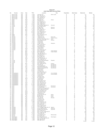#### **Chart 21 July Seat Belt Survey Sites**

| Νo             | County                            | Area                   | Day        | Time           | Location                                         | City                     | Population | Road Type           | Observed   | <b>Belted</b> |
|----------------|-----------------------------------|------------------------|------------|----------------|--------------------------------------------------|--------------------------|------------|---------------------|------------|---------------|
| $\mathbf{1}$   | Buena Vista                       | <b>NW</b>              | Sat        | 6 PM           | Lake @ Third                                     | Storm Lake               | E          | М                   | 171        | 161           |
| $\overline{2}$ | Buena Vista                       | <b>NW</b>              | Sat        | 4 PM           | Hwy 7 @ Hwy 71                                   |                          | E          | P                   | 82         | 76            |
| 3<br>4         | <b>Buena Vista</b><br>Buena Vista | <b>NW</b><br><b>NW</b> | Sat<br>Sat | 5 PM<br>3 PM   | Hwy 110 @ Hwy 7<br>Hwy 7 @ Hwy 71                |                          | Ε<br>E     | P<br>P              | 76<br>127  | 70<br>118     |
| 5              | Buena Vista                       | <b>NW</b>              | Sat        | 1 PM           | C 49 @ Hwy 71                                    |                          | Ε          | s                   | 99         | 94            |
| 6              | Butler                            | NE                     | W ed       | 7 AM           | Main @ Third                                     | Allison                  | Ε          | М                   | 72         | 55            |
| $\overline{7}$ | Butler                            | NE                     | Thu        | 3 PM           | C 55 @ Hwy 14                                    |                          | Ε          | s                   | 41         | 34            |
| 8<br>9         | Butler<br>Butler                  | NE<br>NE               | Wed<br>Thu | 9 AM<br>5 PM   | Hwy 14 @ Hwy 20<br>Hwy 188 @ Hwy 3               |                          | Ε<br>Ε     | P<br>P              | 61<br>89   | 50<br>80      |
| 10             | Butler                            | NE                     | Wed        | 10 AM          | Hwy 14 @ Hwy 3                                   |                          | Ε          | P                   | 55         | 39            |
| 11             | Clarke                            | <b>SW</b>              | Sat        | 9 AM           | E Washington @ Main St                           | Osceola                  | Ε          | М                   | 161        | 128           |
| 12             | Clarke                            | <b>SW</b>              | Sat        | 11 AM          | Hwy 34 @ Hwy 69                                  |                          | E          | P                   | 388        | 300           |
| 13             | Clay                              | <b>NW</b><br><b>NW</b> | Mon<br>Thu | 7 AM<br>8 AM   | 4th @ Grand                                      | Spencer                  | Ε<br>Ε     | M<br>M              | 83<br>155  | 74<br>140     |
| 14<br>15       | Clay<br>Clay                      | <b>NW</b>              | Mon        | 11 AM          | Grand @ 18th<br>Hwy 18 @ Hwy 71                  | Spencer                  | Ε          | P                   | 81         | 74            |
| 16             | Clay                              | <b>NW</b>              | Mon        | 9 AM           | N 14 @ Hwy 18                                    |                          | Ε          | S                   | 12         | 8             |
| 17             | Clay                              | <b>NW</b>              | Thu        | 10 AM          | Hwy 240 @ Hwy 71                                 |                          | E          | P                   | 34         | 30            |
| 18             | Clay                              | <b>NW</b>              | Thu        | 12 PM<br>1 PM  | Hwy 10 @ Hwy 71                                  |                          | Ε          | P                   | 32         | 27            |
| 19<br>20       | Clay<br>Dallas                    | <b>NW</b><br>s w       | Thu<br>Mon | 6 PM           | B 53 @ Hwy 71<br>Hwy 141 @ Hwy 210               |                          | Ε<br>Α     | s<br>P              | 26<br>151  | 24<br>130     |
| 21             | Dallas                            | <b>SW</b>              | Tue        | 5 PM           | I-80 Exit #110                                   |                          | Α          | п                   | 167        | 127           |
| 22             | Decatur                           | <b>SW</b>              | Fri        | 7 AM           | J 66 @ Hwy 69                                    | Davis City               | E          | s                   | 37         | 29            |
| 23             | Decatur                           | <b>SW</b>              | Thu        | 4 PM           | J 20 @ Hwy 204                                   | Garden Grove             | Ε          | S                   | 56         | 46            |
| 24<br>25       | Decatur<br>Decatur                | <b>SW</b><br><b>SW</b> | Fri<br>Tue | 9 AM<br>1 PM   | West Jct. Hwy 69 @ Hwy 2<br>Hwy 266 @ Hwy 69     | Leon<br>Weldon           | E<br>E     | P<br>P              | 69<br>75   | 63<br>63      |
| 26             | Decatur                           | <b>SW</b>              | Thu        | 6 PM           | I-35 Exit #12                                    |                          | Ε          |                     | 80         | 73            |
| 27             | Decatur                           | <b>SW</b>              | Thu        | 2 PM           | I-35 Exit #22                                    |                          | Ε          | л                   | 20         | 17            |
| 28             | Franklin                          | NE                     | Wed        | 11 AM          | 1st @ 1st Ave                                    | Hampton                  | Ε          | М                   | 66         | 47            |
| 29             | Franklin                          | NE                     | Thu        | 1 PM           | Hwy 107 @ Hwy 3                                  |                          | Ε          | P                   | 20         | 19            |
| 30<br>31       | Franklin<br>Franklin              | NE<br>NE               | Tue<br>Tue | 3 PM<br>5 PM   | C 25 @ Hwy 65<br>Hwy 65 @ Hwy 3                  |                          | Ε<br>Ε     | S<br>P              | 38<br>269  | 35<br>239     |
| 32             | Franklin                          | NE.                    | Tue        | 1 PM           | I-35 Exit #165                                   |                          | E          |                     | 133        | 122           |
| 33             | Franklin                          | NE.                    | Wed        | 12 PM          | I-35 Exit #170                                   |                          | E          | п                   | 51         | 50            |
| 34             | Keokuk                            | SE                     | Thu        | 1 PM           | Hwy 149 @ Hwy 23                                 |                          | D          | P                   | 124        | 111           |
| 35             | Linn                              | NE                     | Mon        | 7 AM           | First Ave @ 29th                                 | Cedar Rapids             | B          | M                   | 244        | 230           |
| 36<br>37       | Linn<br>Linn                      | NE<br>NE               | Mon<br>Mon | 11 AM<br>9 AM  | 8th Ave @ 2nd<br>Hwy 1 @ Hwy 30                  | Cedar Rapids             | B<br>B     | M<br>P              | 172<br>87  | 158<br>82     |
| 38             | Linn                              | NE                     | W ed       | 5 PM           | I-380 Mile Marker 25                             |                          | B          | -1                  | 70         | 66            |
| 39             | Linn                              | NE                     | W ed       | 1 PM           | E 34 @ Hwy 13                                    |                          | B          | S                   | 157        | 150           |
| 40             | Linn                              | ΝE                     | Sat        | 11 AM          | Hwy 30 @ Hwy 1                                   |                          | В          | P                   | 325        | 284           |
| 41             | Linn                              | NE                     | Sat        | 9 AM           | E 70 @ Hwy 151<br>I-380 Mile Marker 13           |                          | B          | s<br>$\overline{1}$ | 37         | 32            |
| 42<br>43       | Linn<br>Linn                      | NE<br>NE               | Wed<br>Sat | 3 PM<br>7 AM   | Hwy 13 @ Hwy 151                                 |                          | B<br>B     | P                   | 153<br>205 | 139<br>194    |
| 44             | Louisa                            | SE                     | Thu        | 8 AM           | South 4th @ Washington                           | W apello                 | Ε          | M                   | 61         | 37            |
| 45             | Louisa                            | SE                     | Thu        | 12 PM          | X 43 @ Hwy 92                                    |                          | Ε          | S                   | 22         | 16            |
| 46             | Louisa                            | SE                     | Fri        | 2 PM           | Hwy 92 @ Hwy 61                                  |                          | Ε          | P                   | 204        | 183           |
| 47             | Polk                              | <b>SW</b><br><b>SW</b> | Mon<br>Tue | 8 AM<br>1 PM   | Hwy 160 @ Hwy 69                                 | Ankeny                   | Α          | P                   | 575        | 490           |
| 48<br>49       | Polk<br>Polk                      | <b>SW</b>              | Tue        | 12 PM          | Grand @ 7th<br>Aurora @ Beaver                   | Des Moines<br>Des Moines | Α<br>Α     | М<br>М              | 326<br>253 | 160<br>212    |
| 50             | Polk                              | <b>SW</b>              | Mon        | 4 PM           | Meredith @ Merle Hay                             | Des Moines               | Α          | M                   | 753        | 654           |
| 51             | Polk                              | <b>SW</b>              | Tue        | 8 AM           | Indianola Ave @ SE 8th                           | Des Moines               | Α          | M                   | 560        | 454           |
| 52             | Polk                              | <b>SW</b>              | Sat        | 8 AM           | I-80 Exit #143                                   |                          | Α          |                     | 133        | 113           |
| 53             | Polk                              | <b>SW</b><br><b>SW</b> | Tue        | 10 AM          | I-35 Exit #92                                    |                          | Α          | л                   | 373<br>69  | 315<br>50     |
| 54<br>55       | Polk<br>Polk                      | <b>SW</b>              | Mon<br>Tue | 12 PM<br>3 PM  | I-35 Rest Area<br>Hwy 945 @ Hwy 931              |                          | Α<br>Α     | Ρ                   | 38         | 34            |
| 56             | Pottawattamie                     | SW                     | Fri        | 1 PM           | 9th Ave. @ S 16th                                | <b>Council Bluffs</b>    | С          | M                   | 390        | 335           |
| 57             | Pottawattamie                     | SW                     | Fri        | 5 PM           | A Ave & 25th St                                  | <b>Council Bluffs</b>    | C          | M                   | 458        | 404           |
| 58             | Pottawattamie                     | <b>SW</b>              | Thu        | 11 AM          | I-29 Exit #47                                    |                          | C          | ш                   | 77         | 70            |
| 59<br>60       | Pottawattamie<br>Pottawattamie    | s w<br><b>SW</b>       | Fri<br>Thu | 3 PM<br>7 AM   | I-80 Rest Area<br>M 16 @ Hwy 92                  |                          | С<br>С     | п<br>s              | 60<br>20   | 55<br>20      |
| 61             | Pottawattamie                     | <b>SW</b>              | Wed        | 12 PM          | L 55 @ Hwy 6                                     |                          | С          | S                   | 47         | 44            |
| 62             | Pottawattamie                     | <b>SW</b>              | Thu        | 7 AM           | I-80 Exit #40                                    |                          | C          | п                   | 80         | 74            |
| 63             | Pottawattamie                     | <b>SW</b>              | Thu        | 9 AM           | Hwy 83 @ Hwy 59                                  |                          | C          | P                   | 42         | 38            |
| 64<br>65       | Pottawattamie                     | s w<br><b>SW</b>       | Thu<br>Wed | 9 AM<br>8 AM   | Hwy 6 @ Hwy 191                                  |                          | C<br>C     | P<br>P              | 306<br>70  | 269           |
| 66             | Pottawattamie<br>Pottawattamie    | <b>SW</b>              | Thu        | 11 AM          | Hwy 191 @ Hwy 83<br>Hwy 92 @ Hwy 59              |                          | С          | P                   | 81         | 61<br>68      |
| 67             | Pottawattamie                     | <b>SW</b>              | W ed       | 10 AM          | Hwy 6 @ Hwy 59                                   |                          | C          | P                   | 53         | 44            |
| 68             | Scott                             | SE                     | Sun        | 5 PM           | Kimberly @ Harrison                              | Davenport                | B          | М                   | 332        | 280           |
| 69             | Scott                             | SE                     | Sun        | 1 PM           | Locust @ Brady                                   | Davenport                | B          | М                   | 276        | 243           |
| 70<br>71       | Scott<br>Scott                    | SE<br>SE               | Tue<br>Tue | 2 PM<br>4 PM   | Long Grove Exit @ Hwy 61<br>Hwy 61 @ Hwy 22 Ramp |                          | В<br>в     | P<br>P              | 33<br>93   | 28<br>77      |
| 72             | Scott                             | SE                     | Sun        | 3 PM           | I-80 Exit #284 (Y40)                             |                          | B          | J.                  | 195        | 174           |
| 73             | Scott                             | SE                     | Wed        | 7 AM           | F 55 Exit @ Hwy 61                               |                          | B          | P                   | 120        | 108           |
| 74             | Scott                             | SE                     | Wed        | 11 AM          | I-280 Hwy 61 Exit                                |                          | B          | л                   | 86         | 80            |
| 75<br>76       | Scott<br>Story                    | SE<br><b>NW</b>        | Wed<br>Mon | 9 AM<br>2 PM   | Y 48 @ Hwy 61                                    |                          | В<br>D     | S<br>P              | 55<br>343  | 51<br>321     |
| 77             | Story                             | <b>NW</b>              | Sat        | 4 PM           | Duff Exit @ Hwy 30<br>6th @ Grand                | Ames<br>Ames             | D          | М                   | 221        | 193           |
| 78             | Story                             | <b>NW</b>              | Mon        | 6 PM           | Main @ Clark                                     | Ames                     | D          | м                   | 124        | 110           |
| 79             | Story                             | NW                     | Sat        | 6 PM           | J Ave. @ 6th                                     | Nevada                   | D          | м                   | 19         | 14            |
| 80             | Story                             | <b>NW</b>              | Mon        | 4 PM           | I-35 Rest Area                                   |                          | D          | -1                  | 28         | 22            |
| 81<br>82       | Story<br>Story                    | <b>NW</b><br><b>NW</b> | Sat<br>Mon | 12 PM<br>10 AM | E 23 @ Hwy 69<br>I-35 Exit #123                  |                          | D<br>D     | s<br>J.             | 97<br>113  | 74<br>108     |
| 83             | Story                             | <b>NW</b>              | Sat        | 2 PM           | Hwy 210 @ Hwy 65                                 |                          | D          | P                   | 23         | 19            |
| 84             | Story                             | <b>NW</b>              | Mon        | 2 PM           | Hwy 133 @ Hwy 30                                 |                          | D          | P                   | 120        | 87            |
| 85             | Story                             | <b>NW</b>              | Mon        | 7 AM           | E 63 @ Hwy 65                                    |                          | D          | S                   | 54         | 39            |
| 86             | Story                             | <b>NW</b><br><b>NW</b> | Mon<br>Mon | 9 AM           | Hwy 210 @ Hwy 69                                 |                          | D<br>D     | P<br>P              | 114<br>141 | 84<br>78      |
| 87<br>88       | Story<br>W apello                 | SE                     | Sun        | 11 AM<br>10 AM | Hwy 65 @ Hwy 30<br>V 37 (College St) @ Hwy 34    | Agency                   | D          | S                   | 125        | 103           |
| 89             | W apello                          | SE                     | Sun        | 12 PM          | Church @ Richmond                                | Ottumwa                  | D          | м                   | 524        | 453           |
| 90             | W apello                          | SE                     | Sun        | 8 AM           | Wapello St @ Albia Rd                            | Ottumwa                  | Ε          | M                   | 84         | 69            |
| 91             | W apello                          | SE                     | Thu        | 3 PM           | Hwy 16 @ Hwy 34                                  |                          | D          | P                   | 79         | 76            |
| 92<br>93       | W apello                          | SE<br>SE               | Thu<br>Tue | 5 PM<br>12 PM  | East Jct. Hwy 34 @ Hwy 63                        |                          | D<br>D     | P<br>P              | 380<br>323 | 341<br>309    |
| 94             | W apello<br>W apello              | SE                     | Tue        | 8 AM           | Hwy 137@ Hwy 63<br>T 61 @ Hwy 34                 |                          | D          | S                   | 54         | 45            |
| 95             | <b>W</b> arren                    | SW                     | Fri        | 11 AM          | Hwy 28 @ Hwy 92                                  | Martensdale              | Α          | P                   | 96         | 88            |
| 96             | W arren                           | SW                     | Sat        | 7 AM           | R 57 @ Hwy 92                                    |                          | Α          | S                   | 33         | 30            |
| 97             | W ashington                       | SE                     | Thu        | 10 AM          | East 7th @ North 4th                             | Washington               | E          | М<br>P              | 62         | 47            |
| 98<br>99       | W ashington<br>W ashington        | SE<br>SE               | Sun<br>Sun | 5 PM<br>1 PM   | Hwy 218 Ramp @ Hwy 92<br>Hwy 1 @ Hwy 92          |                          | Ε<br>Ε     | P                   | 152<br>193 | 138<br>184    |
|                | 100 Washington                    | SE                     | Sun        | 3 PM           | G6W @ Hwy 92                                     |                          | Ε          | S                   | 50         | 41            |
|                |                                   |                        |            |                |                                                  |                          |            |                     | 14,444     | 12,402        |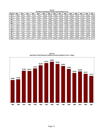|              | Seat Belt & Child Restraint Citations issued by Month & Tear |        |        |        |        |        |        |        |        |        |        |        |        |        |        |
|--------------|--------------------------------------------------------------|--------|--------|--------|--------|--------|--------|--------|--------|--------|--------|--------|--------|--------|--------|
| <b>Month</b> | 1989                                                         | 1990   | 1991   | 1992   | 1993   | 1994   | 1995   | 1996   | 1997   | 1998   | 1999   | 2000   | 2001   | 2002   | 2003   |
| Jan          | 4,058                                                        | 4,381  | 3,529  | 5,163  | 4.470  | 4,790  | 6,334  | 5,038  | 4,673  | 5,244  | 4,623  | 4,503  | 4,271  | 4,305  | 4,203  |
| Feb          | 3,445                                                        | 4,605  | 6,014  | 6,465  | 5,236  | 6,558  | 7,452  | 6.778  | 6,391  | 5,820  | 6,578  | 5,272  | 6,133  | 5,977  | 4,846  |
| Mar          | 4,598                                                        | 5,235  | 6,950  | 6,765  | 6,292  | 8,071  | 7,806  | 10,403 | 9,785  | 8,188  | 6,822  | 6,657  | 6,242  | 4,394  | 4,816  |
| Apr          | 5,110                                                        | 4,723  | 7,277  | 6,920  | 6,793  | 8,379  | 7,263  | 8,634  | 8,387  | 7,260  | 6,249  | 7,185  | 6,284  | 5,804  | 4,773  |
| May          | 5,115                                                        | 5,666  | 8,272  | 7,517  | 8,457  | 9,090  | 8,826  | 11,266 | 9,131  | 10,205 | 10,075 | 8,268  | 8,374  | 8,147  | 8,359  |
| Jun          | 4,380                                                        | 4,625  | 9,029  | 7,043  | 7,015  | 8,070  | 8,727  | 9,416  | 8,367  | 7,138  | 6,148  | 5,292  | 5,816  | 5,141  | 4,971  |
| Jul          | 4,452                                                        | 5,169  | 6,108  | 6,556  | 7,016  | 8,023  | 8,504  | 8,646  | 9,039  | 7.489  | 6,962  | 5,795  | 6,574  | 6,760  | 5,512  |
| Aug          | 4,206                                                        | 4.241  | 5,865  | 5,798  | 6.017  | 6,801  | 7,284  | 8,887  | 7,931  | 6,553  | 7.143  | 5,847  | 7.269  | 6,076  | 5,437  |
| Sep          | 4,410                                                        | 4,127  | 6,215  | 5,740  | 6,889  | 6,381  | 7,773  | 6,458  | 6,489  | 6,827  | 5,540  | 5,382  | 5,564  | 5,176  | 4,798  |
| Oct          | 3,504                                                        | 3,476  | 4,146  | 4,095  | 6,235  | 5,360  | 5,399  | 5,036  | 5,737  | 4,774  | 3,920  | 3,613  | 3,603  | 3,194  | 3,182  |
| Nov          | 3,560                                                        | 3,186  | 3,253  | 3,804  | 5,499  | 5,522  | 6,430  | 5,387  | 4,991  | 6,192  | 6,048  | 5,205  | 4,797  | 4,506  | 4,459  |
| Dec          | 2,750                                                        | 1,850  | 3,491  | 3,705  | 5,442  | 5,191  | 5,433  | 4,116  | 4,345  | 4,901  | 3,987  | 2,306  | 3,701  | 3,931  | 3,357  |
| Total        | 49,588                                                       | 51,284 | 70,149 | 69,571 | 75,361 | 82,236 | 87,231 | 90,065 | 85,266 | 80,591 | 74,095 | 65,325 | 68,628 | 63,411 | 58,713 |

**Chart 22 Seat Belt & Child Restraint Citations Issued by Month & Year**

**Chart 23 Seat Belt & Child Restraint Citations Issued by Month & Year—Graph** 

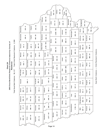2003 Seat Belt/Child Restraint Citations Issued by County of **2003 Seat Belt/Child Restraint Citations Issued by County of** Residence Chart 24

Total Seat Belt Citations: 56,127 Total Child Restraint Citations: 2,586 Total Seat Belt Citations: 56,127 Total Child Restraint Citations: 2,586

|            |                  |             |            |             |              |            |               |                      | Jackson | $522 - 15$ | Clinton       | $953 - 42$ |           | $2,969 - 141$<br>Scott |           |               |                    |            |                          |           |            |                                             |
|------------|------------------|-------------|------------|-------------|--------------|------------|---------------|----------------------|---------|------------|---------------|------------|-----------|------------------------|-----------|---------------|--------------------|------------|--------------------------|-----------|------------|---------------------------------------------|
|            |                  |             |            |             |              | Dubuque    | $962 - 35$    |                      | Jones   |            | $473 - 13$    | Cedar      | $244 - 9$ |                        | Muscatine | $1,122 - 74$  | Louisa<br>279 - 28 |            | Des Moines<br>$637 - 34$ |           |            |                                             |
| Allamakee  |                  | $233 - 6$   | Clayton    | $376 - 16$  |              | Delaware   | $341 - 10$    |                      | Linn    |            | $3,446 - 108$ |            | Johnson   | $1,749 - 50$           |           |               |                    | Henry      | 545 - 21                 | $e$ e     | $769 - 29$ |                                             |
| Winneshiek |                  | $239 - 8$   | Fayette    | $403 - 20$  |              | Buchanan   | $395 - 16$    |                      | Benton  |            | $387 - 10$    |            | lowa      | $292 - 6$              |           | Washington    | 462 - 24           | Jefferson  | $304 - 10$               | Van Buren | $150 - 4$  |                                             |
| Howard     | $\ddot{ }$<br>95 | Chickasaw   | $229 - 5$  | Bremer      | $361 - 10$   | Black Hawk | $2,148 - 106$ |                      |         |            |               |            |           |                        |           | Keokuk        | $265 - 3$          | Wapello    | $656 - 43$               | Davis     | $185 - 9$  |                                             |
| Mitchell   | $118 - 4$        | Floyd       | $250 - 10$ | Butler      | $323 - 8$    |            | Grundy        | $176 - 2$            | Tama    |            | $290 - 36$    |            | Poweshiek | $672 - 19$             |           | Mahaska       | 460 - 19           | Monroe     | $154 - 14$               | Appanoose | 398 - 25   |                                             |
| Worth      | $7 - 601$        |             | $765 - 29$ |             | $228 - 11$   |            | Hardin        | $270 - 14$           |         | Marshall   | 530 - 45      |            | Jasper    | $1,031 - 43$           |           | Marion        | $570 - 13$         |            |                          |           |            | Belt Citations -- Child Restraint Citations |
|            |                  | Cerro Gordo |            | Franklin    |              |            |               |                      |         | Story      | $878 - 18$    |            | Polk      | 8,027 - 402            |           | Warren        | 791 - 20           | Lucas      | $238 - 7$                | Wayne     | $137 - 6$  |                                             |
| Winnebago  | $134 - 2$        | Hancock     | $164 - 11$ | Wright      | $263 - 16$   |            | Hamilton      | $231 - 19$           |         | Boone      | $423 - 17$    |            |           |                        |           |               |                    | Clarke     | $218 - 11$               | Decatur   | $189 - 8$  |                                             |
| Kossuth    |                  | N<br>299 -  |            | Humboldt    | LO.<br>202 - | Webster    |               | $\frac{1}{2}$<br>851 |         |            |               |            | Dallas    | $95 - 40$              |           | Madison       | $346 - 15$         | Union      | $279 - 9$                | Ringgold  | $140 - 4$  | Seat                                        |
| Emmet      | $260 - 11$       | Palo Alto   | $233 - 7$  | Pocahontas  | $165 - 4$    |            | Calhoun       | $198 - 3$            |         | Greene     | $194 - 10$    |            | Guthrie   | $211 - 7$              |           | Adair         | $8 - 161$          | Adams      | $90 - 3$                 | Taylor    | $212 - 15$ |                                             |
| Dickinson  | $336 - 12$       | Clay        | $373 - 25$ | Buena Vista | 478 - 84     |            | Sac           | $346 - 13$           |         | Carroll    | $600 - 17$    |            | Audubon   | $151 - 3$              |           | Cass          | $336 - 8$          |            |                          |           |            |                                             |
|            |                  |             |            |             |              |            |               | $260 - 17$           |         | Crawford   | $367 - 51$    |            | Shelby    | $253 - 5$              |           |               |                    | Montgomery | $282 - 15$               | Page      | 440 - 13   |                                             |
| Osceola    | $177 - 5$        | O'Brien     | $360 - 13$ | Cherokee    | $538 - 30$   |            | lda           |                      |         |            |               |            | Harrison  | $517 - 14$             |           | Pottawattamie | $1,730 - 79$       | Mills      | $297 - 8$                | Fremont   | $129 - 7$  |                                             |
| Lyon       | $236 - 10$       | Sioux       | $625 - 43$ | Plymouth    | $575 - 14$   |            | Woodbury      | $1,577 - 151$        |         | Monona     | 244 - 27      |            |           |                        |           |               |                    |            |                          |           |            |                                             |
|            |                  |             |            |             |              |            |               |                      |         | Page 14    |               |            |           |                        |           |               |                    |            |                          |           |            |                                             |